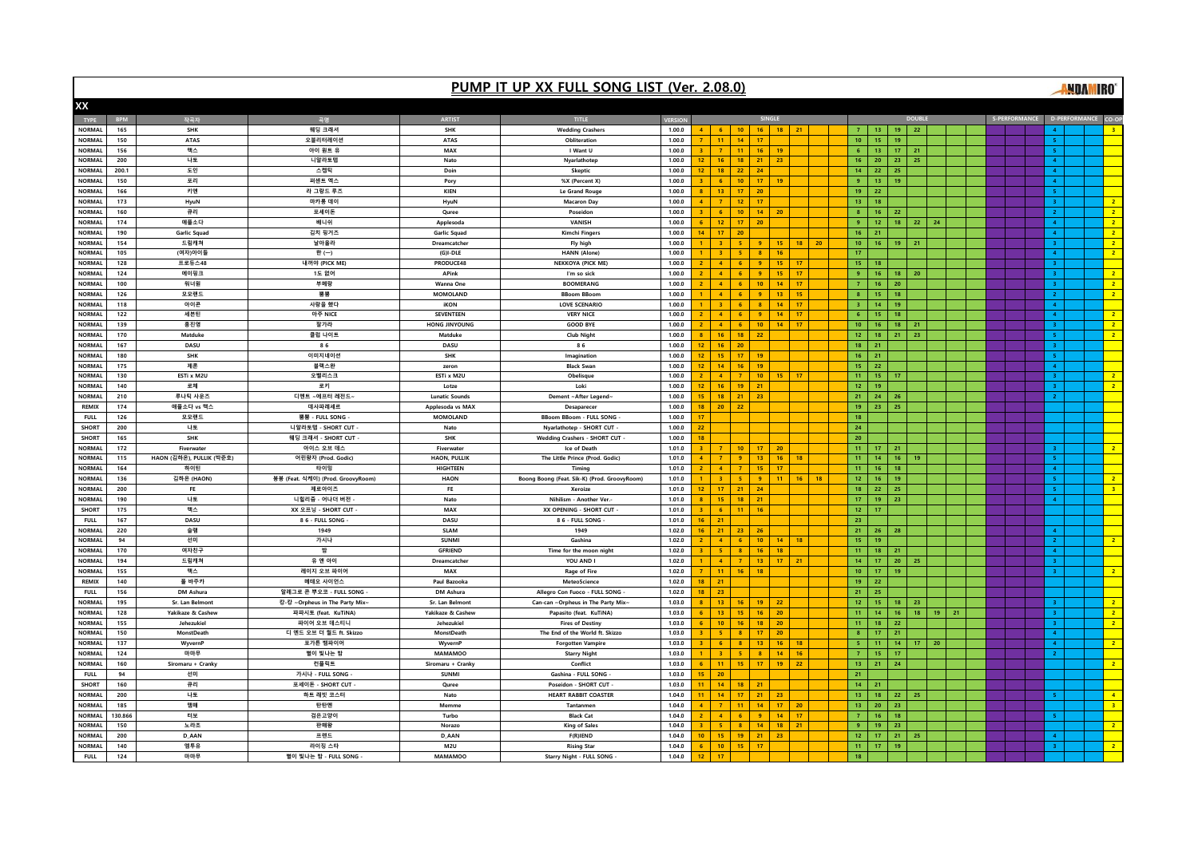|                         |                |                          |                                   |                                      | PUMP IT UP XX FULL SONG LIST (Ver. 2.08.0)   |                  |                  |                        |                      |                    |                 |          |    |                               |                       |                                  |    |          |  |                                   |                                         | <b>MDAMIRO</b> |                                  |
|-------------------------|----------------|--------------------------|-----------------------------------|--------------------------------------|----------------------------------------------|------------------|------------------|------------------------|----------------------|--------------------|-----------------|----------|----|-------------------------------|-----------------------|----------------------------------|----|----------|--|-----------------------------------|-----------------------------------------|----------------|----------------------------------|
| XX                      |                |                          |                                   |                                      |                                              |                  |                  |                        |                      |                    |                 |          |    |                               |                       |                                  |    |          |  |                                   |                                         |                |                                  |
| <b>TYPE</b>             | <b>BPM</b>     | 작곡자                      | 곡명                                | <b>ARTIST</b>                        | TITLE                                        | <b>VERSION</b>   |                  |                        |                      | SINGLE             |                 |          |    |                               |                       |                                  |    |          |  | S-PERFORMANCE D-PERFORMANCE CO-OF |                                         |                |                                  |
| <b>NORMAL</b>           | 165            | <b>SHK</b>               | 웨딩 크래셔                            | <b>SHK</b>                           | <b>Wedding Crashers</b>                      | 1.00.0           |                  | 6 <sup>1</sup>         | 10                   | 16                 | $18$ 21         |          |    | $\mathbf{7}^-$                | 13                    | 19<br>22                         |    |          |  |                                   |                                         |                |                                  |
| <b>NORMAL</b>           | 150            | <b>ATAS</b>              | 오블리터레이션                           | <b>ATAS</b>                          | Obliteration                                 | 1.00.0           |                  | 11 <sub>1</sub>        | 14                   | 17                 |                 |          |    | 10 <sub>1</sub>               | 15                    | $19-19$                          |    |          |  |                                   | $\mathbf{R}^{\prime}$                   |                |                                  |
| <b>NORMAL</b>           | 156            | 맥스                       | 아이 원트 유                           | MAX                                  | I Want U                                     | 1.00.0           |                  | 7 <sup>7</sup>         | 11 <sub>1</sub>      | 16                 | 19              |          |    | 6 <sub>1</sub>                | 13                    | 17<br>21                         |    |          |  |                                   | $\mathbf S$                             |                |                                  |
| NORMAL                  | 200            | 나토                       | 니알라토텝                             | Nato                                 | Nyarlathotep                                 | 1.00.0           | 12 <sup>2</sup>  | 16                     | 18                   | 21                 | 23              |          |    | 16                            | 20 <sub>2</sub>       | $23-1$<br>25                     |    |          |  |                                   | $\overline{A}$                          |                |                                  |
| <b>NORMAL</b>           | 200.1          | 도인                       | 스켑틱                               | Doin                                 | Skeptic                                      | 1.00.0           | 12 <sup>2</sup>  | 18                     | 22                   | 24                 |                 |          |    | 14                            | 22                    | 25                               |    |          |  |                                   | $\overline{4}$                          |                |                                  |
| NORMAL                  | 150            | 포리                       | 퍼센트 엑스                            | Pory                                 | %X (Percent X)                               | 1.00.0           |                  | 6 <sup>1</sup>         | 10 <sub>1</sub>      | 17 <sub>z</sub>    | $19-19$         |          |    | $\overline{9}$                | 13                    | 19                               |    |          |  |                                   | $\overline{4}$                          |                |                                  |
| <b>NORMAL</b>           | 166            | 키엔                       | 라 그랑드 루즈                          | KIEN                                 | Le Grand Rouge                               | 1.00.0           | 8                | 13                     | 17                   | 20                 |                 |          |    | 19 <sub>°</sub>               | 22                    |                                  |    |          |  |                                   | 5                                       |                |                                  |
| <b>NORMAL</b>           | 173            | HyuN                     | 마카롱 데이                            | HyuN                                 | <b>Macaron Day</b>                           | 1.00.0           | $\overline{4}$   | 7 <sup>2</sup>         | 12 <sub>12</sub>     | 17                 |                 |          |    | 13                            | 18                    |                                  |    |          |  |                                   | 3 <sup>°</sup>                          |                | 2 <sup>2</sup>                   |
| <b>NORMAL</b>           | 160            | 큐리                       | 포세이돈                              | Quree                                | Poseidon                                     | 1.00.0           |                  | $-6$                   | 10 <sub>1</sub>      | 14                 | 20              |          |    | $\bf 8$                       | 16 <sup>°</sup>       | 22                               |    |          |  |                                   | 2 <sup>1</sup>                          |                | 2 <sup>2</sup>                   |
| <b>NORMAL</b>           | 174            | 애플소다                     | 배니쉬                               | Applesoda                            | VANISH                                       | 1.00.0           |                  | 12 <sub>1</sub>        | 17                   | 20                 |                 |          |    | 9 <sup>°</sup>                | 12 <sub>1</sub>       | 18                               | 22 | 24       |  |                                   | $\blacktriangleleft$                    |                | $\overline{2}$                   |
| <b>NORMAL</b>           | 190            | <b>Garlic Squad</b>      | 김치 핑거즈                            | <b>Garlic Squad</b>                  | Kimchi Fingers                               | 1.00.0           | 14               | 17                     | 20                   |                    |                 |          |    | 16                            | 21                    |                                  |    |          |  |                                   | $\overline{4}$                          |                | 2 <sup>1</sup>                   |
| <b>NORMAL</b>           | 154            | 드림캐쳐                     | 날아올라                              | Dreamcatcher                         | Fly high                                     | 1.00.0           |                  | 3 <sup>°</sup>         | -5                   | 9 <sup>°</sup>     | 15              | 18       | 20 | 10 <sub>10</sub>              | 16                    | $19-19$<br>21                    |    |          |  |                                   | 3 <sup>°</sup>                          |                | 2 <sup>2</sup>                   |
| <b>NORMAL</b>           | 105            | (여자)아이들                  | 한 (一)                             | $(G)I-DLE$                           | <b>HANN (Alone)</b>                          | 1.00.0           |                  | $\mathbf{R}$           | $-5$                 | $\mathbf{8}$       | 16 <sup>°</sup> |          |    | 17                            |                       |                                  |    |          |  |                                   | $\overline{4}$                          |                | 2 <sup>1</sup>                   |
| <b>NORMAL</b>           | 128            | 프로듀스48                   | 내꺼야 (PICK ME)                     | PRODUCE48                            | NEKKOYA (PICK ME)                            | 1.00.0           |                  | 4 <sup>1</sup>         | 6 <sup>°</sup>       | $\overline{9}$     | 15              | 17       |    | 15                            | 18                    |                                  |    |          |  |                                   | $\mathbf{3}^{\circ}$                    |                |                                  |
| <b>NORMAL</b>           | 124            | 에이핑크                     | 1도 없어                             | APink                                | I'm so sick                                  | 1.00.0           |                  | $\blacktriangleleft$   | 6 <sup>°</sup>       | $\overline{9}$     | $15-15$         | 17       |    | 9 <sup>°</sup>                | $16-1$                | $18-1$<br>20                     |    |          |  |                                   | $\overline{3}$                          |                | 2 <sup>2</sup>                   |
| <b>NORMAL</b>           | 100            | 워너원                      | 부메랑                               | Wanna One                            | <b>BOOMERANG</b>                             | 1.00.0           |                  | $-4$                   | 6 <sup>1</sup>       | 10 <sub>1</sub>    | 14 <sup>°</sup> | 17       |    | 7 <sup>7</sup>                | 16                    | 20 <sub>2</sub>                  |    |          |  |                                   | 3 <sup>°</sup>                          |                | 2 <sup>2</sup>                   |
| <b>NORMAL</b>           | 126            | 모모랜드                     | 뿜뿜                                | <b>MOMOLAND</b>                      | <b>BBoom BBoon</b>                           | 1.00.0           |                  | $\mathbf{A}$           | -6                   | $\mathbf{q}$       | $13-1$          | $-15$    |    | $\mathbf{8}$                  | 15                    | 18                               |    |          |  |                                   | $\mathbf{2}$                            |                | 2 <sup>2</sup>                   |
| <b>NORMAL</b>           | 118            | 아이콘                      | 사랑을 했다                            | iKON                                 | LOVE SCENARIO                                | 1.00.0           |                  | $-3$                   | 6 <sub>6</sub>       | $\bf 8$            | 14 <sub>1</sub> | 17       |    | $\,$ 3 $\,$                   | 14 <sup>°</sup>       | 19 <sub>1</sub>                  |    |          |  |                                   | $\overline{4}$                          |                |                                  |
| NORMAL                  | 122            | 세븐틴                      | 아주 NICE                           | SEVENTEEN                            | <b>VERY NICE</b>                             | 1.00.0           |                  | 4 <sup>1</sup>         | 6                    | $\overline{9}$     | 14 <sup>°</sup> | 17       |    | $\,$ 6 $\,$                   | 15                    | 18                               |    |          |  |                                   | $\blacktriangleleft$                    |                | 2 <sup>2</sup>                   |
| <b>NORMAL</b>           | 139            | 홍진영                      | 잘가라                               | HONG JINYOUNG                        | <b>GOOD BYE</b>                              | 1.00.0           |                  | $-4$                   | 6 <sup>1</sup>       | 10 <sup>10</sup>   | $14 \quad 17$   |          |    | 10 <sub>10</sub>              | 16                    | 18 <sup>2</sup><br>21            |    |          |  |                                   | $\overline{3}$                          |                | 2 <sup>1</sup>                   |
| NORMAL                  | 170            | Matduke                  | 클럽 나이트                            | Matduk                               | <b>Club Night</b>                            | 1.00.0           |                  | 16                     | 18 <sup>°</sup>      | 22                 |                 |          |    | $12\,$                        | 18                    | 21<br>23                         |    |          |  |                                   | 5 <sub>1</sub>                          |                | 2 <sup>2</sup>                   |
| <b>NORMAL</b>           | 167            | DASU                     | 86                                | DASU                                 | 86                                           | 1.00.0           | 12 <sup>2</sup>  | 16 <sup>2</sup>        | 20                   |                    |                 |          |    | 18                            | 21                    |                                  |    |          |  |                                   | $\overline{3}$                          |                |                                  |
| NORMAL                  | 180            | <b>SHK</b>               | 이미지네이션                            | <b>SHK</b>                           | Imagination                                  | 1.00.0           | 12 <sub>1</sub>  | 15                     | 17                   | 19                 |                 |          |    | 16                            | 21                    |                                  |    |          |  |                                   | 5 <sub>1</sub>                          |                |                                  |
| NORMAL                  | 175            | 제론                       | 블랙스완                              | zeron                                | <b>Black Swan</b>                            | 1.00.0           | 12 <sup>°</sup>  | 14                     | 16                   | 19                 |                 |          |    | 15                            | 22                    |                                  |    |          |  |                                   | $\overline{4}$                          |                |                                  |
| <b>NORMAL</b>           | 130            | ESTi x M2U               | 오벨리스크                             | ESTi x M2U                           | Obelisque                                    | 1.00.0           |                  | $-4$                   | $\overline{7}$       | 10 <sub>1</sub>    | 15              | $-17$    |    | 11                            | 15                    | 17                               |    |          |  |                                   | 3 <sup>1</sup>                          |                | 2 <sup>2</sup>                   |
| NORMAL                  | 140            | 로체                       | 로키                                | Lotze                                | Loki                                         | 1.00.0           | 12 <sup>2</sup>  | $16-1$                 | 19                   | 21                 |                 |          |    | $122$                         | 19                    |                                  |    |          |  |                                   | $\mathbf{R}$                            |                | 2 <sup>2</sup>                   |
| <b>NORMAL</b>           | 210            | 루나틱 사운즈                  | 디멘트 ~에프터 레전드                      | <b>Lunatic Sounds</b>                | Dement ~After Legend~                        | 1.00.0           | 15               | 18                     | 21                   | 23                 |                 |          |    | 21                            | 24<br>26              |                                  |    |          |  |                                   | $\mathbf{z}$                            |                |                                  |
| <b>REMIX</b>            | 174            | 애플소다 vs 맥스               | 데사파레세르                            | Applesoda vs MAX                     | Desaparecer                                  | 1.00.0           | 18               | 20 <sub>2</sub>        | 22                   |                    |                 |          |    | 19 <sup>°</sup>               | 23                    | 25                               |    |          |  |                                   |                                         |                |                                  |
| FULL.                   | 126            | 모모랜드                     | 뿜뿜 - FULL SONG                    | <b>MOMOLAND</b>                      | BBoom BBoom - FULL SONG                      | 1.00.0           | 17               |                        |                      |                    |                 |          |    | 18                            |                       |                                  |    |          |  |                                   |                                         |                |                                  |
| <b>SHORT</b>            | 200            | 나토                       | 니알라토텝 - SHORT CUT                 | Nato                                 | Nyarlathotep - SHORT CUT                     | 1.00.0           | 22               |                        |                      |                    |                 |          |    | 24                            |                       |                                  |    |          |  |                                   |                                         |                |                                  |
| <b>SHORT</b>            | 165            | <b>SHK</b>               | 웨딩 크래셔 - SHORT CUT                | <b>SHK</b>                           | <b>Wedding Crashers - SHORT CUT</b>          | 1.00.0           | 18               |                        |                      |                    |                 |          |    | 20                            |                       |                                  |    |          |  |                                   |                                         |                |                                  |
| NORMAL                  | 172            | Fiverwater               | 아이스 오브 데스                         | Fiverwater                           | Ice of Death                                 | 1.01.0           |                  |                        | 10 <sub>1</sub>      | 17                 | 20              |          |    | 11                            | 17                    | 21                               |    |          |  |                                   |                                         |                | 2 <sup>2</sup>                   |
| <b>NORMAL</b>           | 115            | HAON (김하온), PULLIK (박준호) | 어린왕자 (Prod. Godic)                | <b>HAON, PULLIK</b>                  | The Little Prince (Prod. Godic)              | 1.01.0           | $\overline{4}$   | 7 <sup>7</sup>         | 9 <sup>°</sup>       | 13                 | 16              | 18       |    | 11                            | 14                    | 16<br>19                         |    |          |  |                                   | 5.                                      |                |                                  |
| NORMAL                  | 164            | 하이틴                      | 타이밍                               | HIGHTEEN                             | Timing                                       | 1.01.0           |                  | 4 <sup>1</sup>         | $\mathbf{7}$         | 15                 | 17              |          |    | 11                            | 16                    | 18                               |    |          |  |                                   | $\overline{4}$                          |                |                                  |
| NORMAL                  | 136            | 김하온 (HAON)               | 붕붕 (Feat. 식케이) (Prod. GroovyRoom) | <b>HAON</b>                          | Boong Boong (Feat. Sik-K) (Prod. GroovyRoom) | 1.01.0           |                  | 3 <sup>°</sup>         | $-5$                 | 9 <sup>°</sup>     | 11 <sub>1</sub> | 16       | 18 | $12$                          | 16                    | 19                               |    |          |  |                                   | $\mathbf{R}^{\prime}$                   |                | $\overline{2}$                   |
| <b>NORMAL</b>           | 200            | FE                       | 제로아이즈                             | FE                                   | Xeroize                                      | 1.01.0           | 12 <sup>2</sup>  | 17                     | 21                   | 24                 |                 |          |    | 18                            | 22                    | 25                               |    |          |  |                                   | 5 <sup>°</sup>                          |                | 3 <sup>1</sup>                   |
| <b>NORMAL</b>           | 190            | 나토                       | 니힐리즘 - 어나더 버전                     | Nato                                 | Nihilism - Another Ver.                      | 1.01.0           |                  | 15                     | 18                   | 21                 |                 |          |    | 17                            | 19                    | 23                               |    |          |  |                                   | $\overline{A}$                          |                |                                  |
| <b>SHORT</b>            | 175            | 맥스                       | XX 오프닝 - SHORT CUT                | MAX                                  | XX OPENING - SHORT CUT                       | 1.01.0           |                  | 6 <sup>1</sup>         | 11 <sub>1</sub>      | 16                 |                 |          |    | $12$                          | 17                    |                                  |    |          |  |                                   |                                         |                |                                  |
| <b>FULL</b>             | 167            | <b>DASU</b>              | 8 6 - FULL SONG                   | DASU                                 | 86 - FULL SONG                               | 1.01.0           | 16               | 21                     |                      |                    |                 |          |    | 23                            |                       |                                  |    |          |  |                                   |                                         |                |                                  |
| <b>NORMAL</b>           | 220            | 슬램                       | 1949                              | <b>SLAM</b>                          | 1949                                         | 1.02.0           |                  | 21                     | 23                   | 26                 |                 |          |    | 21                            | 26                    | 28                               |    |          |  |                                   | $\overline{4}$                          |                |                                  |
| NORMAL                  | 94             | 선미                       | 가시나                               | <b>SUNMI</b>                         | Gashina                                      | 1.02.0           |                  | 4 <sup>1</sup>         | 6 <sup>°</sup>       | 10 <sub>10</sub>   | 14 <sup>°</sup> | 18       |    | 15                            | 19                    |                                  |    |          |  |                                   | $\mathbf{z}$                            |                | 2 <sup>2</sup>                   |
| <b>NORMAL</b>           | 170            | 여자친구                     | 박                                 | GERIEND                              | Time for the moon night                      | 1.02.0           |                  | $-5$                   | 8                    | 16                 | 18              |          |    | 11 <sub>1</sub>               | 18<br>21              |                                  |    |          |  |                                   | 4 <sup>1</sup>                          |                |                                  |
| NORMAL                  | 194            | 드림캐쳐                     | 유 앤 아이                            | <b>Dreamcatcher</b>                  | YOU AND I                                    | 1.02.0           |                  | $-4$                   | $\mathbf{7}$         | 13 <sub>1</sub>    | 17 <sup>2</sup> | 21       |    | 14                            | 17                    | 20 <sup>°</sup><br>25            |    |          |  |                                   | $\mathbf{R}$                            |                |                                  |
| <b>NORMAL</b>           | 155            | 맥스                       | 레이지 오브 파이어                        | MAX                                  | Rage of Fire                                 | 1.02.0           | $\overline{7}$   | $11 -$                 | $16$ 18              |                    |                 |          |    | ${\bf 10}$                    | 17 <sub>1</sub>       | 19                               |    |          |  |                                   | $\mathbf{R}$                            |                | 2 <sup>2</sup>                   |
| <b>REMIX</b>            | 140            | 폴 바주카                    | 메테오 사이언스                          | Paul Bazooka                         | Meteo5cience                                 | 1.02.0           | 18               | 21                     |                      |                    |                 |          |    | 19                            | 22                    |                                  |    |          |  |                                   |                                         |                |                                  |
| FULL.                   | 156            | DM Ashura                | 알레그로 콘 뿌오코 - FULL SONG            | DM Ashura                            | Allegro Con Fuoco - FULL SONG                | 1.02.0           | 18               | 23                     |                      |                    |                 |          |    | 21                            | 25                    |                                  |    |          |  |                                   |                                         |                |                                  |
| NORMAL<br><b>NORMAL</b> | 195            | Sr. Lan Belmont          | 캉-캉 ~Orpheus in The Party Mix-    | Sr. Lan Belmont<br>Yakikaze & Cashev | Can-can ~Orpheus in The Party Mix~           | 1.03.0<br>1.03.0 | $\mathbf{G}$     | 13<br>13 <sup>°</sup>  | $16-1$               | 19<br>16           | 22              |          |    | 12 <sub>2</sub><br>11         | 15 <sub>1</sub>       | $18-1$<br>23<br>$16-16$<br>18    |    |          |  |                                   | 3 <sup>1</sup><br>$\mathbf{R}$          |                | 2 <sup>2</sup><br>2 <sup>1</sup> |
|                         | 128            | Yakikaze & Cashew        | 파파시토 (feat. KuTiNA)               |                                      | Papasito (feat. KuTiNA)                      |                  |                  |                        | 15                   |                    | 20              |          |    |                               | 14 <sub>1</sub>       |                                  |    | 19<br>21 |  |                                   |                                         |                |                                  |
| NORMAL                  | 155            | Jehezukiel               | 파이어 오브 데스티니                       | Jehezukiel                           | <b>Fires of Destiny</b>                      | 1.03.0           |                  | 10 <sub>1</sub>        | 16                   | 18                 | 20 <sub>2</sub> |          |    | 11                            | 18                    | 22                               |    |          |  |                                   | 3 <sup>°</sup>                          |                | 2 <sup>2</sup>                   |
| <b>NORMAL</b>           | 150            | <b>MonstDeath</b>        | 디 엔드 오브 더 월드 ft. Skizzo           | <b>MonstDeath</b>                    | The End of the World ft. Skizzo              | 1.03.0           |                  | -5.                    | 8 <sup>1</sup>       | 17                 | 20              |          |    | $\bf8$                        | 17<br>21              |                                  |    |          |  |                                   | $\overline{4}$                          |                |                                  |
| NORMAL<br>NORMAL        | 137<br>124     | WyvernP<br>마마무           | 포가튼 뱀파이어<br>별이 빛나는 밤              | WyvernP<br><b>MAMAMOO</b>            | <b>Forgotten Vampire</b>                     | 1.03.0<br>1.03.0 |                  | 6 <sup>1</sup><br>$-3$ | $\mathbf{8}$<br>$-5$ | 13<br>$\mathbf{8}$ | 16<br>14        | 18<br>16 |    | $\mathbf S$<br>7 <sup>7</sup> | 11 <sub>1</sub><br>15 | $14-14$<br>17 <sub>1</sub><br>17 |    | 20       |  |                                   | $\overline{\mathbf{4}}$<br>$\mathbf{2}$ |                | 2 <sup>2</sup>                   |
| <b>NORMAL</b>           | 160            |                          |                                   |                                      | <b>Starry Night</b><br>Conflict              | 1.03.0           | -6               | $11 -$                 |                      |                    |                 | 22       |    |                               | 24                    |                                  |    |          |  |                                   |                                         |                | 2 <sup>1</sup>                   |
| <b>FULL</b>             | 94             | Siromaru + Cranky<br>선미  | 컨플릭트<br>가시나 - FULL SONG           | Siromaru + Cranky<br><b>SUNMI</b>    | Gashina - FULL SONG                          | 1.03.0           | 15               | 20                     | 15                   | $-17$              | 19              |          |    | 13 <sub>1</sub><br>21         | 21                    |                                  |    |          |  |                                   |                                         |                |                                  |
| <b>SHORT</b>            |                | 큐리                       | 포세이돈 - SHORT CUT                  | Quree                                | Poseidon - SHORT CUT                         | 1.03.0           |                  | 14                     |                      |                    |                 |          |    | 14                            | 21                    |                                  |    |          |  |                                   |                                         |                |                                  |
| NORMAL                  | 160<br>200     | 나토                       | 하트 래빗 코스터                         | Nato                                 | <b>HEART RABBIT COASTER</b>                  | 1.04.0           |                  | 14                     | $18$ 21<br>17        | 21                 | 23              |          |    | 13                            | 18                    | 22<br>25                         |    |          |  |                                   |                                         |                | $-4$                             |
| <b>NORMAL</b>           |                |                          |                                   | Memm                                 |                                              | 1.04.0           |                  | $\overline{7}$         |                      | 14                 | 17 <sup>2</sup> | 20       |    |                               |                       |                                  |    |          |  |                                   |                                         |                | 3 <sup>o</sup>                   |
| NORMAL                  | 185<br>130.866 | 맹매<br>터보                 | 탄탄멘<br>검은고양이                      | Turbo                                | Tantanm<br><b>Black Cat</b>                  | 1.04.0           |                  | $\overline{A}$         | 11<br>-6             | $\mathbf{q}$       | 14 <sup>°</sup> | 17       |    | 13<br>$\overline{7}$          | 20<br>16              | 23<br>18                         |    |          |  |                                   | <b>K</b>                                |                |                                  |
| <b>NORMAL</b>           | 150            | 노라조                      | 판매워                               | Norazo                               | <b>King of Sales</b>                         | 1.04.0           |                  | $-5$                   | $\mathbf{8}$         | 14                 | 18              | 21       |    | 9 <sup>°</sup>                | 19                    | 23                               |    |          |  |                                   |                                         |                | 2 <sup>2</sup>                   |
| NORMAL                  | 200            | D AAN                    | 프렌드                               | D AAN                                | F(R)IEND                                     | 1.04.0           | 10 <sup>10</sup> | 15                     | $19$ 21              |                    | 23              |          |    | 12 <sub>2</sub>               | 17                    | $-21$<br>25                      |    |          |  |                                   | 4 <sup>1</sup>                          |                |                                  |
| <b>NORMAL</b>           | 140            | 엠투유                      | 라이징 스타                            | <b>M2U</b>                           | <b>Rising Star</b>                           | 1.04.0           | 6 <sup>1</sup>   | 10                     | $15$ 17              |                    |                 |          |    | 11 <sub>1</sub>               | 17                    | 19                               |    |          |  |                                   | $\overline{3}$                          |                | 2 <sup>7</sup>                   |
| <b>FULL</b>             | 124            | 마마무                      | 별이 빛나는 밤 - FULL SONG ·            | <b>MAMAMOO</b>                       | Starry Night - FULL SONG                     | 1.04.0           | $12-12$          | 17 <sub>17</sub>       |                      |                    |                 |          |    | 18                            |                       |                                  |    |          |  |                                   |                                         |                |                                  |
|                         |                |                          |                                   |                                      |                                              |                  |                  |                        |                      |                    |                 |          |    |                               |                       |                                  |    |          |  |                                   |                                         |                |                                  |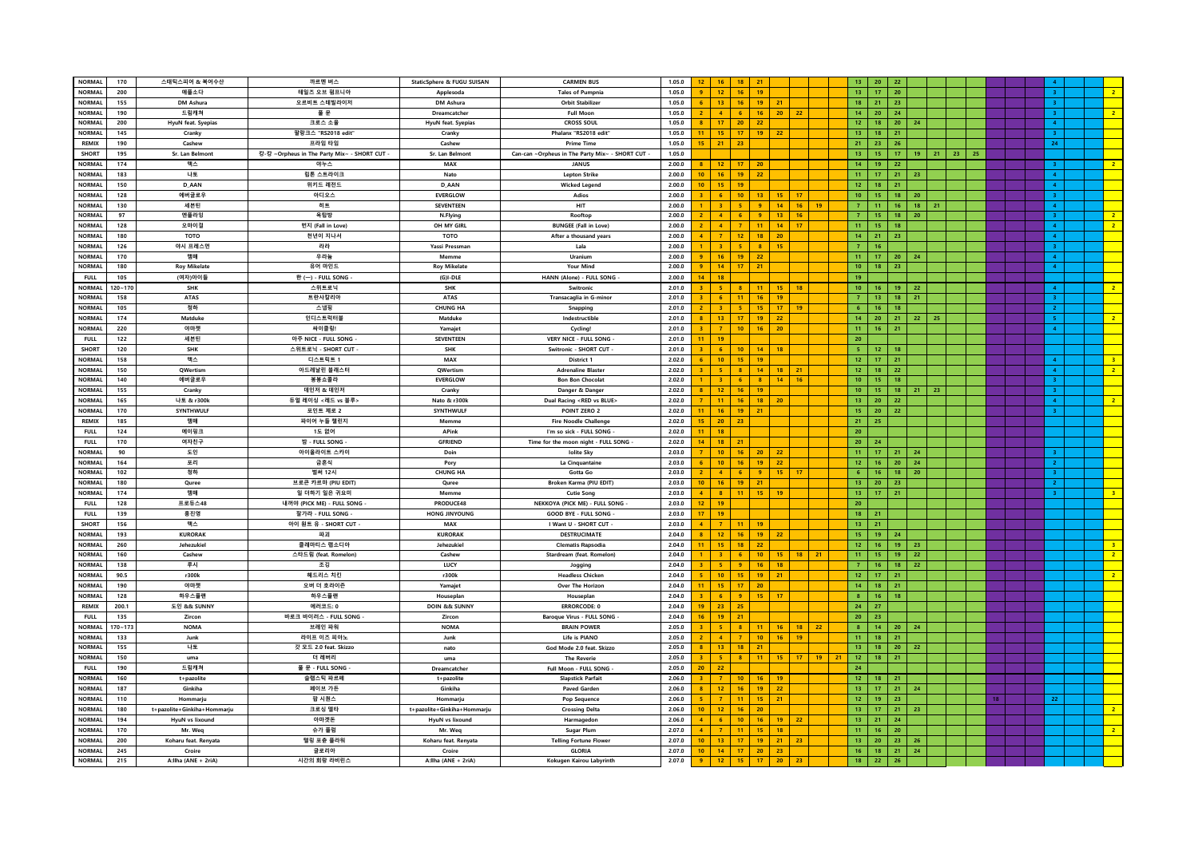| <b>NORMAL</b> | 170         | 스태틱스피어 & 복어수산               | 까르멘 버스                                     | StaticSphere & FUGU SUISAN  | <b>CARMEN BUS</b>                              | 1.05.0 |                 |                  | 18                                |                                   |                       |    | 13 <sup>°</sup>  | $20-1$<br>22            |                 |         |    |    |  |                         |                         |
|---------------|-------------|-----------------------------|--------------------------------------------|-----------------------------|------------------------------------------------|--------|-----------------|------------------|-----------------------------------|-----------------------------------|-----------------------|----|------------------|-------------------------|-----------------|---------|----|----|--|-------------------------|-------------------------|
|               |             |                             |                                            |                             |                                                |        | $12-$           | 16               | 21                                |                                   |                       |    |                  |                         |                 |         |    |    |  |                         |                         |
| <b>NORMAL</b> | 200         | 애플소다                        | 테일즈 오브 펌프니아                                | Applesoda                   | <b>Tales of Pumpnia</b>                        | 1.05.0 | 9 <sup>1</sup>  | 12               | 16<br>19                          |                                   |                       |    | 13               | $-17$<br>20             |                 |         |    |    |  | 3 <sup>1</sup>          | $\overline{2}$          |
| <b>NORMAL</b> | 155         | DM Ashura                   | 오르비트 스테빌라이저                                | DM Ashura                   | <b>Orbit Stabilizer</b>                        | 1.05.0 | 6               | $13-1$           | $16-1$<br>19                      | 21                                |                       |    | 18               | $21 -$<br>23            |                 |         |    |    |  | 3 <sup>1</sup>          |                         |
| <b>NORMAL</b> | 190         | 드림캐쳐                        | 풀문                                         | <b>Dreamcatcher</b>         | <b>Full Moon</b>                               | 1.05.0 | $\overline{2}$  | 4 <sup>1</sup>   | 6 <sup>1</sup><br>16              | 20                                | 22                    |    | 14 <sub>1</sub>  | 20 <sup>°</sup><br>24   |                 |         |    |    |  | $\overline{\mathbf{3}}$ | $\overline{2}$          |
| <b>NORMAL</b> | 200         | HyuN feat. Syepias          | 크로스 소울                                     | HyuN feat. Syepias          | <b>CROSS SOUL</b>                              | 1.05.0 | 8 <sup>1</sup>  | 17 <sub>1</sub>  | 20 <sub>2</sub><br>22             |                                   |                       |    | 12 <sub>2</sub>  | 18<br>20 <sub>2</sub>   | 24              |         |    |    |  | $4 -$                   |                         |
| <b>NORMAL</b> | 145         | Cranky                      | 팔랑크스 "RS2018 edit"                         | Cranky                      | Phalanx "RS2018 edit"                          | 1.05.0 | 11 <sup>2</sup> | 15 <sub>1</sub>  | 17<br>19                          | 22                                |                       |    | 13 <sup>°</sup>  | 18<br>21                |                 |         |    |    |  | 3 <sup>1</sup>          |                         |
|               |             |                             |                                            |                             |                                                |        |                 |                  |                                   |                                   |                       |    |                  |                         |                 |         |    |    |  |                         |                         |
| <b>REMIX</b>  | 190         | Cashew                      | 프라임 타임                                     | Cashew                      | <b>Prime Time</b>                              | 1.05.0 |                 | $15$   21        | 23                                |                                   |                       |    |                  | $21$   23  <br>26       |                 |         |    |    |  | 24                      |                         |
| SHORT         | 195         | Sr. Lan Belmont             | 캉-캉 ~Orpheus in The Party Mix~ - SHORT CUT | Sr. Lan Belmont             | Can-can ~Orpheus in The Party Mix~ - SHORT CUT | 1.05.0 |                 |                  |                                   |                                   |                       |    | $13-1$           | 15<br>$-17$             |                 | $19$ 21 | 23 | 25 |  |                         |                         |
| <b>NORMAL</b> | 174         | 맥스                          | 야누스                                        | MAX                         | <b>JANUS</b>                                   | 2,00.0 |                 | $-12$            | 17 <sub>1</sub><br>20             |                                   |                       |    | 14 <sup>°</sup>  | 19<br>22                |                 |         |    |    |  | 3.                      | 2 <sup>7</sup>          |
| <b>NORMAL</b> | 183         | 나토                          | 립톤 스트라이크                                   | Nato                        | <b>Lepton Strike</b>                           | 2.00.0 | $10-10$         | 16 <sub>1</sub>  | 19<br>22                          |                                   |                       |    | 11 <sub>1</sub>  | 17<br>21                | 23              |         |    |    |  | $\overline{4}$          |                         |
| <b>NORMAL</b> | 150         | D AAN                       | 위키드 레전드                                    | D AAN                       | <b>Wicked Legend</b>                           | 2.00.0 | $10-10$         | 15               | 19                                |                                   |                       |    | 12 <sub>2</sub>  | $18-1$<br>21            |                 |         |    |    |  | 4 <sup>1</sup>          |                         |
| <b>NORMAL</b> | 128         | 에버글로우                       | 아디오스                                       | <b>EVERGLOW</b>             | Adios                                          | 2.00.0 | 3 <sup>2</sup>  | $-6$             | 10 <sub>1</sub><br>13             | 15                                | 17                    |    | 10 <sub>10</sub> | 15<br>18                | 20              |         |    |    |  | 3 <sup>1</sup>          |                         |
|               |             |                             |                                            |                             |                                                |        |                 | $\overline{3}$   | $\mathbf{q}$                      |                                   |                       |    |                  |                         |                 |         |    |    |  |                         |                         |
| NORMAL        | 130         | 세븐틴                         | 히트                                         | SEVENTEEN                   | HIT                                            | 2.00.0 |                 |                  | $-5$                              | 14                                | $16-1$<br>19          |    | 7 <sup>7</sup>   | 11<br>16                | 18              | 21      |    |    |  | $\overline{4}$          |                         |
| <b>NORMAL</b> | 97          | 엔플라잉                        | 옥탑방                                        | N.Flying                    | Rooftop                                        | 2.00.0 |                 | $\mathbf{A}$     | - 6<br>$\overline{9}$             | 13                                | 16                    |    | 7 <sup>2</sup>   | 15<br>18                | $20\,$          |         |    |    |  | 3 <sub>1</sub>          | $\overline{2}$          |
| <b>NORMAL</b> | 128         | 오마이걸                        | 번지 (Fall in Love)                          | OH MY GIRL                  | <b>BUNGEE (Fall in Love)</b>                   | 2.00.0 |                 | $\overline{4}$   | $\overline{7}$<br>11              | 14 <sub>1</sub>                   | 17                    |    | 11 <sub>1</sub>  | 15<br>18                |                 |         |    |    |  | 4 <sup>1</sup>          | $\overline{2}$          |
| <b>NORMAL</b> | 180         | тото                        | 천년이 지나서                                    | тото                        | After a thousand years                         | 2.00.0 | $\mathbf{A}$    | $\overline{7}$   | 12 <sub>1</sub>                   | 18<br>20                          |                       |    | 14               | $-21$<br>23             |                 |         |    |    |  | 4 <sup>1</sup>          |                         |
| <b>NORMAL</b> | 126         | 야시 프레스먼                     | 라라                                         | Yassi Pressman              | Lala                                           | 2.00.0 |                 | 3 <sup>1</sup>   | 5 <sup>°</sup><br>8 <sup>1</sup>  | 15                                |                       |    | 7 <sup>7</sup>   | 16                      |                 |         |    |    |  | 3 <sup>1</sup>          |                         |
| NORMAL        | 170         | 맴매                          | 우라늄                                        | Memme                       | Uranium                                        | 2.00.0 | 9 <sup>1</sup>  | 16               | 19<br>22                          |                                   |                       |    | 11 <sub>1</sub>  | $-17$<br>20             | 24              |         |    |    |  | 4 <sup>1</sup>          |                         |
|               |             |                             |                                            |                             |                                                |        | $\overline{9}$  |                  |                                   |                                   |                       |    |                  |                         |                 |         |    |    |  |                         |                         |
| <b>NORMAL</b> | 180         | <b>Roy Mikelate</b>         | 유어 마인드                                     | <b>Roy Mikelate</b>         | Your Mind                                      | 2.00.0 |                 | 14 <sub>1</sub>  | 17<br>21                          |                                   |                       |    | 10 <sub>10</sub> | 18<br>23                |                 |         |    |    |  | 4 <sup>1</sup>          |                         |
| <b>FULL</b>   | 105         | (여자)아이들                     | 한 (一) - FULL SONG                          | $(G)I-DLE$                  | HANN (Alone) - FULL SONG -                     | 2.00.0 | 14              | 18               |                                   |                                   |                       |    | 19               |                         |                 |         |    |    |  |                         |                         |
| <b>NORMAL</b> | $120 - 170$ | <b>SHK</b>                  | 스위트로닉                                      | SHK                         | Switronic                                      | 2.01.0 |                 | $-5$             | 8<br>11                           | 15 <sub>1</sub>                   | 18                    |    | 10 <sub>1</sub>  | 16<br>19                | 22              |         |    |    |  | 4 <sup>1</sup>          | $2^{\circ}$             |
| NORMAL        | 158         | <b>ATAS</b>                 | 트란사칼리아                                     | <b>ATAS</b>                 | <b>Transacaglia in G-minor</b>                 | 2.01.0 |                 | $-6$             | 11                                | 16<br>19                          |                       |    | 7 <sup>7</sup>   | 13 <sup>°</sup><br>18   | 21              |         |    |    |  | 3 <sup>1</sup>          |                         |
| <b>NORMAL</b> | 105         | 청하                          | 스냅핑                                        | <b>CHUNG HA</b>             | Snapping                                       | 2.01.0 | 2 <sup>7</sup>  | $-3$             | $\,$ 5 $\,$<br>$15\,$             | 17 <sup>°</sup>                   | 19                    |    | 6 <sup>1</sup>   | 16 <sup>°</sup><br>$18$ |                 |         |    |    |  | $\overline{2}$          |                         |
| <b>NORMAL</b> | 174         | Matduke                     | 인디스트럭터블                                    | Matduke                     | Indestructible                                 | 2.01.0 | 8               | 13 <sup>°</sup>  | 17<br>19                          | 22                                |                       |    | 14 <sub>1</sub>  | 20<br>21                | 22              | 25      |    |    |  | 5 <sup>2</sup>          | 2 <sup>7</sup>          |
| <b>NORMAL</b> | 220         | 야마젯                         | 싸이클링!                                      | Yamajet                     | Cycling!                                       | 2.01.0 | 3               | $\overline{7}$   | 10 <sub>1</sub><br>16             | 20                                |                       |    | $11 -$           | 16<br>21                |                 |         |    |    |  | $\overline{4}$          |                         |
| <b>FULL</b>   | 122         | 세븐틴                         | 아주 NICE - FULL SONG                        | SEVENTEEN                   | VERY NICE - FULL SONG                          | 2.01.0 | $11-1$          | 19               |                                   |                                   |                       |    | 20 <sub>2</sub>  |                         |                 |         |    |    |  |                         |                         |
| <b>SHORT</b>  | 120         | <b>SHK</b>                  | 스위트로닉 - SHORT CUT                          | <b>SHK</b>                  | Switronic - SHORT CUT                          | 2.01.0 | 3 <sup>1</sup>  | $-6$             | $10$ 14                           | 18                                |                       |    | $-5$             | 12<br>18                |                 |         |    |    |  |                         |                         |
| NORMAL        | 158         | 맥스                          | 디스트릭트 1                                    | MAX                         | District 1                                     | 2.02.0 |                 | 10 <sub>1</sub>  | 15                                | 19                                |                       |    | 12 <sub>1</sub>  | 17<br>21                |                 |         |    |    |  | $\overline{4}$          | $\overline{\mathbf{3}}$ |
|               |             |                             |                                            |                             |                                                |        |                 |                  |                                   |                                   |                       |    |                  |                         |                 |         |    |    |  |                         |                         |
| <b>NORMAL</b> | 150         | OWertism                    | 아드레날린 블래스터                                 | OWertism                    | <b>Adrenaline Blaster</b>                      | 2.02.0 | 3 <sup>2</sup>  | -5.              | $\overline{\mathbf{8}}$<br>14     | 18                                | 21                    |    | 12 <sup>7</sup>  | 18<br>22                |                 |         |    |    |  | $\overline{4}$          | 2 <sup>7</sup>          |
| <b>NORMAL</b> | 140         | 에버글로우                       | 봉봉쇼콜라                                      | <b>EVERGLOW</b>             | <b>Bon Bon Chocolat</b>                        | 2.02.0 | 1.              | $-3$             | $-6$                              | 8 <sub>1</sub><br>14 <sub>1</sub> | 16                    |    | 10 <sub>10</sub> | 15<br>18                |                 |         |    |    |  | 3                       |                         |
| <b>NORMAL</b> | 155         | Cranky                      | 데인저 & 데인저                                  | Cranky                      | Danger & Danger                                | 2.02.0 | 8               | $-12$            | 16<br>19                          |                                   |                       |    | 10 <sub>1</sub>  | 15<br>18                |                 | $21$ 23 |    |    |  | 3 <sup>2</sup>          |                         |
| <b>NORMAL</b> | 165         | 나토 & r300k                  | 듀얼 레이싱 <레드 vs 블루>                          | Nato & r300k                | Dual Racing <red blue="" vs=""></red>          | 2.02.0 | 7 <sup>1</sup>  | 11 <sub>1</sub>  | 16<br>18                          | 20                                |                       |    | 13 <sup>°</sup>  | 20 <sup>°</sup><br>22   |                 |         |    |    |  | 4 <sup>1</sup>          | 2 <sup>7</sup>          |
| <b>NORMAL</b> | 170         | SYNTHWULF                   | 포인트 제로 2                                   | SYNTHWULF                   | POINT ZERO 2                                   | 2.02.0 | $11-1$          | 16               | 19<br>21                          |                                   |                       |    | $15-15$          | 20<br>22                |                 |         |    |    |  | 3 <sup>7</sup>          |                         |
| <b>REMIX</b>  | 185         | 맴매                          | 파이어 누들 챌린지                                 | Memme                       | <b>Fire Noodle Challenge</b>                   | 2.02.0 | 15              | 20 <sup>°</sup>  | 23                                |                                   |                       |    | $21 -$           | 25                      |                 |         |    |    |  |                         |                         |
| <b>FULL</b>   | 124         | 에이핑크                        | 1도 없어                                      | APink                       | I'm so sick - FULL SONG                        | 2.02.0 | $11 -$          | 18               |                                   |                                   |                       |    | 20               |                         |                 |         |    |    |  |                         |                         |
| <b>FULL</b>   | 170         | 여자친구                        | 밤 - FULL SONG                              | <b>GFRIEND</b>              | Time for the moon night - FULL SONG -          | 2.02.0 | 14 <sup>2</sup> | 18               | 21                                |                                   |                       |    | 20 <sup>°</sup>  | 24                      |                 |         |    |    |  |                         |                         |
| <b>NORMAL</b> | 90          | 도인                          | 아이올라이트 스카이                                 | Doin                        | <b>Iolite Sky</b>                              | 2.03.0 |                 | 10 <sup>°</sup>  | 16<br>20                          | 22                                |                       |    | 11 <sub>1</sub>  | 17<br>21                | 24              |         |    |    |  |                         |                         |
| <b>NORMAL</b> | 164         | 포리                          | 금혼식                                        |                             |                                                |        |                 | 10 <sup>10</sup> |                                   |                                   |                       |    |                  |                         |                 |         |    |    |  | 2 <sup>1</sup>          |                         |
|               |             |                             |                                            | Pory                        | La Cinquantaine                                | 2.03.0 |                 |                  | 16 <sup>°</sup><br>19             | 22                                |                       |    | 12 <sub>1</sub>  | 16<br>20                | ${\bf 24}$      |         |    |    |  |                         |                         |
| <b>NORMAL</b> | 102         | 청하                          | 벌써 12시                                     | <b>CHUNG HA</b>             | Gotta Go                                       | 2.03.0 | 2 <sup>2</sup>  | $-4$             | 6<br>9                            | 15                                | 17                    |    | 6                | 18<br>16                | 20 <sub>2</sub> |         |    |    |  | 3.                      |                         |
| <b>NORMAL</b> | 180         | Quree                       | 브로큰 카르마 (PIU EDIT)                         | Quree                       | Broken Karma (PIU EDIT)                        | 2.03.0 | $10-10$         | 16               | 19<br>21                          |                                   |                       |    | 13 <sub>1</sub>  | 20<br>23                |                 |         |    |    |  | 2 <sup>1</sup>          |                         |
| <b>NORMAL</b> | 174         | 맹매                          | 일 더하기 일은 귀요미                               | Memme                       | Cutie Song                                     | 2.03.0 | 4 <sup>1</sup>  | 8 <sup>1</sup>   | $11$ 15                           | 19                                |                       |    | 13 <sup>°</sup>  | 17 <sup>2</sup><br>21   |                 |         |    |    |  | $\overline{3}$          | 3 <sup>1</sup>          |
| <b>FULL</b>   | 128         | 프로듀스48                      | 내꺼야 (PICK ME) - FULL SONG                  | PRODUCE48                   | NEKKOYA (PICK ME) - FULL SONG -                | 2.03.0 | $12 -$          | 19               |                                   |                                   |                       |    | 20 <sub>2</sub>  |                         |                 |         |    |    |  |                         |                         |
| FULL.         | 139         | 홍진영                         | 잘가라 - FULL SONG -                          | HONG JINYOUNG               | GOOD BYE - FULL SONG                           | 2.03.0 | 17 <sup>2</sup> | 19               |                                   |                                   |                       |    | $18-1$           | 21                      |                 |         |    |    |  |                         |                         |
| <b>SHORT</b>  | 156         | 맥스                          | 아이 원트 유 - SHORT CUT ·                      | MAX                         | I Want U - SHORT CUT                           | 2.03.0 | $\overline{A}$  | $-7$             | $11-1$<br>19                      |                                   |                       |    | 13               | $-21$                   |                 |         |    |    |  |                         |                         |
| NORMAL        | 193         | <b>KURORAK</b>              | 파괴                                         | <b>KURORAK</b>              | <b>DESTRUCIMATE</b>                            | 2.04.0 |                 | 12 <sup>2</sup>  | 16 <sup>2</sup><br>19             | 22                                |                       |    | 15               | 19 <sub>1</sub><br>24   |                 |         |    |    |  |                         |                         |
| <b>NORMAL</b> | 260         | Jehezukiel                  | 클레마티스 랩소디아                                 | Jehezukiel                  | <b>Clematis Rapsodia</b>                       | 2.04.0 | 11              | 15               | 18<br>22                          |                                   |                       |    | 12 <sub>12</sub> | 16<br>19                | 23              |         |    |    |  |                         | 3 <sup>°</sup>          |
| <b>NORMAL</b> | 160         | Cashew                      | 스타드림 (feat. Romelon)                       | Cashew                      | Stardream (feat. Romelon)                      | 2.04.0 |                 |                  | 6                                 | 10 <sub>1</sub><br>15             | 18<br>21              |    | 11 <sub>1</sub>  | 15<br>19                | 22              |         |    |    |  |                         | $\overline{2}$          |
| <b>NORMAL</b> | 138         | 루시                          | 조깅                                         | LUCY                        |                                                | 2.04.0 | 3 <sup>2</sup>  | - 5              | $\overline{9}$                    | 16 <sub>1</sub><br>18             |                       |    | 7 <sup>7</sup>   | 18<br>$16-1$            | 22 <sub>2</sub> |         |    |    |  |                         |                         |
|               |             |                             |                                            |                             | Jogging                                        |        |                 |                  |                                   |                                   |                       |    |                  |                         |                 |         |    |    |  |                         |                         |
| <b>NORMAL</b> | 90.5        | r300k                       | 헤드리스 치킨                                    | r300k                       | <b>Headless Chicker</b>                        | 2.04.0 | 5.              | 10 <sub>1</sub>  | 15                                | 19 <sub>1</sub><br>21             |                       |    | 12 <sub>2</sub>  | 17<br>21                |                 |         |    |    |  |                         | 2 <sup>7</sup>          |
| <b>NORMAL</b> | 190         | 야마젯                         | 오버 더 호라이즌                                  | Yamajet                     | <b>Over The Horizor</b>                        | 2.04.0 | 11 <sup>2</sup> | $15-15$          | 17 <sup>°</sup><br>20             |                                   |                       |    | 14 <sup>°</sup>  | 18<br>21                |                 |         |    |    |  |                         |                         |
| <b>NORMAL</b> | 128         | 하우스플랜                       | 하우스플랜                                      | Houseplan                   | Houseplan                                      | 2.04.0 | 3 <sup>1</sup>  | $-6$             | $9+$<br>15                        | 17                                |                       |    | 8 <sub>1</sub>   | 16<br>18                |                 |         |    |    |  |                         |                         |
| <b>REMIX</b>  | 200.1       | 도인 && SUNNY                 | 에러코드: 0                                    | DOIN && SUNNY               | <b>ERRORCODE: 0</b>                            | 2.04.0 | $19-1$          | 23 <sub>1</sub>  | 25                                |                                   |                       |    | 24               | 27                      |                 |         |    |    |  |                         |                         |
| <b>FULL</b>   | 135         | Zircon                      | 바로크 바이러스 - FULL SONG -                     | Zircon                      | <b>Baroque Virus - FULL SONG</b>               | 2.04.0 | $16-1$          | 19               | 21                                |                                   |                       |    | 20               | 23                      |                 |         |    |    |  |                         |                         |
| <b>NORMAL</b> | $170 - 173$ | <b>NOMA</b>                 | 브레인 파워                                     | <b>NOMA</b>                 | <b>BRAIN POWER</b>                             | 2.05.0 |                 | $-5$             | 8 <sub>1</sub><br>11              | 16                                | 22<br>18              |    | 8 <sub>1</sub>   | 14<br>20 <sub>2</sub>   | 24              |         |    |    |  |                         |                         |
| <b>NORMAL</b> | 133         | Junk                        | 라이프 이즈 피아노                                 | Junk                        | Life is PIANO                                  | 2.05.0 | 2 <sup>1</sup>  | $\overline{4}$   | $\overline{7}$<br>10              | 16                                | 19                    |    | 11 <sub>1</sub>  | 18<br>21                |                 |         |    |    |  |                         |                         |
| <b>NORMAL</b> | 155         | 나토                          | 갓 모드 2.0 feat. Skizzo                      | nato                        | God Mode 2.0 feat. Skizzo                      | 2.05.0 | 8               | 13 <sup>°</sup>  | 18<br>21                          |                                   |                       |    | 13 <sup>°</sup>  | 20<br>18                | 22              |         |    |    |  |                         |                         |
| <b>NORMAL</b> | 150         | uma                         | 더 레버리                                      | uma                         | <b>The Reverie</b>                             | 2.05.0 | 3 <sup>2</sup>  | $-5$             | 8 <sup>1</sup><br>11 <sub>1</sub> | 15                                | 17 <sup>2</sup><br>19 | 21 | 12 <sub>12</sub> | 21<br>18                |                 |         |    |    |  |                         |                         |
| <b>FULL</b>   | 190         | 드림캐쳐                        | 풀 문 - FULL SONG                            |                             | Full Moon - FULL SONG                          | 2.05.0 | $20 -$          | $-22$            |                                   |                                   |                       |    | 24               |                         |                 |         |    |    |  |                         |                         |
| <b>NORMAL</b> |             |                             |                                            | Dreamcatcher                |                                                | 2.06.0 |                 |                  |                                   |                                   |                       |    |                  |                         |                 |         |    |    |  |                         |                         |
|               | 160         | t+pazolite                  | 슬랩스틱 파르페                                   | t+pazolite                  | <b>Slapstick Parfait</b>                       |        |                 | $\overline{7}$   | 10 <sub>1</sub>                   | 16<br>19                          |                       |    | 12 <sup>7</sup>  | 18<br>21                |                 |         |    |    |  |                         |                         |
| <b>NORMAL</b> | 187         | Ginkiha                     | 페이브 가든                                     | Ginkiha                     | <b>Paved Garden</b>                            | 2.06.0 | 8 <sup>1</sup>  | 12 <sup>7</sup>  | 16 <sup>°</sup><br>19             | 22                                |                       |    | 13               | 17 <sub>1</sub><br>21   | 24              |         |    |    |  |                         |                         |
| <b>NORMAL</b> | 110         | Hommariu                    | 팝 시퀀스                                      | Hommariu                    | <b>Pop Sequence</b>                            | 2.06.0 | 5.              | 7 <sup>7</sup>   | 11                                | 15<br>21                          |                       |    | 12 <sub>1</sub>  | 19<br>23                |                 |         |    |    |  | 22                      |                         |
| <b>NORMAL</b> | 180         | t+pazolite+Ginkiha+Hommarju | 크로싱 델타                                     | t+pazolite+Ginkiha+Hommarju | <b>Crossing Delta</b>                          | 2.06.0 | $10-10$         | 12               | 16 <sub>1</sub><br>20             |                                   |                       |    | $13 -$           | $17-1$<br>21            | 23              |         |    |    |  |                         | $\overline{2}$          |
| <b>NORMAL</b> | 194         | HyuN vs lixound             | 아마겟돈                                       | HyuN vs lixound             | Harmagedon                                     | 2.06.0 |                 | 6 <sup>1</sup>   | $10-10$<br>16                     | 19                                | 22                    |    | $13-1$           | $-21$<br>24             |                 |         |    |    |  |                         |                         |
| <b>NORMAL</b> | 170         | Mr. Weq                     | 슈가 플럼                                      | Mr. Weq                     | <b>Sugar Plum</b>                              | 2.07.0 |                 |                  | 11<br>15                          | 18                                |                       |    | 11 <sub>1</sub>  | 16<br>20                |                 |         |    |    |  |                         | $\overline{2}$          |
| <b>NORMAL</b> | 200         | Koharu feat. Renyata        | 텔링 포츈 플라워                                  | Koharu feat. Renyata        | <b>Telling Fortune Flower</b>                  | 2.07.0 | 10 <sup>°</sup> | 13               | 17                                | 19<br>21                          | 23                    |    | 13               | 20 <sub>2</sub><br>23   | 26              |         |    |    |  |                         |                         |
| <b>NORMAL</b> | 245         | Croire                      | 글로리아                                       | Croire                      | <b>GLORIA</b>                                  | 2.07.0 | $10-10$         | 14               | 17 <sup>°</sup><br>20             | 23                                |                       |    | 16 <sup>°</sup>  | $18-1$<br>21            | 24 <sup>°</sup> |         |    |    |  |                         |                         |
| <b>NORMAL</b> | 215         | A:llha (ANE + 2riA)         | 시간의 회랑 라비린스                                | A:llha (ANE + 2riA)         | Kokugen Kairou Labyrinth                       | 2.07.0 |                 | $9$ 12           | 15<br>$-17$                       | 20 <sub>2</sub>                   | 23                    |    | 18               | 22<br>26                |                 |         |    |    |  |                         |                         |
|               |             |                             |                                            |                             |                                                |        |                 |                  |                                   |                                   |                       |    |                  |                         |                 |         |    |    |  |                         |                         |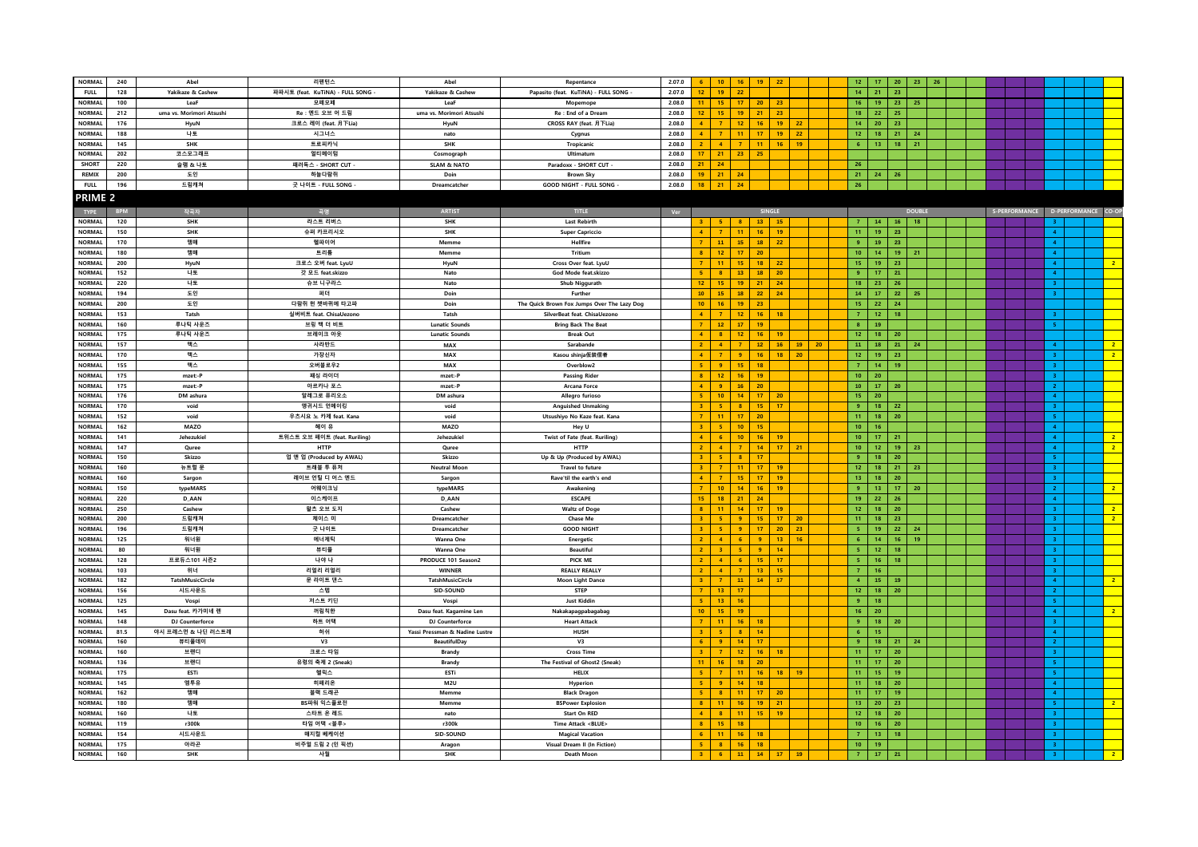| <b>NORMAL</b>         | 240        | Abel                     | 리펜턴스                              | Ahel                           | Repentance                                  | 2.07.0 |                  | 10 <sup>10</sup>        | 16                      | $19$ 22         |                       |                 | $12-12$         | $-17$           | 20              | 23            | 26 |  |  |                    |                                   |
|-----------------------|------------|--------------------------|-----------------------------------|--------------------------------|---------------------------------------------|--------|------------------|-------------------------|-------------------------|-----------------|-----------------------|-----------------|-----------------|-----------------|-----------------|---------------|----|--|--|--------------------|-----------------------------------|
| <b>FULL</b>           | 128        | Yakikaze & Cashew        | 파파시토 (feat. KuTiNA) - FULL SONG - | Yakikaze & Cashew              | Papasito (feat. KuTiNA) - FULL SONG -       | 2.07.0 |                  |                         | 22                      |                 |                       |                 | $14-14$         | 21              | 23              |               |    |  |  |                    |                                   |
| <b>NORMAL</b>         | 100        | LeaF                     | 모페모페                              | LeaF                           | Mopemope                                    | 2.08.0 |                  | 15                      | 17                      | 20 <sub>2</sub> | 23                    |                 | 16              | 19              | 23              | 25            |    |  |  |                    |                                   |
| <b>NORMAL</b>         | 212        | uma vs. Morimori Atsushi | Re : 엔드 오브 어 드림                   | uma vs. Morimori Atsushi       | Re : End of a Dream                         | 2.08.0 | 12 <sup>2</sup>  | 15                      | 19                      | 21              | 23                    |                 | 18 <sup>°</sup> | 22              | 25              |               |    |  |  |                    |                                   |
| <b>NORMAL</b>         | 176        | HyuN                     | 크로스 레이 (feat. 月下Lia)              | HyuN                           | CROSS RAY (feat. 月下Lia)                     | 2.08.0 |                  | $\overline{7}$          | 12 <sub>2</sub>         | 16              | 19<br>22              |                 | 14 <sup>°</sup> | 20              | 23              |               |    |  |  |                    |                                   |
| <b>NORMAL</b>         | 188        | 나토                       | 시그너스                              | nato                           |                                             | 2.08.0 |                  | $\overline{7}$          | 11                      | 17              | 22<br>$19-19$         |                 | $12-12$         | 18              | 21              | 24            |    |  |  |                    |                                   |
| <b>NORMAL</b>         | 145        |                          | 트로피카닉                             |                                | Cygnus                                      | 2.08.0 |                  | $\overline{4}$          | $\overline{7}$          | 11              | 19<br>16              |                 | 6 <sup>1</sup>  | $13-1$          | 18              | 21            |    |  |  |                    |                                   |
| NORMAL                |            | SHK<br>코스모그래프            | 얼티메이텀                             | SHK                            | Tropicanic<br>Ultimatun                     | 2.08.0 | 17 <sup>2</sup>  | 21                      |                         |                 |                       |                 |                 |                 |                 |               |    |  |  |                    |                                   |
| <b>SHORT</b>          | 202        |                          |                                   | Cosmograph                     |                                             | 2,08.0 | 21 <sup>2</sup>  | 24                      | $23$ 25                 |                 |                       |                 | 26              |                 |                 |               |    |  |  |                    |                                   |
|                       | 220        | 슬램 & 나토                  | 패러독스 - SHORT CUT                  | <b>SLAM &amp; NATO</b>         | Paradoxx - SHORT CUT -                      |        |                  |                         |                         |                 |                       |                 |                 |                 |                 |               |    |  |  |                    |                                   |
| REMIX                 | 200        | 도인                       | 하늘다람쥐                             | Doin                           | <b>Brown Sky</b>                            | 2.08.0 | 19               | 21                      | 24                      |                 |                       |                 | 21              | 24              | 26              |               |    |  |  |                    |                                   |
| <b>FULL</b>           | 196        | 드림캐쳐                     | 굿 나이트 - FULL SONG                 | Dreamcatcher                   | GOOD NIGHT - FULL SONG -                    | 2.08.0 | 18               | 21                      | 24                      |                 |                       |                 | 26              |                 |                 |               |    |  |  |                    |                                   |
| <b>PRIME 2</b>        |            |                          |                                   |                                |                                             |        |                  |                         |                         |                 |                       |                 |                 |                 |                 |               |    |  |  |                    |                                   |
|                       | <b>BPM</b> |                          |                                   | <b>ARTIST</b>                  | <b>TITLE</b>                                | Ver    |                  |                         |                         | <b>SINGLE</b>   |                       |                 |                 |                 |                 | <b>DOUBLE</b> |    |  |  |                    | S-PERFORMANCE D-PERFORMANCE CO-OP |
| TYPE<br><b>NORMAL</b> |            | 작곡자<br><b>SHK</b>        | 곡명<br>라스트 리버스                     | <b>SHK</b>                     |                                             |        |                  |                         |                         |                 |                       |                 |                 |                 |                 |               |    |  |  |                    |                                   |
|                       | 120        |                          |                                   |                                | <b>Last Rebirth</b>                         |        | $3 -$            | $-5$                    | $\overline{\mathbf{8}}$ | 13              | 15                    |                 | 7 <sup>2</sup>  | $-14$           | 16              | 18            |    |  |  | 3.                 |                                   |
| <b>NORMAL</b>         | 150        | SHK                      | 슈퍼 카프리시오                          | SHK                            | <b>Super Capriccio</b>                      |        |                  | $\overline{7}$          | 11                      | 16 <sup>°</sup> | 19                    |                 | 11 <sub>1</sub> | 19              | 23              |               |    |  |  | 4 <sup>1</sup>     |                                   |
| <b>NORMAL</b>         | 170        | 맴매                       | 헬파이어                              | Memm                           | Hellfire                                    |        |                  | 11                      | 15 <sub>15</sub>        | 18              | 22                    |                 | $9+$            | 19              | 23              |               |    |  |  | $\overline{4}$     |                                   |
| NORMAL                | 180        | 맴매                       | 트리튬                               | Memme                          | Tritium                                     |        |                  | 12                      | 17                      | 20              |                       |                 | 10 <sub>1</sub> | $14 -$          | 19              | 21            |    |  |  | 4 <sup>1</sup>     |                                   |
| <b>NORMAL</b>         | 200        | HyuN                     | 크로스 오버 feat. LyuU                 | HyuN                           | Cross Over feat. LyuU                       |        |                  | 11                      | 15                      | 18 <sup>°</sup> | -22                   |                 | 15              | 19              | 23              |               |    |  |  | 4 <sup>1</sup>     | $\overline{2}$                    |
| NORMAL                | 152        | 나토                       | 갓 모드 feat.skizzo                  | Nato                           | God Mode feat.skizzo                        |        |                  | $\overline{\mathbf{8}}$ | 13 <sup>°</sup>         | 18              | 20                    |                 | $9+$            | 17              | 21              |               |    |  |  | $4 -$              |                                   |
| <b>NORMAL</b>         | 220        | 나토                       | 슈브 니구라스                           | Nato                           | Shub Niggurath                              |        | 12 <sup>2</sup>  | 15                      | 19                      | 21              | 24                    |                 | 18 <sup>°</sup> | 23              | 26              |               |    |  |  | 3 <sup>1</sup>     |                                   |
| NORMAL                | 194        | 도인                       | 퍼더                                | Doin                           | Further                                     |        | 10               | 15                      | 18                      | 22              | 24                    |                 | 14 <sub>1</sub> | 17 <sup>2</sup> | 22              | 25            |    |  |  | 3 <sup>1</sup>     |                                   |
| <b>NORMAL</b>         | 200        | 도인                       | 다람쥐 헌 쳇바퀴에 타고파                    | Doin                           | The Quick Brown Fox Jumps Over The Lazy Dog |        | 10 <sub>1</sub>  | 16                      | 19                      | 23              |                       |                 | $15-15$         | 22              | 24              |               |    |  |  |                    |                                   |
| <b>NORMAL</b>         | 153        | Tatsh                    | 실버비트 feat. ChisaUezono            | Tatsh                          | SilverBeat feat. ChisaUezono                |        | $\blacktriangle$ | $\overline{7}$          | 12 <sub>2</sub>         | 16              | 18                    |                 | 7 <sup>7</sup>  | 12 <sub>1</sub> | 18              |               |    |  |  | 3 <sup>1</sup>     |                                   |
| <b>NORMAL</b>         | 160        | 루나틱 사운즈                  | 브링 백 더 비트                         | <b>Lunatic Sounds</b>          | <b>Bring Back The Beat</b>                  |        |                  | 12                      | 17 <sub>z</sub>         | 19              |                       |                 | 8 <sup>1</sup>  | 19              |                 |               |    |  |  | 5 <sup>2</sup>     |                                   |
| <b>NORMAL</b>         | 175        | 루나틱 사운즈                  | 브레이크 아웃                           | <b>Lunatic Sounds</b>          | <b>Break Out</b>                            |        |                  | 8                       | 12                      | 16 <sub>1</sub> | 19                    |                 | 12 <sup>7</sup> | 18              | 20              |               |    |  |  |                    |                                   |
| <b>NORMAL</b>         | 157        | 맥스                       | 사라반드                              | MAX                            | Sarabande                                   |        |                  | $\overline{4}$          | $\overline{7}$          | 12 <sup>°</sup> | $16-1$<br>19          | 20 <sub>2</sub> | 11 <sub>1</sub> | 18              | 21              | 24            |    |  |  | $4 -$              | $\overline{2}$                    |
| <b>NORMAL</b>         | 170        | 맥스                       | 가장신자                              | MAX                            | Kasou shinja仮装信者                            |        | $\blacktriangle$ | $\overline{7}$          | 9 <sup>°</sup>          | 16              | 18<br>20              |                 | $12-12$         | $19-1$          | 23              |               |    |  |  | 3 <sub>1</sub>     | $\overline{2}$                    |
| <b>NORMAL</b>         | 155        | 맥스                       | 오버블로우2                            | MAX                            | Overblow                                    |        |                  | $\overline{9}$          | 15                      | 18              |                       |                 | 7 <sup>7</sup>  | $14-14$         | 19              |               |    |  |  | 3 <sup>1</sup>     |                                   |
| NORMAL                | 175        | mzet:-P                  | 패싱 라이더                            | mzet:-P                        | <b>Passing Rider</b>                        |        |                  | 12                      | 16                      | 19              |                       |                 | $10-10$         | 20              |                 |               |    |  |  | 3 <sup>1</sup>     |                                   |
| <b>NORMAL</b>         | 175        | mzet:-P                  | 아르카나 포스                           | mzet:-P                        | <b>Arcana Force</b>                         |        | $\mathbf{A}$     | $\overline{9}$          | 16                      | 20              |                       |                 | 10 <sub>1</sub> | 17 <sup>2</sup> | 20              |               |    |  |  | 2 <sup>1</sup>     |                                   |
| <b>NORMAL</b>         | 176        | DM ashura                | 알레그로 퓨리오소                         | DM ashura                      | Allegro furioso                             |        | 5 <sup>1</sup>   | 10 <sub>1</sub>         | 14                      | 17              | 20                    |                 | 15              | 20              |                 |               |    |  |  | $4 -$              |                                   |
| <b>NORMAL</b>         | 170        | void                     | 앵귀시드 언메이킹                         | void                           | <b>Anguished Unmaking</b>                   |        |                  |                         | $\mathbf{a}$            | 15              | 17                    |                 | 9               | 18              | 22              |               |    |  |  | 3 <sup>1</sup>     |                                   |
| <b>NORMAL</b>         |            |                          | 우츠시요 노 카제 feat. Kana              | void                           |                                             |        |                  | 11                      | 17                      |                 |                       |                 | 11 <sub>1</sub> | 18              | 20              |               |    |  |  | 5 <sub>1</sub>     |                                   |
|                       | 152        | void                     |                                   |                                | Utsushiyo No Kaze feat. Kana                |        |                  |                         |                         | 20              |                       |                 |                 |                 |                 |               |    |  |  |                    |                                   |
| <b>NORMAL</b>         | 162        | <b>MAZO</b>              | 헤이 유                              | <b>MAZO</b>                    | Hey U                                       |        |                  | -5                      | 10 <sub>1</sub>         | 15              |                       |                 | $10-10$         | $16-1$          |                 |               |    |  |  | $\overline{4}$     |                                   |
| NORMAL                | 141        | Jehezukiel               | 트위스트 오브 페이트 (feat. Ruriling)      | Jehezukiel                     | Twist of Fate (feat. Ruriling)              |        | $\mathbf{A}$     | -6                      | 10 <sub>1</sub>         | 16 <sup>°</sup> | 19                    |                 | 10 <sub>1</sub> | 17              | 21              |               |    |  |  | $4 -$              | 2 <sup>7</sup>                    |
| NORMAL                | 147        | Ouree                    | <b>HTTP</b>                       | Ouree                          | <b>HTTP</b>                                 |        |                  |                         | $\overline{7}$          | 14              | $17-17$<br>21         |                 | $10-10$         | $12-12$         | 19              | 23            |    |  |  | $\overline{4}$     | $\overline{2}$                    |
| <b>NORMAL</b>         | 150        | Skizzo                   | 업 앤 업 (Produced by AWAL)          | Skizzo                         | Up & Up (Produced by AWAL)                  |        |                  | $\overline{5}$          | $\mathbf{a}$            | 17              |                       |                 | 9 <sup>°</sup>  | 18              | 20              |               |    |  |  | 5 <sub>1</sub>     |                                   |
| NORMAL                | 160        | 뉴트럴 문                    | 트래블 투 퓨처                          | <b>Neutral Moon</b>            | Travel to future                            |        |                  |                         | 11                      | 17              | 19                    |                 | 12 <sup>7</sup> | 18              | 21              | 23            |    |  |  | 3 <sup>1</sup>     |                                   |
| <b>NORMAL</b>         | 160        | <b>5argon</b>            | 레이브 언틸 디 어스 엔드                    | <b>5argon</b>                  | Rave'til the earth's end                    |        | $\mathbf{A}$     |                         | 15                      | 17              | 19                    |                 | 13 <sup>°</sup> | 18              | 20              |               |    |  |  | 3                  |                                   |
| <b>NORMAL</b>         | 150        | typeMARS                 | 어웨이크닝                             | typeMARS                       | Awakening                                   |        |                  | 10                      | 14                      | 16              | 19                    |                 | 9               | $13-1$          | 17              | 20            |    |  |  | 2 <sup>1</sup>     | 2 <sup>7</sup>                    |
| NORMAL                | 220        | D_AAN                    | 이스케이프                             | D_AAN                          | <b>ESCAPE</b>                               |        | 15               | 18                      | 21                      | 24              |                       |                 | $19-1$          | 22 <sup>°</sup> | 26              |               |    |  |  | $\overline{4}$     |                                   |
| <b>NORMAL</b>         | 250        | Cashew                   | 왈츠 오브 도지                          | Cashew                         | <b>Waltz of Doge</b>                        |        |                  | 11                      | 14                      | 17              | 19                    |                 | 12 <sup>7</sup> | 18              | 20              |               |    |  |  | 3 <sup>1</sup>     | 2 <sup>7</sup>                    |
| NORMAL                | 200        | 드림캐쳐                     | 체이스 미                             | Dreamcatcher                   | Chase Me                                    |        |                  | $-5$                    | -9                      | 15              | 17 <sup>2</sup><br>20 |                 | 11 <sub>1</sub> | 18              | 23              |               |    |  |  | 3                  | 2 <sup>7</sup>                    |
| NORMAL                | 196        | 드림캐쳐                     | 굿 나이트                             | Dreamcatcher                   | <b>GOOD NIGHT</b>                           |        |                  | -5                      | $\overline{9}$          | 17              | 20<br>23              |                 | 5 <sup>2</sup>  | $19-1$          | 22              | 24            |    |  |  | 3 <sup>1</sup>     |                                   |
| NORMAL                | 125        | 워너원                      | 에너제틱                              | Wanna One                      | Energetic                                   |        |                  | $\boldsymbol{A}$        | 6                       | $\mathbf{q}$    | 13 <sup>°</sup><br>16 |                 | 6 <sup>1</sup>  | 14 <sup>°</sup> | 16 <sup>°</sup> | 19            |    |  |  | 3 <sup>1</sup>     |                                   |
| NORMAL                | 80         | 워너원                      | 뷰티플                               | Wanna One                      | <b>Beautiful</b>                            |        |                  |                         |                         | $\overline{9}$  | 14                    |                 | 5 <sup>°</sup>  | 12 <sub>1</sub> | 18              |               |    |  |  | 3 <sup>1</sup>     |                                   |
| NORMAL                | 128        | 프로듀스101 시즌2              | 나야 나                              | PRODUCE 101 Season2            | PICK ME                                     |        |                  | $\overline{4}$          | -6                      | 15              | 17                    |                 | 5 <sup>2</sup>  | $16-16$         | 18              |               |    |  |  | 3 <sup>1</sup>     |                                   |
| <b>NORMAL</b>         | 103        | 위너                       | 리얼리 리얼리                           | <b>WINNER</b>                  | <b>REALLY REALLY</b>                        |        |                  | $\overline{4}$          | $\overline{7}$          | 13              | 15                    |                 | 7 <sup>7</sup>  | 16              |                 |               |    |  |  | 3 <sup>1</sup>     |                                   |
| <b>NORMAL</b>         | 182        | <b>TatshMusicCircle</b>  | 문 라이트 댄스                          | TatshMusicCircle               | <b>Moon Light Dance</b>                     |        | $\mathbf{R}$     | $\mathbf{7}$            | 11 <sup>°</sup>         | 14 <sub>1</sub> | 17                    |                 | $\overline{4}$  | $15-15$         | 19 <sub>1</sub> |               |    |  |  | $\overline{4}$     | $\overline{2}$                    |
| <b>NORMAL</b>         | 156        | 시드사운드                    | 스텝                                | SID-SOUND                      | <b>STEP</b>                                 |        |                  | 13                      | 17                      |                 |                       |                 | 12 <sub>1</sub> | 18              | 20              |               |    |  |  | 2 <sup>7</sup>     |                                   |
| <b>NORMAL</b>         | 125        | Vospi                    | 저스트 키딘                            | Vospi                          | <b>Just Kiddir</b>                          |        |                  | 13                      | 16                      |                 |                       |                 | 9 <sup>°</sup>  | 18              |                 |               |    |  |  | $5 -$              |                                   |
| NORMAL                | 145        | Dasu feat. 카가미네 렌        | 꺼림칙한                              | Dasu feat. Kagamine Len        | Nakakapagpabagabag                          |        | 10 <sup>1</sup>  | 15                      | 19                      |                 |                       |                 | 16              | 20              |                 |               |    |  |  | $4 -$              | 2 <sup>7</sup>                    |
| <b>NORMAL</b>         | 148        | DJ Counterforce          | 하트 어택                             | DJ Counterforce                | <b>Heart Attack</b>                         |        |                  | 11 <sup>°</sup>         | 16                      | 18              |                       |                 | 9 <sup>°</sup>  | 18              | 20              |               |    |  |  | 3 <sup>1</sup>     |                                   |
| <b>NORMAL</b>         | 81.5       | 야시 프레스먼 & 나딘 러스트레        | 허쉬                                | Yassi Pressman & Nadine Lustre | HUSH                                        |        |                  | $\blacksquare$          | $\mathbf{a}$            | 14              |                       |                 | 6 <sub>1</sub>  | 15              |                 |               |    |  |  | $-4$               |                                   |
| NORMAL                | 160        | 뷰티풀데이                    | V3                                | <b>BeautifulDay</b>            | V <sub>3</sub>                              |        |                  | $\overline{9}$          | 14                      | 17              |                       |                 | $\overline{9}$  | 18              | 21              | 24            |    |  |  | 2 <sup>1</sup>     |                                   |
| NORMAL                | 160        | 브랜디                      | 크로스 타임                            | <b>Brandy</b>                  | <b>Cross Time</b>                           |        | $\mathbf{3}$     | $\overline{7}$          | 12 <sub>2</sub>         | 16 <sup>°</sup> | 18                    |                 | 11 <sub>1</sub> | 17              | 20              |               |    |  |  | $3 -$              |                                   |
| <b>NORMAL</b>         | 136        | 브랜디                      | 유령의 축제 2 (Sneak)                  | Brandy                         | The Festival of Ghost2 (Sneak)              |        | 11 <sub>1</sub>  | 16                      | 18 <sup>°</sup>         | 20              |                       |                 | 11 <sub>1</sub> | 17              | 20              |               |    |  |  | $5 -$              |                                   |
| <b>NORMAL</b>         |            |                          |                                   |                                |                                             |        |                  |                         | 11                      | 16              | $18$ 19               |                 | 11 <sub>1</sub> | 15              | 19              |               |    |  |  | 5 <sup>2</sup>     |                                   |
|                       | 175        | ESTi<br>엠투유              | 헬릭스                               | ESTi                           | HELIX                                       |        |                  |                         |                         |                 |                       |                 |                 |                 |                 |               |    |  |  |                    |                                   |
| <b>NORMAL</b>         | 145        |                          | 히페리온                              | <b>M2U</b>                     | Hyperion                                    |        |                  | $\overline{9}$          | 14                      | 18              |                       |                 | 11 <sub>1</sub> | 18              | 20              |               |    |  |  | $\overline{4}$     |                                   |
| <b>NORMAL</b>         | 162        | 맴매                       | 블랙 드래곤                            | Memme                          | <b>Black Dragon</b>                         |        | <b>S</b>         | $\overline{8}$          | 11                      | 17 <sup>2</sup> | 20                    |                 | $11-1$          | $-17$           | 19              |               |    |  |  | 4 <sup>1</sup>     |                                   |
| NORMAL                | 180        | 맴매                       | BS파워 익스플로전                        | Memme                          | <b>BSPower Explosion</b>                    |        |                  | 11                      | 16 <sup>°</sup>         | 19              | 21                    |                 | 13 <sup>°</sup> | 20 <sub>2</sub> | 23              |               |    |  |  | $5 -$              | 2 <sup>7</sup>                    |
| <b>NORMAL</b>         | 160        | 나토                       | 스타트 온 레드                          | nato                           | <b>Start On RED</b>                         |        | $\mathbf{A}$     | $\overline{\mathbf{a}}$ | 11 <sub>1</sub>         | 15              | 19                    |                 | $12-12$         | 18              | 20 <sub>2</sub> |               |    |  |  | 3 <sup>2</sup>     |                                   |
| NORMAL                | 119        | r300k                    | 타임 어택 <블루>                        | r300k                          | Time Attack <blue></blue>                   |        |                  | 15                      | 18                      |                 |                       |                 | 10 <sub>1</sub> | $16-1$          | 20              |               |    |  |  | $\mathbf{R}^{\pm}$ |                                   |
| NORMAL                | 154        | 시드사운드                    | 매지컬 베케이션                          | SID-SOUND                      | <b>Magical Vacation</b>                     |        | 6.               | 11                      | 16 <sub>1</sub>         | 18              |                       |                 | $\mathbf{7}$    | 13 <sub>1</sub> | 18              |               |    |  |  | 3                  |                                   |
| <b>NORMAL</b>         | 175        | 아라곤                      | 비주얼 드림 2 (인 픽션)                   | Aragon                         | Visual Dream II (In Fiction)                |        | 5 <sup>2</sup>   | $-8$                    | 16                      | 18              |                       |                 | 10 <sub>1</sub> | 19              |                 |               |    |  |  | 3 <sup>2</sup>     |                                   |
| <b>NORMAL</b>         | 160        | <b>SHK</b>               | 사월                                | <b>SHK</b>                     | Death Moon                                  |        |                  | $3 \t6$                 |                         |                 | 11 14 17 19           |                 | $\overline{7}$  | 17 <sup>2</sup> | 21              |               |    |  |  | 3 <sup>2</sup>     | $\overline{2}$                    |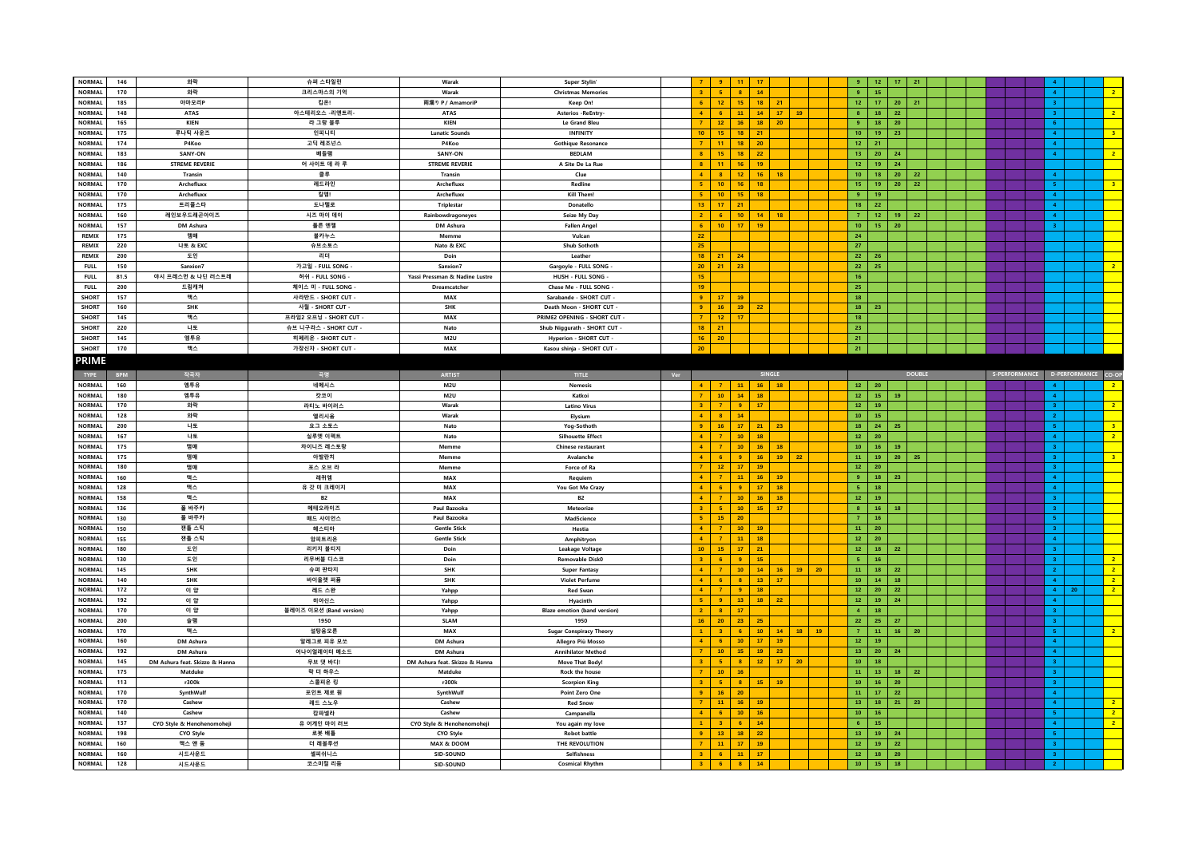| <b>NORMAL</b> | 146        | 와락                             | 슈퍼 스타일린                 | Warak                          | <b>Super Stylin</b>                 |     |                      | $\mathbf{q}$    |                 |                                    |    | $\mathbf{q}$           |                 | $12-12$<br>17 <sub>17</sub>      | 21            |  |  |  |                                   |                         |
|---------------|------------|--------------------------------|-------------------------|--------------------------------|-------------------------------------|-----|----------------------|-----------------|-----------------|------------------------------------|----|------------------------|-----------------|----------------------------------|---------------|--|--|--|-----------------------------------|-------------------------|
| <b>NORMAL</b> | 170        | 와락                             | 크리스마스의 기억               | Warak                          | <b>Christmas Memories</b>           |     | $\overline{2}$       | -5              | $\overline{8}$  | 14                                 |    | 9 <sup>°</sup>         | 15 <sub>1</sub> |                                  |               |  |  |  | $\mathbf{A}$                      | $\mathbf{2}$            |
|               |            | 아마모리P                          | 킵온!                     |                                |                                     |     |                      |                 |                 |                                    |    | 12 <sup>7</sup>        |                 |                                  |               |  |  |  |                                   |                         |
| <b>NORMAL</b> | 185        |                                |                         | 雨漏り P / AmamoriP               | Keep On!                            |     |                      | 12 <sup>°</sup> | 15              | 18<br>21                           |    |                        |                 | 17<br>20                         | 21            |  |  |  | $\overline{\mathbf{3}}$           |                         |
| <b>NORMAL</b> | 148        | <b>ATAS</b>                    | 아스테리오스 -리엔트리-           | <b>ATAS</b>                    | <b>Asterios -ReEntry</b>            |     | $\overline{4}$       | 6               | 11              | $14 -$<br>17                       | 19 | 8 <sub>1</sub>         |                 | 18<br>22                         |               |  |  |  | 3                                 | $\overline{2}$          |
| <b>NORMAL</b> | 165        | <b>KIEN</b>                    | 라 그랑 블루                 | <b>KIEN</b>                    | Le Grand Bleu                       |     | $\overline{7}$       | 12 <sup>7</sup> | 16              | 18 <sup>°</sup><br>20              |    | 9 <sup>°</sup>         |                 | 18 <sup>2</sup><br>20            |               |  |  |  | $6-1$                             |                         |
| <b>NORMAL</b> | 175        | 루나틱 사운즈                        | 인피니티                    | <b>Lunatic Sounds</b>          | <b>INFINITY</b>                     |     | 10 <sub>1</sub>      | 15              | 18              | 21                                 |    | 10 <sub>1</sub>        |                 | 19<br>23                         |               |  |  |  | 4 <sup>1</sup>                    | 3 <sup>°</sup>          |
| <b>NORMAL</b> | 174        | P4Koo                          | 고딕 레조넌스                 | P4Koo                          | <b>Gothique Resonance</b>           |     | $\overline{z}$       | 11 <sub>1</sub> | $\bf 18$        | 20                                 |    | 12 <sub>1</sub>        | 21              |                                  |               |  |  |  | $4 -$                             |                         |
| <b>NORMAL</b> | 183        | SANY-ON                        | 베들램                     | SANY-ON                        | <b>BEDLAM</b>                       |     |                      | 15              | 18              | 22                                 |    | $13-1$                 |                 | $20-1$<br>24                     |               |  |  |  | $\overline{4}$                    | $\overline{2}$          |
| <b>NORMAL</b> | 186        | <b>STREME REVERIE</b>          | 어 사이트 데 라 루             | <b>STREME REVERIE</b>          | A Site De La Rue                    |     | $\mathbf{R}$         | 11              | 16              | 19                                 |    | 12 <sub>1</sub>        |                 | 24<br>19                         |               |  |  |  |                                   |                         |
|               |            |                                |                         |                                |                                     |     | $\overline{4}$       |                 |                 |                                    |    |                        |                 |                                  |               |  |  |  |                                   |                         |
| <b>NORMAL</b> | 140        | Transin                        | 클루                      | Transin                        | Clue                                |     |                      | 8 <sup>1</sup>  | 12              | 16 <sup>°</sup><br>18              |    | 10 <sub>1</sub>        |                 | 18<br>20                         | 22            |  |  |  | $\overline{4}$                    |                         |
| <b>NORMAL</b> | 170        | Archefluxo                     | 레드라인                    | Archefluxx                     | Redline                             |     | $5^{\circ}$          | $10-10$         | 16              | 18                                 |    | 15                     |                 | 19<br>20                         | 22            |  |  |  | 5 <sup>2</sup>                    | 3 <sup>°</sup>          |
| <b>NORMAL</b> | 170        | Archefluxo                     | 킬뎀!                     | Archefluxx                     | Kill Them                           |     | <b>S</b>             | 10 <sup>°</sup> | 15              | 18                                 |    | 9 <sup>°</sup>         | 19              |                                  |               |  |  |  | 4 <sup>1</sup>                    |                         |
| <b>NORMAL</b> | 175        | 트리플스타                          | 도나텔로                    | <b>Triplestar</b>              | Donatello                           |     | 13                   | 17              | 21              |                                    |    | 18                     | 22              |                                  |               |  |  |  | $\overline{4}$                    |                         |
| <b>NORMAL</b> | 160        | 레인보우드래곤아이즈                     | 시즈 마이 데이                | Rainbowdragoneyes              | Seize My Day                        |     | $\overline{2}$       | 6 <sup>1</sup>  | 10 <sub>1</sub> | 14<br><b>18</b>                    |    | 7 <sup>7</sup>         |                 | $12 -$<br>19                     | 22            |  |  |  | $4 -$                             |                         |
| <b>NORMAL</b> | 157        | DM Ashura                      | 폴른 엔젤                   | DM Ashura                      | <b>Fallen Angel</b>                 |     | 6 <sup>1</sup>       | 10              | 17              | 19                                 |    | 10 <sub>1</sub>        |                 | 15<br>20                         |               |  |  |  | 3 <sup>1</sup>                    |                         |
| <b>REMIX</b>  | 175        | 맴매                             | 불카누스                    | Memme                          | Vulcan                              |     | 22                   |                 |                 |                                    |    | 24                     |                 |                                  |               |  |  |  |                                   |                         |
|               |            |                                |                         |                                |                                     |     |                      |                 |                 |                                    |    |                        |                 |                                  |               |  |  |  |                                   |                         |
| <b>REMIX</b>  | 220        | 나토 & EXC                       | 슈브소토스                   | Nato & EXC                     | Shub Sothoth                        |     | 25                   |                 |                 |                                    |    | 27                     |                 |                                  |               |  |  |  |                                   |                         |
| REMIX         | 200        | 도인                             | 리더                      | Doin                           | Leather                             |     | 18                   | 21              | 24              |                                    |    | 22                     | 26              |                                  |               |  |  |  |                                   |                         |
| <b>FULL</b>   | 150        | Sanxion7                       | 가고일 - FULL SONG         | Sanxion7                       | Gargoyle - FULL SONG                |     | 20 <sub>2</sub>      | 21              | 23              |                                    |    | 22                     | 25              |                                  |               |  |  |  |                                   | $\overline{2}$          |
| <b>FULL</b>   | 81.5       | 야시 프레스먼 & 나딘 러스트레              | 허쉬 - FULL SONG          | Yassi Pressman & Nadine Lustre | HUSH - FULL SONG                    |     | 15                   |                 |                 |                                    |    | 16                     |                 |                                  |               |  |  |  |                                   |                         |
| <b>FULL</b>   | 200        | 드림캐쳐                           | 체이스 미 - FULL SONG       | Dreamcatche                    | Chase Me - FULL SONG                |     | 19                   |                 |                 |                                    |    | 25                     |                 |                                  |               |  |  |  |                                   |                         |
| <b>SHORT</b>  | 157        | 맥스                             | 사라반드 - SHORT CUT -      | MAX                            | Sarabande - SHORT CUT               |     | $\alpha$             | 17              | 19              |                                    |    | 18                     |                 |                                  |               |  |  |  |                                   |                         |
| <b>SHORT</b>  | 160        | SHK                            |                         | <b>SHK</b>                     | Death Moon - SHORT CUT -            |     |                      | 16              |                 | 22                                 |    |                        | 23              |                                  |               |  |  |  |                                   |                         |
|               |            |                                | 사월 - SHORT CUT -        |                                |                                     |     | $\overline{a}$       |                 | 19              |                                    |    | 18                     |                 |                                  |               |  |  |  |                                   |                         |
| <b>SHORT</b>  | 145        | 맥스                             | 프라임2 오프닝 - SHORT CUT    | MAX                            | PRIME2 OPENING - SHORT CUT          |     | $\overline{7}$       | 12 <sub>1</sub> | 17              |                                    |    | 18 <sup>°</sup>        |                 |                                  |               |  |  |  |                                   |                         |
| <b>SHORT</b>  | 220        | 나토                             | 슈브 니구라스 - SHORT CUT     | Nato                           | Shub Niggurath - SHORT CUT          |     | 18                   | 21              |                 |                                    |    | 23                     |                 |                                  |               |  |  |  |                                   |                         |
| <b>SHORT</b>  | 145        | 엠투유                            | 히페리온 - SHORT CUT        | M2U                            | Hyperion - SHORT CUT                |     | 16 <sup>2</sup>      | 20              |                 |                                    |    | 21                     |                 |                                  |               |  |  |  |                                   |                         |
| <b>SHORT</b>  | 170        | 맥스                             | 가장신자 - SHORT CUT -      | MAX                            | Kasou shinja - SHORT CUT -          |     | 20                   |                 |                 |                                    |    | 21                     |                 |                                  |               |  |  |  |                                   |                         |
| <b>PRIME</b>  |            |                                |                         |                                |                                     |     |                      |                 |                 |                                    |    |                        |                 |                                  |               |  |  |  |                                   |                         |
|               |            |                                |                         |                                |                                     |     |                      |                 |                 |                                    |    |                        |                 |                                  |               |  |  |  |                                   |                         |
| TYPE          | <b>BPM</b> | 작곡자                            | 곡명                      | <b>ARTIST</b>                  | <b>TITLE</b>                        | Ver |                      |                 |                 | SINGLE                             |    |                        |                 |                                  | <b>DOUBLE</b> |  |  |  | S-PERFORMANCE D-PERFORMANCE CO-OP |                         |
| <b>NORMAL</b> | 160        | 엠투유                            | 네메시스                    | M2U                            | Nemesis                             |     | $\mathbf{A}$         | 7 <sup>1</sup>  | $-11$           | 16<br>18                           |    |                        | $12 \mid 20$    |                                  |               |  |  |  | $\mathbf{A}$                      | $\overline{2}$          |
| <b>NORMAL</b> | 180        | 엠투유                            | 캇코이                     | <b>M2U</b>                     | Katkoi                              |     |                      | $10-10$         | 14              | 18 <sup>°</sup>                    |    | $12-12$                |                 | 15 <sub>1</sub><br>19            |               |  |  |  | $\overline{4}$                    |                         |
| <b>NORMAL</b> | 170        | 와락                             | 라티노 바이러스                | Warak                          | <b>Latino Virus</b>                 |     | 3 <sup>1</sup>       | $-7$            | 9               | 17                                 |    | 12 <sub>1</sub>        | 19              |                                  |               |  |  |  | $3 -$                             | $\overline{2}$          |
|               |            |                                |                         |                                |                                     |     |                      |                 |                 |                                    |    |                        |                 |                                  |               |  |  |  |                                   |                         |
| <b>NORMAL</b> | 128        | 와락                             | 엘리시움                    | Warak                          | Elvsiun                             |     | 4 <sup>1</sup>       | $-8$            | 14              |                                    |    | 10 <sub>1</sub>        | 15 <sub>1</sub> |                                  |               |  |  |  | 2 <sup>1</sup>                    |                         |
| <b>NORMAL</b> | 200        | 나토                             | 요그 소토스                  | Nato                           | Yog-Sothoth                         |     | 9 <sup>1</sup>       | 16 <sup>2</sup> | 17              | 21<br>23                           |    | 18                     |                 | 24<br>25                         |               |  |  |  | 5 <sup>1</sup>                    | 3 <sup>°</sup>          |
| <b>NORMAL</b> | 167        | 나토                             | 실루엣 이펙트                 | Nato                           | <b>Silhouette Effect</b>            |     | $\overline{A}$       | $\overline{7}$  | $10\,$          | 18                                 |    | 12 <sub>1</sub>        | 20 <sub>2</sub> |                                  |               |  |  |  | $4 -$                             | 2 <sup>7</sup>          |
| <b>NORMAL</b> | 175        | 맴매                             | 차이니즈 레스토랑               | Memme                          | Chinese restaurant                  |     |                      |                 | 10              | 16 <sup>°</sup><br>18              |    | 10 <sub>1</sub>        |                 | $16-1$<br>19                     |               |  |  |  | 3 <sup>1</sup>                    |                         |
| <b>NORMAL</b> | 175        | 맴매                             | 아발란치                    | Memme                          | Avalanche                           |     | $\mathbf{A}$         | $6\phantom{.}6$ | 9               | 16<br>19                           | 22 | 11 <sub>1</sub>        |                 | 19<br>20                         | 25            |  |  |  | $3 -$                             | $\overline{\mathbf{3}}$ |
| <b>NORMAL</b> | 180        | 맴매                             | 포스 오브 라                 | <b>Memme</b>                   | Force of Ra                         |     | $\overline{7}$       | $121$           | 17              | $19-1$                             |    | 12 <sub>1</sub>        | 20 <sub>2</sub> |                                  |               |  |  |  | 3 <sup>1</sup>                    |                         |
| <b>NORMAL</b> | 160        | 맥스                             | 레퀴엠                     | MAX                            | Requiem                             |     | $\mathbf{A}$         | $\mathbf{7}$    | 11              | 16 <sup>°</sup><br>19              |    | 9 <sup>°</sup>         |                 | 18<br>23                         |               |  |  |  | 4 <sup>1</sup>                    |                         |
|               |            |                                |                         |                                |                                     |     | $\mathbf{A}$         |                 |                 |                                    |    |                        |                 |                                  |               |  |  |  |                                   |                         |
| <b>NORMAL</b> | 128        | 맥스                             | 유 갓 미 크레이지              | MAX                            | You Got Me Crazy                    |     |                      | 6 <sup>1</sup>  | 9               | 17 <sub>z</sub><br>18              |    | 5 <sub>1</sub>         | 18              |                                  |               |  |  |  | 4 <sup>1</sup>                    |                         |
| <b>NORMAL</b> | 158        | 맥스                             | <b>B2</b>               | MAX                            | <b>B2</b>                           |     |                      | $\overline{7}$  | 10              | 16 <sup>°</sup><br>18              |    | 12 <sub>1</sub>        | 19 <sub>1</sub> |                                  |               |  |  |  | 3 <sup>1</sup>                    |                         |
| <b>NORMAL</b> | 136        | 폴 바주카                          | 메테오라이즈                  | Paul Bazooka                   | Meteorize                           |     | 3 <sup>1</sup>       | $-5$            | $10\,$          | 15 <sub>1</sub><br>17              |    | 8 <sub>1</sub>         |                 | 16<br>18                         |               |  |  |  | $3 -$                             |                         |
| <b>NORMAL</b> | 130        | 폴 바주카                          | 매드 사이언스                 | Paul Bazooka                   | Mad5cience                          |     | $-5$                 | 15              | 20              |                                    |    | $\mathbf{7}$           |                 | 16 <sup>°</sup>                  |               |  |  |  | 5 <sub>1</sub>                    |                         |
| <b>NORMAL</b> | 150        | 잰틀 스틱                          | 헤스티아                    | <b>Gentle Stick</b>            | Hestia                              |     | $\mathbf{A}$         | $\mathbf{7}$    | $10$            | 19                                 |    | 11 <sub>1</sub>        | 20 <sup>°</sup> |                                  |               |  |  |  | 3 <sup>°</sup>                    |                         |
| <b>NORMAL</b> | 155        | 잰틀 스틱                          | 암피트리온                   | <b>Gentle Stick</b>            | Amphitryon                          |     |                      | $\overline{7}$  | 11              | 18                                 |    | $121$                  | 20 <sub>2</sub> |                                  |               |  |  |  | 4 <sup>1</sup>                    |                         |
| <b>NORMAL</b> | 180        | 도인                             | 리키지 볼티지                 | Doin                           | Leakage Voltage                     |     | 10 <sub>1</sub>      | 15              | 17              | 21                                 |    | 12 <sub>1</sub>        |                 | 18 <sup>2</sup><br>22            |               |  |  |  | 3 <sup>1</sup>                    |                         |
| <b>NORMAL</b> |            |                                |                         |                                |                                     |     | $\mathbf{3}$         | 6               | -9              | 15                                 |    |                        |                 |                                  |               |  |  |  |                                   | 2                       |
|               | 130        | 도인                             | 리무버블 디스코                | Doin                           | Removable Disk0                     |     |                      |                 |                 |                                    |    | 5 <sub>1</sub>         |                 | 16                               |               |  |  |  | $3 -$                             |                         |
| <b>NORMAL</b> | 145        | SHK                            | 슈퍼 판타지                  | <b>SHK</b>                     | <b>Super Fantasy</b>                |     | $\blacktriangleleft$ | $\overline{7}$  | $10\,$          | 14 <sup>°</sup><br>16              | 19 | 20<br>11 <sub>1</sub>  |                 | 18<br>$\mathbf{22}$              |               |  |  |  | 2 <sup>1</sup>                    | 2 <sup>7</sup>          |
| <b>NORMAL</b> | 140        | <b>SHK</b>                     | 바이올렛 퍼퓸                 | <b>SHK</b>                     | <b>Violet Perfum</b>                |     | $\mathbf{A}$         | -6              | $\mathbf{a}$    | 13 <sup>°</sup><br>17              |    | 10 <sup>°</sup>        |                 | 14 <sup>°</sup><br>18            |               |  |  |  | 4 <sup>1</sup>                    | $\overline{2}$          |
| <b>NORMAL</b> | 172        | 이 얍                            | 레드 스완                   | Yahpp                          | <b>Red Swan</b>                     |     | $\blacktriangle$     | $\overline{7}$  | $\overline{9}$  | 18                                 |    | 12 <sup>°</sup>        | 20 <sub>2</sub> | $\mathbf{22}$                    |               |  |  |  | $4 -$<br>20                       | $\overline{2}$          |
| <b>NORMAL</b> | 192        | 이 얍                            | 히아신스                    | Yahpp                          | Hyacinth                            |     |                      | -9              | 13              | 18<br>22                           |    | 12 <sub>1</sub>        |                 | 24<br>19                         |               |  |  |  | 4 <sup>1</sup>                    |                         |
| <b>NORMAL</b> | 170        | 이 얍                            | 블레이즈 이모션 (Band version) | Yahpp                          | <b>Blaze emotion (band version)</b> |     | $\overline{2}$       | $-8$            | 17              |                                    |    | $4 -$                  |                 | 18 <sup>°</sup>                  |               |  |  |  | 3 <sub>1</sub>                    |                         |
| <b>NORMAL</b> | 200        | 슬램                             | 1950                    | <b>SLAM</b>                    | 1950                                |     | 16                   | 20              | 23              | 25                                 |    | 22                     |                 | 25<br>$27\,$                     |               |  |  |  | 3 <sup>1</sup>                    |                         |
| <b>NORMAL</b> | 170        | 맥스                             | 설탕음모론                   | <b>MAX</b>                     | <b>Sugar Conspiracy Theory</b>      |     |                      | $\overline{3}$  | -6              | 10 <sub>1</sub><br>14 <sup>7</sup> | 18 | $\mathbf{7}$<br>$19-1$ | 11 <sub>1</sub> | 16                               | ${\bf 20}$    |  |  |  | 5 <sup>7</sup>                    | $\mathbf{2}$            |
| <b>NORMAL</b> | 160        | DM Ashura                      | 알레그로 피유 모쏘              |                                |                                     |     |                      | $6\phantom{1}6$ |                 | 19                                 |    | $12^{\circ}$           |                 |                                  |               |  |  |  | $\blacktriangleleft$              |                         |
|               |            |                                |                         | DM Ashura                      | Allegro Più Mosso                   |     |                      |                 | $10\,$          | 17 <sub>z</sub>                    |    |                        | 19 <sub>1</sub> |                                  |               |  |  |  |                                   |                         |
| <b>NORMAL</b> | 192        | DM Ashura                      | 어나이얼레이터 메소드             | DM Ashura                      | <b>Annihilator Method</b>           |     |                      | 10 <sub>1</sub> | 15              | 19<br>23                           |    | 13 <sub>1</sub>        |                 | 20 <sub>2</sub><br>24            |               |  |  |  | $\overline{\mathbf{4}}$           |                         |
| <b>NORMAL</b> | 145        | DM Ashura feat. Skizzo & Hanna | 무브 댓 바디!                | DM Ashura feat. Skizzo & Hanna | Move That Body!                     |     | $\overline{3}$       | $-5$            | $\mathbf{8}$    | 12 <sub>1</sub><br>17 <sub>2</sub> | 20 | 10 <sub>1</sub>        | 18              |                                  |               |  |  |  | $3 -$                             |                         |
| <b>NORMAL</b> | 175        | Matduke                        | 락 더 하우스                 | Matduke                        | Rock the house                      |     | $\overline{7}$       | 10 <sub>1</sub> | 16              |                                    |    | 11 <sub>1</sub>        |                 | $13-1$<br>18                     | $\bf 22$      |  |  |  | 3 <sup>1</sup>                    |                         |
| <b>NORMAL</b> | 113        | r300k                          | 스콜피온 킹                  | r300k                          | <b>Scorpion King</b>                |     | $\mathbf{R}$         | 5 <sub>1</sub>  | $\mathbf{8}$    | $15 -$<br>$-19$                    |    | 10 <sub>1</sub>        |                 | $16-1$<br>${\bf 20}$             |               |  |  |  | 3 <sup>1</sup>                    |                         |
| <b>NORMAL</b> | 170        | SynthWulf                      | 포인트 제로 원                | SynthWulf                      | Point Zero One                      |     |                      | 16 <sub>1</sub> | 20              |                                    |    | 11                     |                 | $\mathbf{22}$<br>17 <sub>1</sub> |               |  |  |  | $\blacktriangleleft$              |                         |
| <b>NORMAL</b> | 170        | Cashew                         | 레드 스노우                  | Cashew                         | <b>Red Snow</b>                     |     |                      | 11 <sup>7</sup> | 16              | 19                                 |    | 13 <sup>°</sup>        |                 | 21<br>18                         | 23            |  |  |  | 4 <sup>1</sup>                    | $\overline{2}$          |
| <b>NORMAL</b> | 140        | Cashew                         | 캄파넬라                    | Cashew                         | Campanella                          |     | $\overline{4}$       | $-6$            | 10 <sub>1</sub> | 16 <sub>1</sub>                    |    | 10 <sub>1</sub>        |                 | 16 <sup>°</sup>                  |               |  |  |  | 5 <sub>1</sub>                    | 2 <sup>7</sup>          |
|               | 137        |                                |                         |                                |                                     |     |                      | 3 <sup>1</sup>  | -6              |                                    |    |                        |                 |                                  |               |  |  |  | $\overline{4}$                    | $\overline{2}$          |
| <b>NORMAL</b> |            | CYO Style & Henohenomohej      | 유 어게인 마이 러브             | CYO Style & Henohenomoheji     | You again my love                   |     | $\alpha$             |                 |                 | 14                                 |    | 6 <sub>1</sub>         |                 | 15 <sub>1</sub>                  |               |  |  |  |                                   |                         |
|               |            |                                |                         |                                |                                     |     |                      |                 |                 | 22                                 |    | 13 <sup>°</sup>        |                 | 19<br>24                         |               |  |  |  | 5 <sub>1</sub>                    |                         |
| <b>NORMAL</b> | 198        | CYO Style                      | 로봇 배틀                   | CYO Style                      | <b>Robot battle</b>                 |     |                      | 13 <sup>°</sup> | 18              |                                    |    |                        |                 |                                  |               |  |  |  |                                   |                         |
| NORMAL        | 160        | 맥스 앤 둠                         | 더 레볼루션                  | MAX & DOOM                     | THE REVOLUTION                      |     |                      | 11              | 17              | 19                                 |    | $12^{\circ}$           |                 | $\mathbf{22}$<br>$19-1$          |               |  |  |  | $3 -$                             |                         |
| <b>NORMAL</b> | 160        | 시드사운드                          | 셀피쉬니스                   | SID-SOUND                      | Selfishness                         |     | 3 <sup>1</sup>       | 6 <sup>1</sup>  | 11              | 17 <sub>2</sub>                    |    | 12 <sup>°</sup>        |                 | 18 <sup>2</sup><br>20            |               |  |  |  | $3 -$                             |                         |
| <b>NORMAL</b> | 128        | 시드사운드                          | 코스미컬 리듬                 | SID-SOUND                      | <b>Cosmical Rhythm</b>              |     | 3 <sup>2</sup>       | $-6$            | $\mathbf{8}$    | 14 <sub>1</sub>                    |    | 10 <sub>1</sub>        |                 | 15 <sub>1</sub><br>18            |               |  |  |  | 2 <sup>1</sup>                    |                         |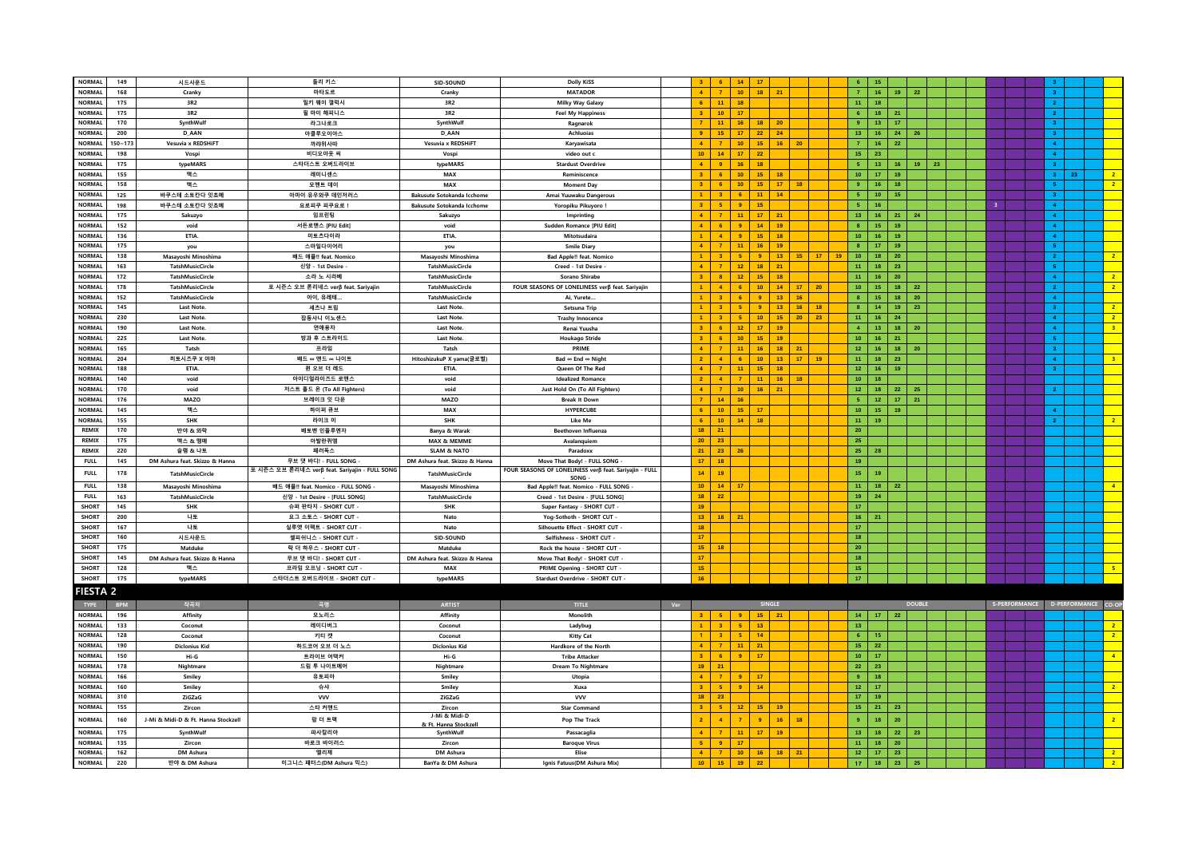| <b>NORMAL</b>   | 149        | 시드사운드                               | 돌리 키스                                          | SID-SOUND                         | <b>Dolly KiSS</b>                                              |            |                                   | 14               | 17               |                       | 6                  | 15                                         |                 |                 |    |  |                         |                |                                                     |
|-----------------|------------|-------------------------------------|------------------------------------------------|-----------------------------------|----------------------------------------------------------------|------------|-----------------------------------|------------------|------------------|-----------------------|--------------------|--------------------------------------------|-----------------|-----------------|----|--|-------------------------|----------------|-----------------------------------------------------|
| <b>NORMAL</b>   | 168        | Cranky                              | 마타도르                                           | Cranky                            | <b>MATADOR</b>                                                 |            |                                   | 10 <sub>1</sub>  | 18 <sub>1</sub>  | 21                    | $\mathbf{7}$       | $16-1$                                     | 19              | 22              |    |  |                         | 3 <sup>°</sup> |                                                     |
| <b>NORMAL</b>   | 175        | 3R2                                 | 밀키 웨이 갤럭시                                      | 3R2                               | Milky Way Galaxy                                               |            | 11 <sub>1</sub><br>6              | 18               |                  |                       |                    | 11 <sub>1</sub><br>18                      |                 |                 |    |  |                         |                |                                                     |
|                 |            |                                     |                                                |                                   |                                                                |            |                                   |                  |                  |                       |                    |                                            |                 |                 |    |  |                         | 2 <sup>1</sup> |                                                     |
| <b>NORMAL</b>   | 175        | 3R2                                 | 필 마이 해피니스                                      | 3R2                               | <b>Feel My Happiness</b>                                       |            | 10 <sub>1</sub><br>$3 -$          | 17               |                  |                       |                    | $6 -$<br>18                                | 21              |                 |    |  |                         | 2 <sup>1</sup> |                                                     |
| <b>NORMAL</b>   | 170        | SynthWulf                           | 라그나로크                                          | SynthWulf                         | Ragnarok                                                       |            | $\mathbf{7}$<br>11 <sub>1</sub>   | 16 <sup>°</sup>  | 18               | 20                    |                    | $13-1$<br>$9+$                             | 17 <sub>2</sub> |                 |    |  |                         | 3 <sup>2</sup> |                                                     |
| <b>NORMAL</b>   | 200        | D AAN                               | 아클루오이아스                                        | D_AAN                             | Achluojas                                                      |            | 15<br>$\bullet$                   | $17\,$           | 22               | 24                    |                    | 13 <sup>°</sup><br>16                      | 24              | 26              |    |  |                         | 3 <sup>°</sup> |                                                     |
| <b>NORMAL</b>   | $150 - 17$ | Vesuvia x REDSHiFT                  | 까랴위사따                                          | Vesuvia x REDSHiFT                | Karyawisata                                                    |            |                                   | 10 <sub>1</sub>  | 15 <sub>1</sub>  | 20<br>16 <sub>1</sub> |                    | $\mathbf{7}$<br>$16-1$                     | $\mathbf{22}$   |                 |    |  |                         | 4 <sup>1</sup> |                                                     |
| <b>NORMAL</b>   | 198        | Vospi                               | 비디오아웃 씨                                        | Vospi                             | video out c                                                    |            | 10 <sub>1</sub><br>14             | 17               | 22               |                       |                    | 15 <sub>1</sub><br>23                      |                 |                 |    |  |                         | $4 -$          |                                                     |
| NORMAL          | 175        | typeMARS                            | 스타더스트 오버드라이브                                   | typeMARS                          | <b>Stardust Overdrive</b>                                      |            | $\mathbf{A}$<br>$\overline{9}$    | 16               | 18               |                       |                    | 5 <sub>1</sub><br>13 <sup>°</sup>          | 16              | $19-1$          | 23 |  |                         | 3 <sup>°</sup> |                                                     |
| NORMAL          | 155        | 맥스                                  | 레미니센스                                          | MAX                               | Reminiscence                                                   |            | $\mathbf{R}$<br>$\mathbf{g}$      | 10 <sub>10</sub> | 15 <sub>1</sub>  | 18                    |                    | 10 <sub>1</sub><br>17                      | 19              |                 |    |  |                         | $3 -$<br>23    | 2 <sup>7</sup>                                      |
| <b>NORMAL</b>   | 158        | 맥스                                  | 모멘트 데이                                         | MAX                               | <b>Moment Day</b>                                              |            | $\mathbf{R}$<br>6                 | 10 <sub>1</sub>  | 15 <sub>1</sub>  | 17 <sup>2</sup><br>18 |                    | $\overline{9}$<br>16 <sup>°</sup>          | 18              |                 |    |  |                         | 5 <sub>1</sub> | $\overline{2}$                                      |
| <b>NORMAL</b>   | 125        | 바쿠스테 소토칸다 잇쵸메                       | 아마이 유우와쿠 데인저러스                                 | Bakusute Sotokanda Icchome        | Amai Yuuwaku Dangerous                                         |            |                                   | 6                | 11 <sub>1</sub>  | 14                    |                    | 5 <sub>1</sub><br>10 <sub>1</sub>          | 15              |                 |    |  |                         | 3 <sup>7</sup> |                                                     |
| <b>NORMAL</b>   | 198        | 바쿠스테 소토칸다 잇쵸메                       | 요로피쿠 피쿠요로!                                     | <b>Bakusute Sotokanda Icchome</b> | Yoropiku Pikuyoro!                                             |            | 5<br>3 <sup>1</sup>               | 9                | 15               |                       |                    | 5 <sub>1</sub><br>16                       |                 |                 |    |  | $\overline{\mathbf{3}}$ | 4 <sup>1</sup> |                                                     |
| NORMAL          | 175        | Sakuzyo                             | 임프린팅                                           | Sakuzyo                           | Imprinting                                                     |            | $\overline{7}$                    | 11               | 17 <sup>°</sup>  | 21                    |                    | 13 <sup>°</sup><br>16 <sup>°</sup>         | 21              | 24              |    |  |                         | $\overline{4}$ |                                                     |
| <b>NORMAL</b>   | 152        | void                                | 서든로맨스 [PIU Edit]                               | void                              | Sudden Romance [PIU Edit]                                      |            | $-6$<br>$\mathbf{A}$              | $\mathbf{a}$     | 14 <sub>1</sub>  | 19                    |                    | $\overline{\mathbf{8}}$<br>15 <sup>2</sup> | 19              |                 |    |  |                         | $\overline{4}$ |                                                     |
| <b>NORMAL</b>   | 136        | ETIA.                               | 미토츠다이라                                         | ETIA.                             | Mitotsudaira                                                   |            | $\overline{4}$                    | $\overline{9}$   | 15 <sub>1</sub>  | 18                    |                    | 10 <sub>1</sub><br>$16-1$                  | 19              |                 |    |  |                         | 4 <sub>1</sub> |                                                     |
| <b>NORMAL</b>   | 175        |                                     | 스마일다이어리                                        |                                   |                                                                |            | $\overline{7}$                    | 11               | 16 <sup>°</sup>  | 19 <sup>°</sup>       |                    | 8 <sup>1</sup><br>17 <sup>°</sup>          | 19              |                 |    |  |                         | 5 <sup>1</sup> |                                                     |
|                 |            | you                                 |                                                | you                               | <b>Smile Diary</b>                                             |            |                                   |                  |                  |                       |                    |                                            |                 |                 |    |  |                         |                |                                                     |
| <b>NORMAL</b>   | 138        | Masayoshi Minoshima                 | 배드 애플!! feat. Nomico                           | Masayoshi Minoshima               | <b>Bad Apple!! feat. Nomico</b>                                |            | $\overline{\mathbf{3}}$           | 5 <sub>1</sub>   | $\overline{9}$   | $13-1$<br>15          | $17$ 19            | 10 <sub>1</sub><br>18                      | $20\,$          |                 |    |  |                         | 2 <sup>1</sup> | 2 <sup>7</sup>                                      |
| NORMAL          | 163        | <b>TatshMusicCircle</b>             | 신앙 - 1st Desire                                | <b>TatshMusicCircle</b>           | Creed - 1st Desire                                             |            | $\overline{7}$                    | 12 <sub>2</sub>  | 18               | 21                    |                    | 11 <sub>1</sub><br>18                      | 23              |                 |    |  |                         | 5 <sup>2</sup> |                                                     |
| <b>NORMAL</b>   | 172        | TatshMusicCircle                    | 소라 노 시라베                                       | TatshMusicCircle                  | Sorano Shirabe                                                 |            | 2 <sup>1</sup><br>$\overline{a}$  | $12\,$           | 15 <sub>1</sub>  | 18                    |                    | 11 <sub>1</sub><br>16                      | ${\bf 20}$      |                 |    |  |                         | 4 <sup>1</sup> | 2 <sup>7</sup>                                      |
| <b>NORMAL</b>   | 178        | <b>TatshMusicCircle</b>             | 포 시즌스 오브 론리네스 verβ feat. Sariyajin             | TatshMusicCircle                  | FOUR SEASONS OF LONELINESS verß feat. Sariyajin                |            |                                   | 6                | 10 <sub>1</sub>  | 14 <sub>1</sub><br>17 | 20 <sub>2</sub>    | 10 <sub>1</sub><br>$15-15$                 | 18              | 22              |    |  |                         | 2 <sup>1</sup> | 2 <sup>7</sup>                                      |
| <b>NORMAL</b>   | 152        | TatshMusicCircle                    | 아이, 유레테                                        | TatshMusicCircle                  | Ai, Yurete                                                     |            | $\overline{\mathbf{3}}$           | 6                | 9 <sup>°</sup>   | 13 <sub>1</sub><br>16 | $\mathbf{8}$       | 15 <sub>1</sub>                            | 18              | 20              |    |  |                         | $4 -$          |                                                     |
| <b>NORMAL</b>   | 145        | Last Note.                          | 세츠나 트립                                         | Last Note.                        | Setsuna Trip                                                   |            | $\overline{\mathbf{3}}$           | 5 <sup>5</sup>   | 9 <sup>°</sup>   | 13 <sup>°</sup><br>16 | 18<br>$\mathbf{8}$ | 14 <sup>°</sup>                            | 19              | 23              |    |  |                         | 3 <sup>1</sup> | 2 <sup>7</sup>                                      |
| <b>NORMAL</b>   | 230        | Last Note.                          | 잡동사니 이노센스                                      | <b>Last Note</b>                  | <b>Trashy Innocence</b>                                        |            | $\overline{3}$                    | 5 <sup>7</sup>   | 10 <sub>1</sub>  | 15 <sub>1</sub><br>20 | 23 <sup>°</sup>    | 11<br>16                                   | 24              |                 |    |  |                         | $\overline{4}$ | 2 <sup>7</sup>                                      |
| <b>NORMAL</b>   | 190        | Last Note.                          | 연애용자                                           | Last Note.                        | Renai Yuusha                                                   |            | $\mathbf{R}$<br>6 <sup>6</sup>    | $12\,$           | 17 <sup>°</sup>  | 19                    |                    | $\overline{4}$<br>13 <sup>°</sup>          | 18              | 20              |    |  |                         | $\overline{4}$ | $\overline{3}$                                      |
| <b>NORMAL</b>   | 225        | Last Note.                          | 방과 후 스트라이드                                     | Last Note.                        | <b>Houkago Stride</b>                                          |            | 6                                 | 10 <sub>1</sub>  | 15 <sub>1</sub>  | 19                    |                    | 10 <sub>1</sub><br>$16-1$                  | 21              |                 |    |  |                         | 5 <sup>1</sup> |                                                     |
| <b>NORMAL</b>   |            |                                     | 프라임                                            | Tatsh                             | PRIME                                                          |            | $\overline{7}$<br>$\mathbf{A}$    | 11               |                  | 21                    |                    |                                            | 18              |                 |    |  |                         |                |                                                     |
|                 | 165        | Tatsh                               |                                                |                                   |                                                                |            |                                   |                  | 16 <sup>1</sup>  | 18                    |                    | 12 <sub>1</sub><br>16                      |                 | 20 <sub>2</sub> |    |  |                         | $3 -$          |                                                     |
| NORMAL          | 204        | 히토시즈쿠 X 야마                          | 배드 ∞ 앤드 ∞ 나이트                                  | HitoshizukuP X yama(글로벌)          | Bad ∞ End ∞ Night                                              |            | $\overline{4}$<br>$\overline{z}$  |                  | 10 <sub>1</sub>  | 13<br>17              | 19                 | 11 <sub>1</sub><br>18 <sup>°</sup>         | 23              |                 |    |  |                         | 4 <sup>1</sup> | 3 <sup>°</sup>                                      |
| NORMAL          | 188        | ETIA.                               | 퀸 오브 더 레드                                      | ETIA                              | Queen Of The Red                                               |            | $\mathbf{A}$                      | 11 <sub>1</sub>  | 15 <sub>15</sub> | 18 <sup>°</sup>       |                    | 12 <sup>°</sup><br>16 <sup>°</sup>         | 19              |                 |    |  |                         | 3 <sup>1</sup> |                                                     |
| <b>NORMAL</b>   | 140        | void                                | 아이디얼라이즈드 로맨스                                   | void                              | <b>Idealized Romance</b>                                       |            | $\overline{4}$<br>2 <sup>1</sup>  | $\overline{7}$   | 11               | 16<br>18              |                    | 10 <sub>1</sub><br>18                      |                 |                 |    |  |                         |                |                                                     |
| <b>NORMAL</b>   | 170        | void                                | 저스트 홀드 온 (To All Fighters)                     | void                              | Just Hold On (To All Fighters)                                 |            |                                   | 10               | 16 <sup>°</sup>  | 21                    |                    | 12 <sup>°</sup><br>18 <sup>°</sup>         | 22              | 25              |    |  |                         | 2 <sup>1</sup> |                                                     |
| <b>NORMAL</b>   | 176        | MAZO                                | 브레이크 잇 다운                                      | MAZO                              | <b>Break It Down</b>                                           |            | 14<br>7 <sup>7</sup>              | 16               |                  |                       |                    | 5 <sub>1</sub><br>12 <sub>1</sub>          | 17 <sub>1</sub> | 21              |    |  |                         |                |                                                     |
| <b>NORMAL</b>   | 145        | 맥스                                  | 하이퍼 큐브                                         | MAX                               | <b>HYPERCUBE</b>                                               |            | 6 <sup>1</sup><br>10 <sub>1</sub> | 15 <sub>1</sub>  | 17 <sub>2</sub>  |                       |                    | 10 <sup>°</sup><br>15 <sup>2</sup>         | 19              |                 |    |  |                         | $\mathbf{A}$   |                                                     |
| <b>NORMAL</b>   | 155        | SHK                                 | 라이크 미                                          | SHK                               | Like Me                                                        |            | 6 <sup>1</sup><br>10 <sub>1</sub> |                  | $14$ 18          |                       |                    | 11 <sub>1</sub><br>19                      |                 |                 |    |  |                         | 2 <sup>7</sup> | $\overline{2}$                                      |
| REMIX           | 170        | 반야 & 와락                             | 베토벤 인플루엔자                                      | Banya & Warak                     | <b>Beethoven Influenza</b>                                     |            | 21<br>$18-1$                      |                  |                  |                       | 20 <sub>2</sub>    |                                            |                 |                 |    |  |                         |                |                                                     |
| <b>REMIX</b>    | 175        | 맥스 & 맴매                             | 아발란퀴엠                                          | MAX & MEMME                       | Avalanquiem                                                    |            | $20 -$<br>23                      |                  |                  |                       | 25                 |                                            |                 |                 |    |  |                         |                |                                                     |
| REMIX           |            |                                     |                                                |                                   |                                                                |            |                                   |                  |                  |                       |                    |                                            |                 |                 |    |  |                         |                |                                                     |
|                 |            |                                     |                                                |                                   | Paradox                                                        |            |                                   | 26               |                  |                       |                    | 28                                         |                 |                 |    |  |                         |                |                                                     |
|                 | 220        | 슬램 & 나토                             | 패러독스                                           | <b>SLAM &amp; NATO</b>            |                                                                |            | $21 -$<br>23<br>$17-1$            |                  |                  |                       |                    | 25                                         |                 |                 |    |  |                         |                |                                                     |
| <b>FULL</b>     | 145        | DM Ashura feat. Skizzo & Hanna      | 무브 댓 바디! - FULL SONG                           | DM Ashura feat. Skizzo & Hanna    | Move That Body! - FULL SONG -                                  |            | 18                                |                  |                  |                       | 19                 |                                            |                 |                 |    |  |                         |                |                                                     |
| <b>FULL</b>     | 178        | TatshMusicCircle                    | 포 시즌스 오브 론리네스 verβ feat. Sariyajin - FULL SONG | <b>TatshMusicCircle</b>           | FOUR SEASONS OF LONELINESS verß feat. Sariyajin - FULL<br>SONG |            | $14 -$<br>19                      |                  |                  |                       |                    | 15 <sub>1</sub><br>19                      |                 |                 |    |  |                         |                |                                                     |
| <b>FULL</b>     | 138        | Masayoshi Minoshima                 | 배드 애플!! feat. Nomico - FULL SONG -             | Masayoshi Minoshima               | Bad Apple!! feat. Nomico - FULL SONG                           |            | $10-10$<br>14                     | 17               |                  |                       |                    | 11 <sub>1</sub><br>18                      | $22\,$          |                 |    |  |                         |                | $\overline{4}$                                      |
| <b>FULL</b>     | 163        | <b>TatshMusicCircle</b>             | 신앙 - 1st Desire - [FULL SONG]                  | TatshMusicCircle                  | Creed - 1st Desire - [FULL SONG]                               |            | 18<br>22                          |                  |                  |                       |                    | 19 <sub>1</sub><br>24                      |                 |                 |    |  |                         |                |                                                     |
| <b>SHORT</b>    | 145        | SHK                                 | 슈퍼 판타지 - SHORT CUT                             | SHK                               | Super Fantasy - SHORT CUT                                      |            | $19-19$                           |                  |                  |                       | 17 <sub>z</sub>    |                                            |                 |                 |    |  |                         |                |                                                     |
| <b>SHORT</b>    | 200        | 나토                                  | 요그 소토스 - SHORT CUT                             | Nato                              |                                                                |            | $13-1$<br>18 <sup>2</sup>         | 21               |                  |                       |                    | 16 <sup>°</sup><br>21                      |                 |                 |    |  |                         |                |                                                     |
|                 |            |                                     |                                                |                                   | Yog-Sothoth - SHORT CUT                                        |            |                                   |                  |                  |                       |                    |                                            |                 |                 |    |  |                         |                |                                                     |
| <b>SHORT</b>    | 167        | 나토                                  | 실루엣 이펙트 - SHORT CUT ·                          | Nato                              | Silhouette Effect - SHORT CUT                                  |            | 18 <sup>°</sup>                   |                  |                  |                       | 17 <sub>z</sub>    |                                            |                 |                 |    |  |                         |                |                                                     |
| <b>SHORT</b>    | 160        | 시드사운드                               | 셀피쉬니스 - SHORT CUT -                            | SID-SOUND                         | Selfishness - SHORT CUT -                                      |            | 17                                |                  |                  |                       |                    | 18 <sup>°</sup>                            |                 |                 |    |  |                         |                |                                                     |
| <b>SHORT</b>    | 175        | Matduke                             | 락 더 하우스 - SHORT CUT                            | Matduke                           | Rock the house - SHORT CUT                                     |            | 15<br>18                          |                  |                  |                       | ${\bf 20}$         |                                            |                 |                 |    |  |                         |                |                                                     |
| SHORT           | 145        | DM Ashura feat. Skizzo & Hanna      | 무브 댓 바디! - SHORT CUT                           | DM Ashura feat. Skizzo & Hanna    | Move That Body! - SHORT CUT                                    |            | 17 <sup>2</sup>                   |                  |                  |                       |                    | 18                                         |                 |                 |    |  |                         |                |                                                     |
| <b>SHORT</b>    | 128        | 맥스                                  | 프라임 오프닝 - SHORT CUT                            | MAX                               | PRIME Opening - SHORT CUT                                      | 15         |                                   |                  |                  |                       | 15 <sub>1</sub>    |                                            |                 |                 |    |  |                         |                | 5 <sup>°</sup>                                      |
| SHORT           | 175        | typeMARS                            | 스타더스트 오버드라이브 - SHORT CUT -                     | typeMARS                          | Stardust Overdrive - SHORT CUT -                               |            | 16 <sup>°</sup>                   |                  |                  |                       | $171$              |                                            |                 |                 |    |  |                         |                |                                                     |
| <b>FIESTA 2</b> |            |                                     |                                                |                                   |                                                                |            |                                   |                  |                  |                       |                    |                                            |                 |                 |    |  |                         |                |                                                     |
|                 |            |                                     |                                                |                                   |                                                                |            |                                   |                  |                  |                       |                    |                                            |                 |                 |    |  |                         |                |                                                     |
| <b>TYPE</b>     | <b>BPM</b> | 작공자                                 | 곡명                                             | <b>ARTIST</b>                     | TITLE                                                          | <b>Vor</b> |                                   |                  | SINGLE           |                       |                    |                                            |                 | <b>DOUBLE</b>   |    |  |                         |                |                                                     |
| <b>NORMAL</b>   | 196        | Affinity                            | 모노리스                                           | Affinity                          | Monolith                                                       |            | 5 <sub>1</sub><br>$3-1$           | $9+$             | 15               | 21                    |                    |                                            | $14$   17   22  |                 |    |  |                         |                |                                                     |
| <b>NORMAL</b>   | 133        | Coconut                             | 레이디버그                                          | Coconut                           | Ladybug                                                        |            | $\overline{\mathbf{3}}$           | -5               | 13               |                       |                    | 13 <sup>°</sup>                            |                 |                 |    |  |                         |                | S-PERFORMANCE D-PERFORMANCE CO-OP<br>2 <sup>7</sup> |
| <b>NORMAL</b>   | 128        | Coconut                             | 키티 캣                                           | Coconut                           | <b>Kitty Cat</b>                                               |            | $\sim$<br>$\overline{\mathbf{3}}$ | $-5$             | 14               |                       |                    | 6 <sub>1</sub><br>15                       |                 |                 |    |  |                         |                | $\overline{2}$                                      |
| NORMAL          | 190        | <b>Diclonius Kid</b>                | 하드코어 오브 더 노스                                   | <b>Diclonius Kid</b>              | Hardkore of the North                                          |            | $\mathbf{A}$<br>$\overline{7}$    | 11 <sub>1</sub>  | 21               |                       |                    | 15 <sub>1</sub><br>22                      |                 |                 |    |  |                         |                |                                                     |
| <b>NORMAL</b>   | 150        | Hi-G                                | 트라이브 어택커                                       | Hi-G                              | <b>Tribe Attacke</b>                                           |            | $\mathbf{R}$<br>6                 | $\bullet$        | 17 <sub>17</sub> |                       |                    | 10 <sub>1</sub><br>17 <sup>2</sup>         |                 |                 |    |  |                         |                | 4 <sup>°</sup>                                      |
| NORMAL          | 178        | Nightmare                           | 드림 투 나이트메어                                     | Nightmare                         | <b>Dream To Nightmare</b>                                      |            | $19-19$<br>21                     |                  |                  |                       |                    | 22<br>23                                   |                 |                 |    |  |                         |                |                                                     |
| <b>NORMAL</b>   | 166        | Smiley                              | 유토피아                                           | Smiley                            | Utopia                                                         |            | $\overline{7}$<br>$\mathbf{A}$    | -9               | 17               |                       |                    | $\mathbf{9}^\circ$<br>18 <sup>°</sup>      |                 |                 |    |  |                         |                |                                                     |
| <b>NORMAL</b>   | 160        | Smiley                              | 슈샤                                             | Smiley                            | Xuxa                                                           |            | $-5$<br>$3 -$                     | 9 <sup>°</sup>   | 14               |                       |                    | 12 <sub>1</sub><br>17                      |                 |                 |    |  |                         |                | 2 <sup>7</sup>                                      |
| NORMAL          | 310        | ZiGZaG                              |                                                | ZiGZaG                            | <b>yw</b>                                                      |            | 18 <sup>2</sup><br>23             |                  |                  |                       |                    | 17 <sup>°</sup><br>19 <sup>°</sup>         |                 |                 |    |  |                         |                |                                                     |
| <b>NORMAL</b>   |            |                                     | ww                                             |                                   |                                                                |            | $\mathbf{R}$                      |                  |                  | 19                    |                    |                                            |                 |                 |    |  |                         |                |                                                     |
|                 | 155        | Zircon                              | 스타 커맨드                                         | Zircon<br>J-Mi & Midi-D           | <b>Star Command</b>                                            |            | $-5$                              | $12$             | 15               |                       |                    | 15<br>$-21$                                | 23              |                 |    |  |                         |                |                                                     |
| NORMAL          | 160        | J-Mi & Midi-D & Ft. Hanna Stockzell | 팝 더 트랙                                         | & Ft. Hanna Stockzel              | Pop The Track                                                  |            | $\overline{4}$                    | $\overline{7}$   | $\overline{9}$   | 16 <sup>°</sup><br>18 | $\overline{9}$     | 18                                         | ${\bf 20}$      |                 |    |  |                         |                | $\overline{2}$                                      |
| <b>NORMAL</b>   | 175        | SynthWulf                           | 파사칼리아                                          | SynthWulf                         | Passacaglia                                                    |            | $\overline{7}$<br>$\mathbf{A}$    | 11               | 17 <sub>1</sub>  | 19                    |                    | 13<br>18                                   | 22              | 23              |    |  |                         |                |                                                     |
| <b>NORMAL</b>   | 135        | Zircon                              | 바로크 바이러스                                       | Zircon                            | <b>Baroque Virus</b>                                           |            | 5 <sup>1</sup><br>$\overline{9}$  | 17               |                  |                       |                    | 11 <sub>1</sub><br>18 <sup>°</sup>         | ${\bf 20}$      |                 |    |  |                         |                |                                                     |
| <b>NORMAL</b>   | 162        | DM Ashura                           | 엘리제                                            | <b>DM Ashura</b>                  | Elise                                                          |            | $\overline{7}$<br>$\mathbf{A}$    | 10 <sub>1</sub>  | 16               | 18<br>21              |                    | 12 <sub>1</sub><br>17                      | 23              |                 |    |  |                         |                | 2 <sup>7</sup>                                      |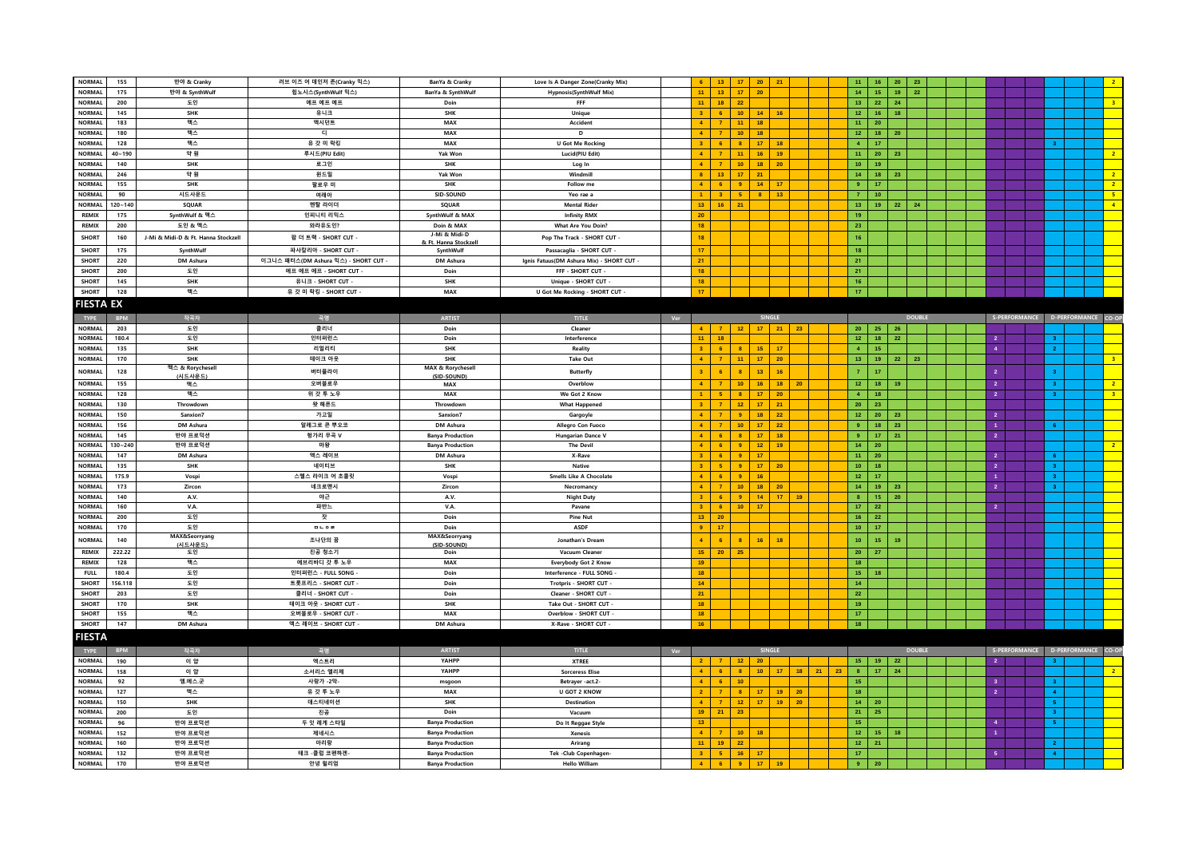| <b>NORMAL</b>    | 155         | 반야 & Cranky                         | 러브 이즈 어 데인저 존(Cranky 믹스)             | BanYa & Cranky                   | Love Is A Danger Zone(Cranky Mix)         |     | 13                                  | 17                      | 20              | 21                    |            | 11<br>16                           | 20                    | 23            |  |                |                |                                   |
|------------------|-------------|-------------------------------------|--------------------------------------|----------------------------------|-------------------------------------------|-----|-------------------------------------|-------------------------|-----------------|-----------------------|------------|------------------------------------|-----------------------|---------------|--|----------------|----------------|-----------------------------------|
| <b>NORMAL</b>    | 175         | 반야 & SynthWulf                      | 힙노시스(SynthWulf 믹스)                   | BanYa & SynthWulf                | <b>Hypnosis(SynthWulf Mix)</b>            |     | 11<br>13 <sup>°</sup>               | 17 <sub>1</sub>         | 20              |                       |            | 14 <sub>1</sub>                    | 15 <sub>1</sub><br>19 | $\bf 22$      |  |                |                |                                   |
| <b>NORMAL</b>    | 200         | 도인                                  | 에프 에프 에프                             | Doin                             | FFF                                       |     | 18 <sup>°</sup><br>11               | $\bf 22$                |                 |                       |            | 13 <sup>°</sup><br>22              | 24                    |               |  |                |                | 3 <sup>°</sup>                    |
| <b>NORMAL</b>    | 145         | SHK                                 | 유니크                                  | SHK                              | Unique                                    |     | $\overline{6}$                      | 10 <sub>1</sub>         | $14-14$         | 16                    |            | 12 <sub>1</sub>                    | 16<br>18              |               |  |                |                |                                   |
| <b>NORMAL</b>    | 183         | 맥스                                  | 엑시던트                                 | MAX                              | Accident                                  |     | $\overline{7}$<br>$\mathbf{A}$      | 11                      | 18              |                       |            | 11 <sub>1</sub><br>20 <sub>2</sub> |                       |               |  |                |                |                                   |
| <b>NORMAL</b>    | 180         | 맥스                                  | $\mathbb{E}$                         | MAX                              | D                                         |     | $\blacktriangle$<br>$\overline{7}$  | 10 <sub>1</sub>         | 18              |                       |            | 12 <sub>1</sub>                    | 18 <sup>°</sup><br>20 |               |  |                |                |                                   |
| <b>NORMAL</b>    | 128         | 맥스                                  | 유 갓 미 락킹                             | MAX                              | <b>U Got Me Rocking</b>                   |     | $\overline{3}$<br>$6\phantom{.}6$   | $\overline{\mathbf{8}}$ | $17-17$         | 18                    |            | 4 <sup>1</sup><br>17 <sub>z</sub>  |                       |               |  |                | 3 <sup>7</sup> |                                   |
| <b>NORMAL</b>    | $40 - 190$  | 약 원                                 | 루시드(PIU Edit)                        | Yak Won                          | Lucid(PIU Edit)                           |     | $\overline{7}$<br>$\mathbf{A}$      | 11                      | 16 <sub>1</sub> | 19                    |            | 11 <sub>1</sub><br>20              | 23                    |               |  |                |                | 2 <sup>7</sup>                    |
| <b>NORMAL</b>    | 140         | <b>SHK</b>                          | 로그인                                  | SHK                              |                                           |     |                                     | 10 <sub>10</sub>        | 18              | 20                    |            | 10 <sub>1</sub><br>19              |                       |               |  |                |                |                                   |
| <b>NORMAL</b>    |             |                                     |                                      |                                  | Log In                                    |     |                                     |                         |                 |                       |            |                                    |                       |               |  |                |                |                                   |
|                  | 246         | 약 원                                 | 윈드밀                                  | Yak Won                          | Windmill                                  |     | 13 <sub>1</sub><br>8 <sub>1</sub>   | 17                      | 21              |                       |            | 14 <sub>1</sub>                    | 18<br>23              |               |  |                |                | 2 <sub>1</sub>                    |
| <b>NORMAL</b>    | 155         | <b>SHK</b>                          | 팔로우 미                                | SHK                              | Follow me                                 |     | $\mathbf{A}$<br>6                   | $\overline{9}$          | 14              | 17                    |            | 9 <sup>°</sup><br>17 <sub>z</sub>  |                       |               |  |                |                | 2 <sup>7</sup>                    |
| NORMAL           | 90          | 시드사운드                               | 여래아                                  | SID-SOUND                        | Yeo rae a                                 |     | $\overline{3}$                      | -5.                     | 8 <sup>1</sup>  | 13                    |            | $\overline{7}$<br>10 <sub>10</sub> |                       |               |  |                |                | 5 <sup>2</sup>                    |
| NORMAL           | $120 - 140$ | SQUAR                               | 멘탈 라이더                               | SQUAR                            | <b>Mental Rider</b>                       |     | 16<br>13 <sup>°</sup>               | 21                      |                 |                       |            | 13 <sup>°</sup>                    | $19-1$<br>22          | 24            |  |                |                | $\overline{4}$                    |
| <b>REMIX</b>     | 175         | SynthWulf & 맥스                      | 인피니티 리믹스                             | SynthWulf & MAX                  | <b>Infinity RMX</b>                       |     | 20                                  |                         |                 |                       |            | 19                                 |                       |               |  |                |                |                                   |
| REMIX            | 200         | 도인 & 맥스                             | 와라유도인?                               | Doin & MAX                       | What Are You Doin?                        |     | 18                                  |                         |                 |                       |            | 23                                 |                       |               |  |                |                |                                   |
| <b>SHORT</b>     | 160         | J-Mi & Midi-D & Ft. Hanna Stockzell | 팝 더 트랙 - SHORT CUT -                 | J-Mi & Midi-D                    | Pop The Track - SHORT CUT -               |     | 18                                  |                         |                 |                       |            | 16 <sup>°</sup>                    |                       |               |  |                |                |                                   |
| <b>SHORT</b>     | 175         | SynthWulf                           | 파사칼리아 - SHORT CUT -                  | & Ft. Hanna Stockze<br>SynthWulf | Passacaglia - SHORT CUT -                 |     | 17                                  |                         |                 |                       |            | 18                                 |                       |               |  |                |                |                                   |
| <b>SHORT</b>     | 220         | DM Ashura                           | 이그니스 패터스(DM Ashura 믹스) - SHORT CUT - | DM Ashura                        | Ignis Fatuus(DM Ashura Mix) - SHORT CUT - |     | 21                                  |                         |                 |                       |            | 21                                 |                       |               |  |                |                |                                   |
|                  |             |                                     |                                      |                                  |                                           |     |                                     |                         |                 |                       |            |                                    |                       |               |  |                |                |                                   |
| <b>SHORT</b>     | 200         | 도인                                  | 에프 에프 에프 - SHORT CUT -               | Doin                             | FFF - SHORT CUT -                         |     | 18                                  |                         |                 |                       |            | 21                                 |                       |               |  |                |                |                                   |
| <b>SHORT</b>     | 145         | SHK                                 | 유니크 - SHORT CUT                      | SHK                              | Unique - SHORT CUT                        |     | 18                                  |                         |                 |                       |            | 16 <sup>°</sup>                    |                       |               |  |                |                |                                   |
| <b>SHORT</b>     | 128         | 맥스                                  | 유 갓 미 락킹 - SHORT CUT                 | MAX                              | U Got Me Rocking - SHORT CUT              |     | 17                                  |                         |                 |                       |            | 17                                 |                       |               |  |                |                |                                   |
| <b>FIESTA EX</b> |             |                                     |                                      |                                  |                                           |     |                                     |                         |                 |                       |            |                                    |                       |               |  |                |                |                                   |
| <b>TYPE</b>      | <b>BPM</b>  | 작곡자                                 | 곡명                                   | <b>ARTIST</b>                    | <b>TITLE</b>                              | Ver |                                     |                         |                 | SINGLE                |            |                                    |                       | <b>DOUBLE</b> |  |                |                | S-PERFORMANCE D-PERFORMANCE CO-OP |
| <b>NORMAL</b>    | 203         | 도인                                  | 클리너                                  | Doin                             | Cleaner                                   |     | 7 <sup>1</sup><br>$\mathbf{A}$      | 12                      |                 | $17$ 21 23            |            | 20<br>25                           | 26                    |               |  |                |                |                                   |
| <b>NORMAL</b>    |             |                                     |                                      |                                  |                                           |     | 44.                                 |                         |                 |                       |            | 12 <sup>°</sup>                    |                       |               |  | $\overline{2}$ | $\mathbf{R}$   |                                   |
|                  | 180.4       | 도인                                  | 인터퍼런스                                | Doin                             | Interference                              |     | 18<br>$\overline{3}$                |                         |                 |                       |            |                                    | $18-1$<br>22          |               |  | $\overline{4}$ |                |                                   |
| <b>NORMAL</b>    | 135         | SHK                                 | 리얼리티                                 | SHK                              | Reality                                   |     | $6\phantom{.}6$                     | $\overline{\mathbf{8}}$ | 15 <sub>1</sub> | 17                    |            | 4 <sup>1</sup><br>15               |                       |               |  |                | 2 <sup>1</sup> |                                   |
| <b>NORMAL</b>    | 170         | <b>SHK</b>                          | 테이크 아웃                               | <b>SHK</b>                       | <b>Take Out</b>                           |     | $\overline{7}$<br>$\mathbf{A}$      | 11 <sub>1</sub>         | 17 <sub>1</sub> | 20                    |            | 13 <sub>1</sub>                    | 19<br>22              | 23            |  |                |                | 3 <sup>°</sup>                    |
| NORMAL           | 128         | 맥스 & Rorychesell<br>(시드사운드)         | 버터플라이                                | MAX & Rorychesell<br>(SID-SOUND) | <b>Butterfly</b>                          |     | $6\phantom{1}6$                     |                         | 13 <sub>1</sub> | 16                    |            | $\overline{7}$<br>17               |                       |               |  | $\overline{2}$ | 3 <sup>°</sup> |                                   |
| <b>NORMAL</b>    | 155         | 맥스                                  | 오버블로우                                | <b>MAX</b>                       | Overblow                                  |     | $\overline{z}$<br>$\mathbf{A}$      | 10 <sup>°</sup>         | 16 <sup>°</sup> | 18 <sup>2</sup><br>20 |            | 12 <sup>7</sup>                    | $18-1$<br>19          |               |  | $\overline{2}$ | 3 <sup>1</sup> | $\overline{2}$                    |
| <b>NORMAL</b>    | 128         | 맥스                                  | 위 갓 투 노우                             | MAX                              | We Got 2 Know                             |     | 5                                   | $\mathbf{8}$            | 17 <sup>°</sup> | 20                    |            | 4 <sup>1</sup><br>18               |                       |               |  | $\overline{2}$ | 3 <sup>°</sup> | 3 <sup>°</sup>                    |
| <b>NORMAL</b>    | 130         | Throwdown                           | 왓 해픈드                                | Throwdow                         | <b>What Happened</b>                      |     | $\overline{7}$                      | 12                      | 17 <sup>°</sup> | 21                    |            | $20-1$<br>23                       |                       |               |  |                |                |                                   |
| <b>NORMAL</b>    | 150         | Sanxion7                            | 가고일                                  | Sanxion7                         | Gargoyle                                  |     | $\mathbf{A}$<br>$\overline{7}$      | 9                       | 18 <sub>1</sub> | 22                    |            | 12 <sub>1</sub><br>20              | 23                    |               |  | $\overline{2}$ |                |                                   |
| <b>NORMAL</b>    | 156         | DM Ashura                           | 알레그로 콘 뿌오코                           | DM Ashura                        | Allegro Con Fuoco                         |     | $\blacktriangle$<br>$\overline{7}$  | 10 <sub>1</sub>         | 17 <sup>°</sup> | 22                    |            | $9+$<br>18                         | 23                    |               |  | $\overline{1}$ | $6-1$          |                                   |
| NORMAL           | 145         | 반야 프로덕션                             | 헝가리 무곡 V                             |                                  |                                           |     | $\mathbf{A}$<br>-6                  | $\overline{\mathbf{8}}$ | 17              | 18                    |            | $\bullet$                          | 17 <sup>2</sup><br>21 |               |  | $\overline{2}$ |                |                                   |
|                  |             |                                     |                                      | <b>Banya Production</b>          | <b>Hungarian Dance V</b>                  |     | -6                                  |                         |                 |                       |            |                                    |                       |               |  |                |                | $\overline{2}$                    |
| <b>NORMAL</b>    | $130 - 240$ | 반야 프로덕션                             | 마왕                                   | <b>Banya Production</b>          | <b>The Devil</b>                          |     |                                     | $\overline{9}$          | 12 <sup>°</sup> | 19                    |            | 14 <sub>1</sub><br>20 <sub>2</sub> |                       |               |  |                |                |                                   |
| <b>NORMAL</b>    | 147         | <b>DM Ashura</b>                    | 엑스 레이브                               | DM Ashura                        | X-Rave                                    |     | 6<br>$\mathbf{3}$                   | 9                       | 17 <sup>°</sup> |                       |            | 11 <sub>1</sub><br>20 <sub>2</sub> |                       |               |  | $\overline{2}$ | 6 <sup>1</sup> |                                   |
| <b>NORMAL</b>    | 135         | <b>SHK</b>                          | 네이티브                                 | <b>SHK</b>                       | Native                                    |     | 5<br>$\mathbf{3}$                   | $\overline{9}$          | 17 <sub>1</sub> | 20                    |            | 10 <sub>1</sub><br>18              |                       |               |  | $\overline{2}$ | 3 <sup>1</sup> |                                   |
| <b>NORMAL</b>    | 175.9       | Vospi                               | 스멜스 라이크 어 초콜릿                        | Vospi                            | <b>Smells Like A Chocolate</b>            |     | 4 <sup>1</sup><br>6                 | $\overline{9}$          | 16 <sup>°</sup> |                       |            | $121$<br>17                        |                       |               |  | $\overline{1}$ | 3 <sup>1</sup> |                                   |
| <b>NORMAL</b>    | 173         | Zircon                              | 네크로맨시                                | Zircon                           | Necromancy                                |     | $\overline{7}$<br>$\mathbf{A}$      | 10 <sub>1</sub>         | 18              | 20                    |            | 14 <sup>°</sup><br>$19-1$          | 23                    |               |  | $\overline{2}$ | 3 <sup>1</sup> |                                   |
| <b>NORMAL</b>    | 140         | A.V.                                | 야근                                   | A.V.                             | <b>Night Duty</b>                         |     | 6                                   | $\overline{9}$          | 14 <sub>1</sub> | 17<br>19              |            | $\mathbf{8}$                       | ${\bf 20}$<br>15      |               |  |                |                |                                   |
| <b>NORMAL</b>    | 160         | V.A.                                | 파반느                                  | V.A.                             | Pavane                                    |     | $6\phantom{.}6$<br>$\mathbf{3}$     | 10 <sub>1</sub>         | 17              |                       |            | 17 <sup>°</sup><br>22              |                       |               |  | $\overline{2}$ |                |                                   |
| <b>NORMAL</b>    | 200         | 도인                                  | 잣                                    | Doin                             | <b>Pine Nut</b>                           |     | $13 -$<br>20                        |                         |                 |                       |            | 16<br>$\mathbf{22}$                |                       |               |  |                |                |                                   |
| <b>NORMAL</b>    | 170         | 도인                                  | $B \cup 0 B$                         | Doin                             | ASDF                                      |     | $\mathbf{a}$<br>17                  |                         |                 |                       |            | 10 <sup>°</sup><br>17 <sub>z</sub> |                       |               |  |                |                |                                   |
| <b>NORMAL</b>    | 140         | MAX&Seorryang                       | 조나단의 꿈                               | MAX&Seorryang                    | Jonathan's Dream                          |     | $\,$ 6 $\,$<br>$\blacktriangleleft$ | 8 <sub>1</sub>          | 16              | 18                    |            | 10 <sub>1</sub><br>15 <sub>1</sub> | 19                    |               |  |                |                |                                   |
| REMIX            | 222.22      | (시드사운드)<br>도인                       | 진공 청소기                               | (SID-SOUND)                      | Vacuum Cleaner                            |     | 20 <sub>2</sub><br>15 <sub>1</sub>  | 25                      |                 |                       |            | 20 <sup>°</sup><br>27              |                       |               |  |                |                |                                   |
|                  |             |                                     |                                      | Doin                             |                                           |     |                                     |                         |                 |                       |            |                                    |                       |               |  |                |                |                                   |
| <b>REMIX</b>     | 128         | 맥스                                  | 에브리바디 갓 투 노우                         | MAX                              | <b>Everybody Got 2 Know</b>               |     | 19                                  |                         |                 |                       |            | 18                                 |                       |               |  |                |                |                                   |
| <b>FULL</b>      | 180.4       | 도인                                  | 인터퍼런스 - FULL SONG                    | Doin                             | Interference - FULL SONG                  |     | 18                                  |                         |                 |                       |            | 15 <sub>1</sub><br>18              |                       |               |  |                |                |                                   |
| <b>SHORT</b>     | 156.118     | 도인                                  | 트롯프리스 - SHORT CUT                    | Doin                             | Trotpris - SHORT CUT                      |     | 14                                  |                         |                 |                       |            | 14                                 |                       |               |  |                |                |                                   |
| <b>SHORT</b>     | 203         | 도인                                  | 클리너 - SHORT CUT -                    | Doin                             | Cleaner - SHORT CUT -                     |     | 21                                  |                         |                 |                       |            | 22                                 |                       |               |  |                |                |                                   |
| SHORT            | 170         | <b>SHK</b>                          | 테이크 아웃 - SHORT CUT ·                 | <b>SHK</b>                       | Take Out - SHORT CUT -                    |     | 18                                  |                         |                 |                       |            | 19                                 |                       |               |  |                |                |                                   |
| <b>SHORT</b>     | 155         | 맥스                                  | 오버블로우 - SHORT CUT                    | MAX                              | Overblow - SHORT CUT                      |     | 18                                  |                         |                 |                       |            | 17                                 |                       |               |  |                |                |                                   |
| SHORT            | 147         | DM Ashura                           | 엑스 레이브 - SHORT CUT ·                 | DM Ashura                        | X-Rave - SHORT CUT                        |     | 16                                  |                         |                 |                       |            | 18                                 |                       |               |  |                |                |                                   |
| <b>FIESTA</b>    |             |                                     |                                      |                                  |                                           |     |                                     |                         |                 |                       |            |                                    |                       |               |  |                |                |                                   |
|                  |             |                                     |                                      |                                  |                                           |     |                                     |                         |                 | <b>SINGLE</b>         |            |                                    |                       | <b>DOUBLE</b> |  |                |                | S-PERFORMANCE D-PERFORMANCE CO-OP |
| <b>TYPE</b>      | <b>BPM</b>  | 작곡자                                 |                                      | <b>ARTIST</b>                    | TITLE                                     | Ver |                                     |                         |                 |                       |            |                                    |                       |               |  |                |                |                                   |
| <b>NORMAL</b>    | 190         | 이 얍                                 | 엑스트리                                 | YAHPP                            | <b>XTREE</b>                              |     | $-7 -$<br>2 <sup>2</sup>            | 12                      | 20              |                       |            | 15<br>19                           | 22                    |               |  | $\overline{2}$ | 3 <sup>1</sup> |                                   |
| <b>NORMAL</b>    | 158         | 이 얍                                 | 소서리스 엘리제                             | YAHPP                            | <b>Sorceress Elise</b>                    |     | $\mathbf{A}$<br>$-6$                | $\mathbf{B}$            | $10-1$          | $-17$                 | $18$ 21 23 | 8 <sup>1</sup>                     | 17 <sup>2</sup><br>24 |               |  |                |                | $\overline{2}$                    |
| <b>NORMAL</b>    | 92          | 엠.에스.군                              | 사랑가 -2막-                             | msgoor                           | Betrayer -act.2-                          |     | $\overline{4}$<br>$6\phantom{.}$    | 10 <sub>1</sub>         |                 |                       |            | 15 <sub>1</sub>                    |                       |               |  | $\overline{3}$ | 3 <sup>1</sup> |                                   |
| <b>NORMAL</b>    | 127         | 맥스                                  | 유 갓 투 노우                             | MAX                              | <b>U GOT 2 KNOW</b>                       |     | $\overline{7}$                      | $\overline{\mathbf{8}}$ | 17              | 19<br>20              |            | 18                                 |                       |               |  | $\overline{2}$ | $4 -$          |                                   |
| <b>NORMAL</b>    | 150         | SHK                                 | 데스티네이션                               | SHK                              | Destination                               |     | $\mathbf{7}$<br>4 <sup>1</sup>      | 12 <sub>1</sub>         | 17              | 20<br>19              |            | 14<br>20                           |                       |               |  |                | $5 -$          |                                   |
| <b>NORMAL</b>    | 200         | 도인                                  | 진공                                   | Doin                             | Vacuum                                    |     | 19<br>21                            | 23 <sup>°</sup>         |                 |                       |            | 21<br>25                           |                       |               |  |                | 3 <sup>1</sup> |                                   |
| <b>NORMAL</b>    | 96          | 반야 프로덕션                             | 두 잇 레게 스타일                           | <b>Banya Production</b>          | Do It Reggae Style                        |     | 13                                  |                         |                 |                       |            | 15                                 |                       |               |  | $\overline{4}$ | 5 <sup>2</sup> |                                   |
| <b>NORMAL</b>    | 152         | 반야 프로덕션                             | 제네시스                                 | <b>Banya Production</b>          | Xenesis                                   |     |                                     | 10 <sub>1</sub>         | 18              |                       |            | 12 <sub>1</sub>                    | $15 -$<br>18          |               |  | $\blacksquare$ |                |                                   |
| <b>NORMAL</b>    | 160         | 반야 프로덕션                             | 아리랑                                  | <b>Banya Production</b>          | Arirang                                   |     | 11<br>19                            | $22^{\circ}$            |                 |                       |            | $121$<br>21                        |                       |               |  |                | 2 <sup>1</sup> |                                   |
| <b>NORMAL</b>    | 132         | 반야 프로덕션                             | 테크 -클럽 코펜하겐                          | <b>Banya Production</b>          | Tek -Club Copenhagen-                     |     | 3 <sub>1</sub><br>$-5$              | 16 <sup>°</sup>         | 17              |                       |            | 17                                 |                       |               |  | 5              | $4 -$          |                                   |
| <b>NORMAL</b>    | 170         | 반야 프로덕션                             | 안녕 윌리엄                               | <b>Banya Production</b>          | <b>Hello William</b>                      |     | $\vert$ 4 $\vert$<br>$-6$           | 9 <sup>°</sup>          | $17-1$          | $-19$                 |            | $9+$<br>20                         |                       |               |  |                |                |                                   |
|                  |             |                                     |                                      |                                  |                                           |     |                                     |                         |                 |                       |            |                                    |                       |               |  |                |                |                                   |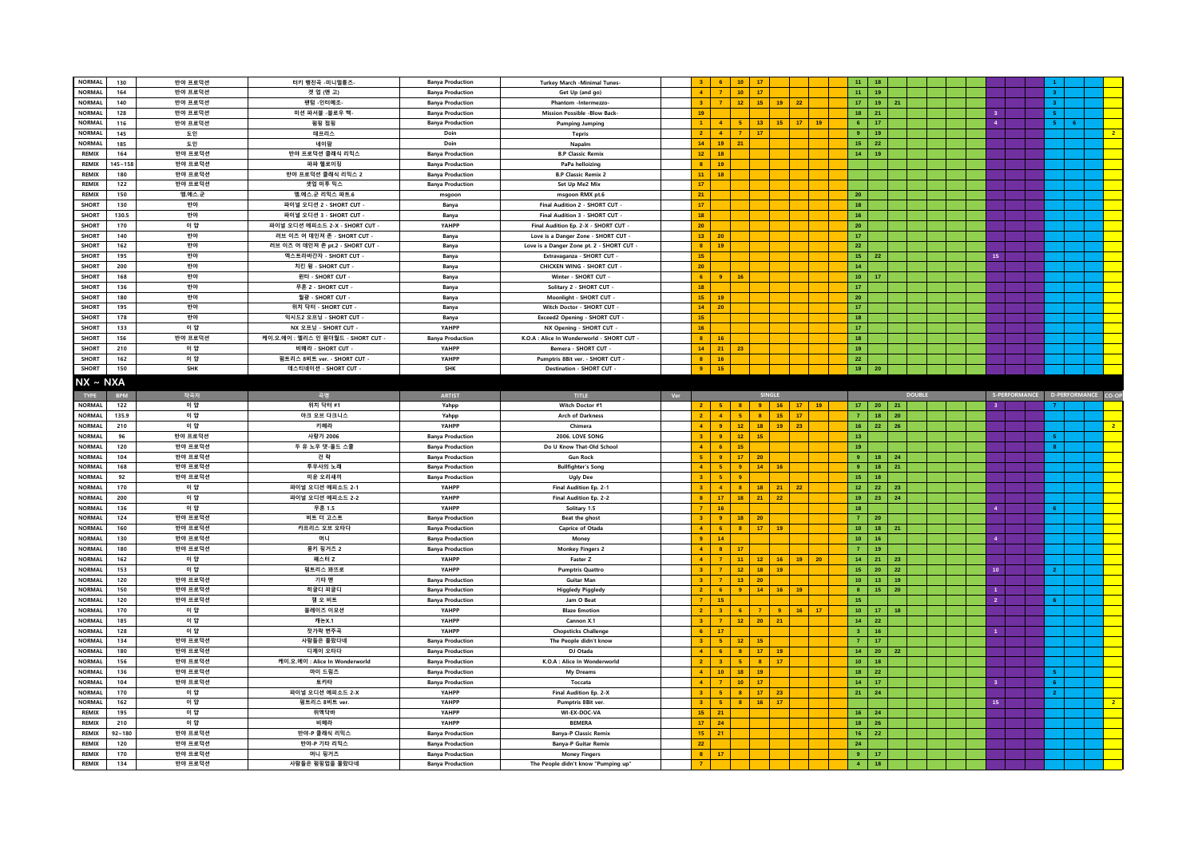|                       | <b>NORMAL</b><br>130 | 반야 프로덕션            | 터키 행진곡 -미니멀튠즈-                     | <b>Banya Production</b>                            | Turkey March -Minimal Tunes-                                |     | -6                                        | 10 <sup>°</sup>         | 17                                 |                 |                 | 11                                     | 18                    |               |  |                  |                                   |                |
|-----------------------|----------------------|--------------------|------------------------------------|----------------------------------------------------|-------------------------------------------------------------|-----|-------------------------------------------|-------------------------|------------------------------------|-----------------|-----------------|----------------------------------------|-----------------------|---------------|--|------------------|-----------------------------------|----------------|
| <b>NORMAL</b>         | 164                  | 반야 프로덕션            | 겟 업 (앤 고)                          | <b>Banya Production</b>                            | Get Up (and go)                                             |     | $\mathbf{A}$<br>$\overline{7}$            | 10 <sub>1</sub>         | 17                                 |                 |                 | 11 <sub>1</sub>                        | 19                    |               |  |                  | 3 <sup>7</sup>                    |                |
| <b>NORMAL</b>         | 140                  | 반야 프로덕션            | 팬텀 -인터메조-                          | <b>Banya Production</b>                            | Phantom -Intermezzo-                                        |     | 3 <sup>1</sup><br>$\overline{7}$          | 12 <sup>7</sup>         | 15<br>$19$ 22                      |                 |                 | 17 <sup>°</sup>                        | 19<br>21              |               |  |                  | 3 <sup>1</sup>                    |                |
| <b>NORMAL</b>         | 128                  | 반야 프로덕션            | 미션 파서블 -블로우 백-                     | <b>Banya Production</b>                            | <b>Mission Possible -Blow Back-</b>                         |     | $19-1$                                    |                         |                                    |                 |                 | 18                                     | 21                    |               |  | 3 <sup>7</sup>   | 5 <sup>7</sup>                    |                |
| <b>NORMAL</b>         | 116                  | 반야 프로덕션            | 펌핑 점핑                              | <b>Banya Production</b>                            | <b>Pumping Jumping</b>                                      |     |                                           | -5                      | 13<br>15 <sub>1</sub>              | 17 <sup>2</sup> | 19              | $\mathbf 6$                            | $17\,$                |               |  | $\overline{4}$   | $5 -$<br>$6-1$                    |                |
| <b>NORMAL</b>         | 145                  | 도인                 | 테프리스                               | Doin                                               | <b>Tepris</b>                                               |     | 2 <sup>1</sup><br>$\overline{4}$          | $\mathbf{7}$            | 17                                 |                 |                 | $\overline{9}$                         | 19                    |               |  |                  |                                   | 2 <sup>7</sup> |
| <b>NORMAL</b>         | 185                  | 도인                 | 네이팜                                | Doin                                               | Napalm                                                      |     | $14 -$<br>19                              | 21                      |                                    |                 |                 | 15 <sub>1</sub>                        | 22                    |               |  |                  |                                   |                |
| REMIX                 | 164                  | 반야 프로덕션            | 반야 프로덕션 클래식 리믹스                    |                                                    |                                                             |     | $12-12$<br>18                             |                         |                                    |                 |                 | 14 <sup>°</sup>                        | 19 <sup>°</sup>       |               |  |                  |                                   |                |
|                       |                      |                    |                                    | <b>Banya Production</b>                            | <b>B.P Classic Remix</b>                                    |     |                                           |                         |                                    |                 |                 |                                        |                       |               |  |                  |                                   |                |
| REMIX                 | $145 - 158$          | 반야 프로덕션            | 파파 헬로이징                            | <b>Banya Production</b>                            | PaPa helloizing                                             |     | 8 <sup>1</sup><br>19                      |                         |                                    |                 |                 |                                        |                       |               |  |                  |                                   |                |
| <b>REMIX</b>          | 180                  | 반야 프로덕션            | 반야 프로덕션 클래식 리믹스 2                  | <b>Banva Production</b>                            | <b>B.P Classic Remix 2</b>                                  |     | $11 -$<br>18                              |                         |                                    |                 |                 |                                        |                       |               |  |                  |                                   |                |
| REMIX                 | 122                  | 반야 프로덕션            | 셋업 미투 믹스                           | <b>Banya Production</b>                            | Set Up Me2 Mix                                              |     | 17 <sub>1</sub>                           |                         |                                    |                 |                 |                                        |                       |               |  |                  |                                   |                |
| <b>REMIX</b>          | 150                  | 엠.에스.군             | 엠.에스.군 리믹스 파트.6                    | msgoon                                             | msgoon RMX pt.6                                             |     | 21                                        |                         |                                    |                 |                 | 20                                     |                       |               |  |                  |                                   |                |
| <b>SHORT</b>          | 130                  | 반야                 | 파이널 오디션 2 - SHORT CUT ·            | Banya                                              | Final Audition 2 - SHORT CUT                                |     | 17 <sup>°</sup>                           |                         |                                    |                 |                 | 18                                     |                       |               |  |                  |                                   |                |
| SHORT                 | 130.5                | 반야                 | 파이널 오디션 3 - SHORT CUT -            | Banya                                              | Final Audition 3 - SHORT CUT -                              |     | 18 <sup>°</sup>                           |                         |                                    |                 |                 | 16 <sub>1</sub>                        |                       |               |  |                  |                                   |                |
| <b>SHORT</b>          | 170                  | 이 얍                | 파이널 오디션 에피소드 2-X - SHORT CUT -     | YAHPP                                              | Final Audition Ep. 2-X - SHORT CUT                          |     | 20 <sub>2</sub>                           |                         |                                    |                 |                 | 20 <sub>2</sub>                        |                       |               |  |                  |                                   |                |
| <b>SHORT</b>          | 140                  | 반야                 | 러브 이즈 어 데인져 존 - SHORT CUT ·        | Banya                                              | Love is a Danger Zone - SHORT CUT                           |     | $13 -$<br>20                              |                         |                                    |                 |                 | $171$                                  |                       |               |  |                  |                                   |                |
| <b>SHORT</b>          | 162                  | 반야                 | 러브 이즈 어 데인져 존 pt.2 - SHORT CUT -   | Banya                                              | Love is a Danger Zone pt. 2 - SHORT CUT -                   |     | 8 <sup>1</sup><br>19                      |                         |                                    |                 |                 | 22                                     |                       |               |  |                  |                                   |                |
|                       |                      |                    |                                    |                                                    |                                                             |     |                                           |                         |                                    |                 |                 |                                        |                       |               |  |                  |                                   |                |
| <b>SHORT</b>          | 195                  | 반야                 | 엑스트라바간자 - SHORT CUT                | Banya                                              | Extravaganza - SHORT CUT                                    |     | 15 <sup>°</sup>                           |                         |                                    |                 |                 | 15 <sub>1</sub>                        | 22                    |               |  | 15               |                                   |                |
| <b>SHORT</b>          | 200                  | 반야                 | 치킨 윙 - SHORT CUT -                 | Banya                                              | CHICKEN WING - SHORT CUT                                    |     | 20 <sub>2</sub>                           |                         |                                    |                 |                 | 14 <sub>1</sub>                        |                       |               |  |                  |                                   |                |
| SHORT                 | 168                  | 반야                 | 윈터 - SHORT CUT                     | Banya                                              | Winter - SHORT CUT                                          |     | 6<br>-9                                   | 16                      |                                    |                 |                 | 10 <sub>1</sub>                        | 17                    |               |  |                  |                                   |                |
| <b>SHORT</b>          | 136                  | 반야                 | 무혼 2 - SHORT CUT                   | Banya                                              | Solitary 2 - SHORT CUT -                                    |     | 18 <sup>°</sup>                           |                         |                                    |                 |                 | 17                                     |                       |               |  |                  |                                   |                |
| <b>SHORT</b>          | 180                  | 반야                 | 월광 - SHORT CUT                     | Banya                                              | Moonlight - SHORT CUT -                                     |     | $15-15$<br>19                             |                         |                                    |                 |                 | 20 <sub>2</sub>                        |                       |               |  |                  |                                   |                |
| <b>SHORT</b>          | 195                  | 반야                 | 위치 닥터 - SHORT CUT                  | Banya                                              | Witch Doctor - SHORT CUT                                    |     | 14 <sup>°</sup><br>20                     |                         |                                    |                 |                 | $17\,$                                 |                       |               |  |                  |                                   |                |
| <b>SHORT</b>          | 178                  | 반야                 | 익시드2 오프닝 - SHORT CUT               | Banya                                              | Exceed2 Opening - SHORT CUT                                 |     | 15 <sub>1</sub>                           |                         |                                    |                 |                 | 18                                     |                       |               |  |                  |                                   |                |
| <b>SHORT</b>          | 133                  | 이 얍                | NX 오프닝 - SHORT CUT -               | YAHPP                                              | NX Opening - SHORT CUT -                                    |     | 16                                        |                         |                                    |                 |                 | 17 <sup>°</sup>                        |                       |               |  |                  |                                   |                |
| SHORT                 | 156                  | 반야 프로덕션            | 케이.오.에이 : 엘리스 인 원더월드 - SHORT CUT - | <b>Banya Production</b>                            | K.O.A : Alice In Wonderworld - SHORT CUT -                  |     | 8 <sub>1</sub><br>16                      |                         |                                    |                 |                 | 18                                     |                       |               |  |                  |                                   |                |
| <b>SHORT</b>          |                      |                    |                                    | YAHPP                                              |                                                             |     | $14-14$<br>21                             | 23                      |                                    |                 |                 |                                        |                       |               |  |                  |                                   |                |
|                       | 210                  | 이 얍                | 비메라 - SHORT CUT                    |                                                    | Bemera - SHORT CUT                                          |     |                                           |                         |                                    |                 |                 | 19 <sup>°</sup>                        |                       |               |  |                  |                                   |                |
| <b>SHORT</b>          | 162                  | 이 얍                | 펌트리스 8비트 ver. - SHORT CUT -        | YAHPP                                              | Pumptris 8Bit ver. - SHORT CUT -                            |     | 8 <sup>1</sup><br>16                      |                         |                                    |                 |                 | $22\,$                                 |                       |               |  |                  |                                   |                |
| <b>SHORT</b>          | 150                  | <b>SHK</b>         | 데스티네이션 - SHORT CUT -               | SHK                                                | Destination - SHORT CUT -                                   |     | 9 <sup>1</sup><br>15                      |                         |                                    |                 |                 | 19                                     | 20                    |               |  |                  |                                   |                |
| NX ~ NXA              |                      |                    |                                    |                                                    |                                                             |     |                                           |                         |                                    |                 |                 |                                        |                       |               |  |                  |                                   |                |
|                       |                      |                    |                                    |                                                    |                                                             | Ver |                                           |                         | <b>SINGLE</b>                      |                 |                 |                                        |                       | <b>DOUBLE</b> |  |                  | S-PERFORMANCE D-PERFORMANCE CO-OP |                |
| TYPE                  | <b>BPM</b>           | 작곡자                | 곡명                                 | <b>ARTIST</b>                                      | TITLE                                                       |     |                                           |                         |                                    |                 |                 |                                        |                       |               |  |                  |                                   |                |
| <b>NORMAL</b>         | 122                  | 이 얍                | 위치 닥터 #1                           | Yahpp                                              | Witch Doctor #1                                             |     | $2 -$<br>$-5$                             | $\overline{\mathbf{8}}$ | 16<br>9                            | $-17$           | 19              | 17 <sub>1</sub>                        | 20<br>21              |               |  |                  |                                   |                |
| <b>NORMAL</b>         | 135.9                | 이 얀                | 아크 오브 다크니스                         | Yahpp                                              | <b>Arch of Darkness</b>                                     |     | 2 <sup>1</sup><br>$\overline{4}$          | 5 <sub>5</sub>          | 15 <sub>1</sub><br>8 <sup>1</sup>  | 17              |                 | $\mathbf{7}$                           | 18<br>20              |               |  |                  |                                   |                |
| <b>NORMAL</b>         | 210                  | 이 얍                | 키메라                                | YAHPP                                              | Chimera                                                     |     | 9 <sup>°</sup><br>4 <sup>1</sup>          | 12 <sub>1</sub>         | 18<br>19                           | 23              |                 | 16 <sub>1</sub>                        | 22<br>26              |               |  |                  |                                   | $\overline{2}$ |
| <b>NORMAL</b>         | 96                   | 반야 프로덕션            | 사랑가 2006                           | <b>Banya Production</b>                            | 2006. LOVE SONG                                             |     | 3 <sup>1</sup><br>-9                      | 12 <sup>°</sup>         | 15                                 |                 |                 | 13 <sup>°</sup>                        |                       |               |  |                  | $\mathbf{g}$                      |                |
| <b>NORMAL</b>         | 120                  | 반야 프로덕션            | 두 유 노우 댓-올드 스쿨                     | <b>Banya Production</b>                            | Do U Know That-Old School                                   |     | $\mathbf{A}$<br>$-6$                      | 15                      |                                    |                 |                 | 19                                     |                       |               |  |                  | $\mathbf{a}$                      |                |
| <b>NORMAL</b>         | 104                  | 반야 프로덕션            | 건 락                                | <b>Banva Production</b>                            | <b>Gun Rock</b>                                             |     | 5 <sup>2</sup><br>-9                      | 17                      | 20                                 |                 |                 | $\overline{9}$                         | 18<br>24              |               |  |                  |                                   |                |
| <b>NORMAL</b>         | 168                  | 반야 프로덕션            | 투우사의 노래                            |                                                    |                                                             |     | 4 <sup>1</sup><br>$-5$                    | 9                       | 14 <sub>1</sub><br>16              |                 |                 | $9$ .                                  |                       |               |  |                  |                                   |                |
| <b>NORMAL</b>         | 92                   | 반야 프로덕션            |                                    |                                                    |                                                             |     |                                           |                         |                                    |                 |                 |                                        |                       |               |  |                  |                                   |                |
| <b>NORMAL</b>         | 170                  |                    |                                    | <b>Banya Production</b>                            | <b>Bullfighter's Song</b>                                   |     |                                           |                         |                                    |                 |                 |                                        | 21<br>18              |               |  |                  |                                   |                |
| <b>NORMAL</b>         |                      |                    | 미운 오리새끼                            | <b>Banya Production</b>                            | <b>Ugly Dee</b>                                             |     | 3 <sup>1</sup><br>$-5$                    | $\overline{9}$          |                                    |                 |                 | 15 <sub>1</sub>                        | 18                    |               |  |                  |                                   |                |
|                       |                      | 이 얍                | 파이널 오디션 에피소드 2-1                   | YAHPP                                              | Final Audition Ep. 2-1                                      |     | 3 <sup>1</sup><br>$\overline{4}$          | 8 <sup>1</sup>          | $21 -$<br>18                       | 22              |                 | 12 <sup>°</sup>                        | 22<br>23              |               |  |                  |                                   |                |
| <b>NORMAL</b>         | 200                  | 이 얍                | 파이널 오디션 에피소드 2-2                   | YAHPP                                              | Final Audition Ep. 2-2                                      |     | 8 <sup>1</sup><br>17 <sup>2</sup>         | 18 <sup>°</sup>         | 21<br>22 <sub>2</sub>              |                 |                 | 19 <sub>°</sub>                        | 23<br>24              |               |  |                  |                                   |                |
|                       | 136                  | 이 얍                | 무혼 1.5                             | YAHPP                                              | Solitary 1.5                                                |     | 16<br>$\overline{7}$                      |                         |                                    |                 |                 | 18 <sup>°</sup>                        |                       |               |  |                  |                                   |                |
| <b>NORMAL</b>         | 124                  | 반야 프로덕션            | 비트 더 고스트                           | <b>Banya Production</b>                            | Beat the ghost                                              |     | 3 <sup>1</sup><br>9 <sup>°</sup>          | 18                      | 20                                 |                 |                 | 7 <sub>1</sub>                         | 20 <sub>2</sub>       |               |  |                  |                                   |                |
| <b>NORMAL</b>         | 160                  | 반야 프로덕션            | 카프리스 오브 오타다                        | <b>Banya Production</b>                            | Caprice of Otada                                            |     | 4 <sup>1</sup><br>$-6$                    | 8 <sup>1</sup>          | 17<br>19                           |                 |                 | $101$                                  | 18<br>21              |               |  |                  |                                   |                |
| <b>NORMAL</b>         | 130                  | 반야 프로덕션            | 머니                                 | <b>Banya Production</b>                            | Mone <sub>)</sub>                                           |     | $\bullet$<br>14                           |                         |                                    |                 |                 | 10 <sub>1</sub>                        | 16 <sup>°</sup>       |               |  | $\mathbf{A}$     |                                   |                |
| <b>NORMAL</b>         | 180                  | 반야 프로덕션            | 몽키 핑거즈 2                           | <b>Banya Production</b>                            | <b>Monkey Fingers 2</b>                                     |     | 4 <sup>1</sup><br>$\overline{8}$          | 17                      |                                    |                 |                 | $\overline{7}$                         | 19                    |               |  |                  |                                   |                |
| <b>NORMAL</b>         | 162                  | 이 안                | 패스터 7                              | YAHPP                                              | <b>Faster Z</b>                                             |     | $\mathbf{A}$<br>$\overline{7}$            | 11                      | 12 <sub>1</sub><br>16              | $19-1$          | 20 <sup>°</sup> | 14 <sup>°</sup>                        | 21 <sup>°</sup><br>23 |               |  |                  |                                   |                |
|                       |                      |                    | 펌트리스 꽈뜨로                           |                                                    |                                                             |     | 3 <sup>1</sup><br>$\overline{7}$          |                         |                                    |                 |                 |                                        |                       |               |  |                  | $\overline{2}$                    |                |
| <b>NORMAL</b>         | 153                  | 이 얍                |                                    | YAHPP<br><b>Banya Production</b>                   | <b>Pumptris Quattro</b>                                     |     | 3 <sup>2</sup><br>$\overline{7}$          | 12 <sub>2</sub>         | 18<br>19                           |                 |                 | 15 <sub>1</sub>                        | 20<br>$\bf 22$<br>19  |               |  | 10 <sub>1</sub>  |                                   |                |
| <b>NORMAL</b>         | 120                  | 반야 프로덕션            | 기타 맨                               |                                                    | <b>Guitar Man</b>                                           |     |                                           | 13 <sup>°</sup>         | $20\,$                             |                 |                 | 10 <sub>1</sub>                        | 13 <sup>°</sup>       |               |  | $\mathbf{A}$     |                                   |                |
| <b>NORMAL</b>         | 150                  | 반야 프로덕션            | 히글디 피글디                            | <b>Banya Production</b>                            | <b>Higgledy Piggledy</b>                                    |     | 2 <sup>1</sup><br>$-6$                    | 9 <sup>°</sup>          | 14 <sub>1</sub>                    | $16$ 19         |                 | 8 <sub>1</sub>                         | 15<br>20              |               |  |                  |                                   |                |
| <b>NORMAL</b>         | 120                  | 반야 프로덕션            | 잼 오 비트                             | <b>Banya Production</b>                            | Jam O Beat                                                  |     | 7 <sup>7</sup><br>15                      |                         |                                    |                 |                 | 15 <sub>15</sub>                       |                       |               |  | $\overline{2}$   |                                   |                |
| <b>NORMAL</b>         | 170                  | 이 얍                | 블레이즈 이모션                           | YAHPP                                              | <b>Blaze Emotion</b>                                        |     | 2 <sup>2</sup><br>$\overline{\mathbf{3}}$ | 6 <sup>6</sup>          | $\overline{7}$<br>9 <sup>1</sup>   | 16              | 17 <sup>2</sup> | 10 <sub>1</sub>                        | 17<br>18              |               |  |                  |                                   |                |
| <b>NORMAL</b>         | 185                  | 이 얍                | 캐논X.1                              | YAHPP                                              | Cannon X.1                                                  |     | 3 <sup>1</sup><br>$\overline{7}$          | $12 -$                  | 20<br>21                           |                 |                 | 14 <sub>1</sub>                        | 22                    |               |  |                  |                                   |                |
| <b>NORMAL</b>         | 128                  | 이 얍                | 젓가락 변주곡                            | YAHPP                                              | <b>Chopsticks Challenge</b>                                 |     | 6 <sup>1</sup><br>17                      |                         |                                    |                 |                 | $\overline{3}$                         | 16                    |               |  | $\mathbf{A}$     |                                   |                |
| <b>NORMAL</b>         | 134                  | 반야 프로덕션            | 사람들은 몰랐다네                          | <b>Banya Production</b>                            | The People didn't know                                      |     | 3 <sup>1</sup><br>5                       | 12 <sub>1</sub>         | 15                                 |                 |                 | $\mathbf{7}$                           | 17                    |               |  |                  |                                   |                |
| <b>NORMAL</b>         | 180                  | 반야 프로덕션            | 디제이 오타다                            | <b>Banva Production</b>                            | DJ Otada                                                    |     | $\mathbf{A}$<br>6 <sup>1</sup>            | $\overline{\mathbf{8}}$ | 17<br>19                           |                 |                 | 14 <sup>°</sup>                        | 20 <sup>°</sup><br>22 |               |  |                  |                                   |                |
| <b>NORMAL</b>         | 156                  | 반야 프로덕션            | 케이.오.에이 : Alice In Wonderworld     | <b>Banya Production</b>                            | K.O.A : Alice In Wonderworld                                |     | 2 <sup>7</sup><br>3 <sup>1</sup>          | 5                       | 8 <sub>1</sub><br>17               |                 |                 | 10 <sub>1</sub>                        | 18                    |               |  |                  |                                   |                |
| <b>NORMAL</b>         | 136                  | 반야 프로덕션            | 마이 드림즈                             | <b>Banya Production</b>                            | My Dreams                                                   |     | 10 <sub>1</sub><br>4 <sup>1</sup>         | 18                      | 19                                 |                 |                 | 18                                     | 22                    |               |  |                  | 5 <sup>7</sup>                    |                |
| <b>NORMAL</b>         |                      |                    |                                    |                                                    |                                                             |     | $\overline{4}$<br>$\overline{7}$          |                         | 17                                 |                 |                 |                                        |                       |               |  | $\sim$           | 6 <sup>1</sup>                    |                |
|                       | 104                  | 반야 프로덕션            | 토카타                                | <b>Banya Production</b>                            | Toccata                                                     |     | 3 <sup>1</sup>                            | 10 <sub>1</sub>         |                                    |                 |                 | 14 <sup>°</sup>                        | $17\,$                |               |  |                  |                                   |                |
| <b>NORMAL</b>         | 170                  | 이 얍                | 파이널 오디션 에피소드 2-X                   | YAHPF                                              | Final Audition Ep. 2-X                                      |     | 5 <sub>1</sub>                            | $\overline{\mathbf{8}}$ | 17 <sub>z</sub><br>23 <sup>°</sup> |                 |                 | 21                                     | 24                    |               |  |                  | 2 <sup>7</sup>                    |                |
| <b>NORMAL</b>         | 162                  | 이 얍                | 펌트리스 8비트 ver.                      | YAHPP                                              | Pumptris 8Bit ver.                                          |     | 3 <sup>1</sup><br>$-5$                    | 8 <sup>1</sup>          | 16<br>17 <sup>°</sup>              |                 |                 |                                        |                       |               |  | 15 <sup>15</sup> |                                   | $\overline{2}$ |
| <b>REMIX</b>          | 195                  | 이 얍                | 위엑닥바                               | YAHPP                                              | WI-EX-DOC-VA                                                |     | $15 -$<br>21                              |                         |                                    |                 |                 | 16                                     | 24                    |               |  |                  |                                   |                |
| <b>REMIX</b>          | 210                  | 이 얍                | 비메라                                | YAHPP                                              | <b>BEMERA</b>                                               |     | 17 <sup>2</sup><br>24                     |                         |                                    |                 |                 | 18                                     | 26                    |               |  |                  |                                   |                |
| REMIX                 | $92 - 180$           | 반야 프로덕션            | 반야-P 클래식 리믹스                       | <b>Banya Production</b>                            | <b>Banya-P Classic Remix</b>                                |     | $15-15$<br>21                             |                         |                                    |                 |                 | 16 <sup>°</sup>                        | 22                    |               |  |                  |                                   |                |
| <b>REMIX</b>          | 120                  | 반야 프로덕션            | 반야-P 기타 리믹스                        | <b>Banya Production</b>                            | <b>Banya-P Guitar Remix</b>                                 |     | $22^{\circ}$                              |                         |                                    |                 |                 | 24                                     |                       |               |  |                  |                                   |                |
| <b>REMIX</b><br>REMIX | 170<br>134           | 반야 프로덕션<br>반야 프로덕션 | 머니 핑거즈<br>사람들은 펌핑업을 몰랐다네           | <b>Banya Production</b><br><b>Banya Production</b> | <b>Money Fingers</b><br>The People didn't know "Pumping up" |     | B<br>17                                   |                         |                                    |                 |                 | $\mathbf{9}^+$<br>$\blacktriangleleft$ | 17<br>18              |               |  |                  |                                   |                |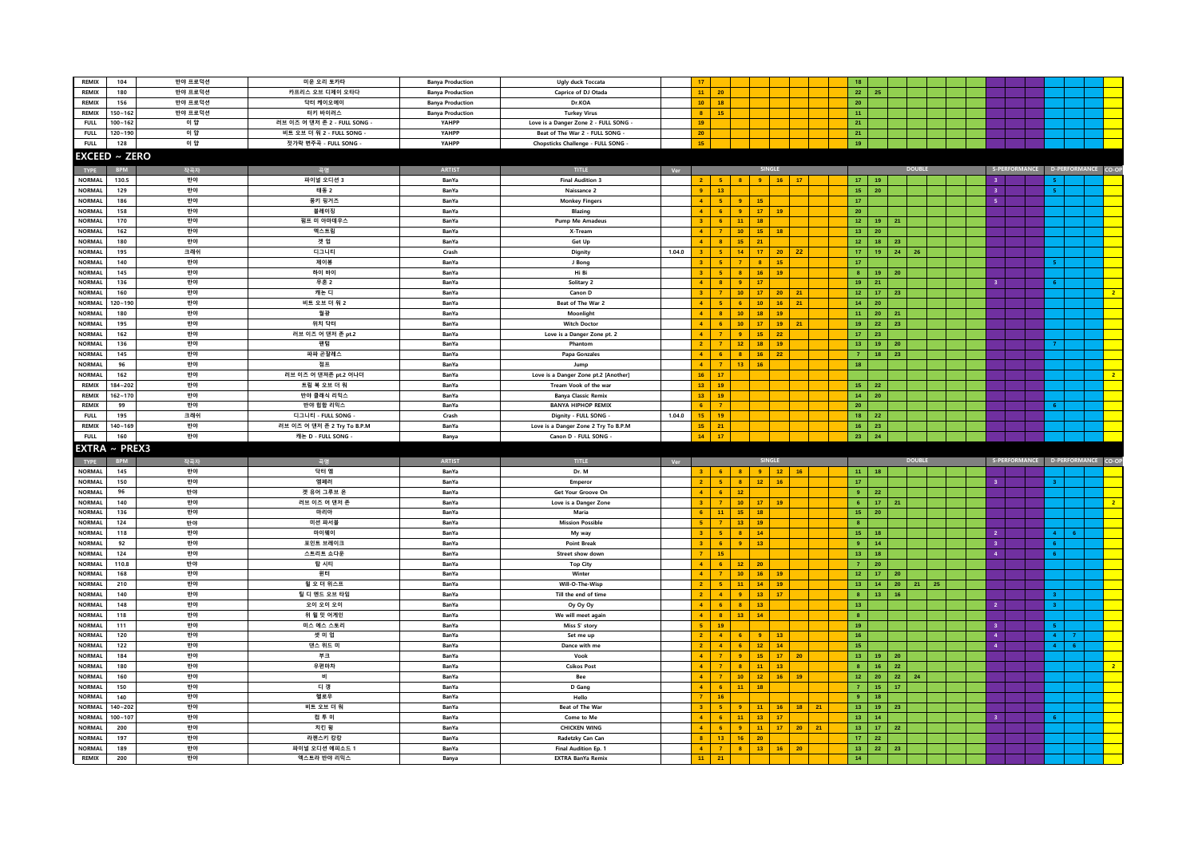| REMIX                          | 104                        | 반야 프로덕션  | 미운 오리 토카타                    | <b>Banya Production</b> | Ugly duck Toccata                        |        | 17                              |                         |                                                       |                       | 18                           |                       |                 |               |    |                         |                                   |  |
|--------------------------------|----------------------------|----------|------------------------------|-------------------------|------------------------------------------|--------|---------------------------------|-------------------------|-------------------------------------------------------|-----------------------|------------------------------|-----------------------|-----------------|---------------|----|-------------------------|-----------------------------------|--|
| REMIX                          | 180                        | 반야 프로덕션  | 카프리스 오브 디제이 오타다              | <b>Banya Production</b> | Caprice of DJ Otada                      |        | 11 <sup>1</sup>                 | 20                      |                                                       |                       | 22                           | 25                    |                 |               |    |                         |                                   |  |
| <b>REMIX</b>                   | 156                        | 반야 프로덕션  | 닥터 케이오에이                     | <b>Banya Production</b> | Dr.KOA                                   |        | $10-1$                          | 18                      |                                                       |                       | 20 <sub>2</sub>              |                       |                 |               |    |                         |                                   |  |
| REMIX                          | $150 - 162$                | 반야 프로덕션  | 터키 바이러스                      | <b>Banya Production</b> | <b>Turkey Virus</b>                      |        | 8 <sup>1</sup>                  | 15                      |                                                       |                       | 11 <sub>1</sub>              |                       |                 |               |    |                         |                                   |  |
| <b>FULL</b>                    | $100 - 162$                | 이 얍      | 러브 이즈 어 댄저 존 2 - FULL SONG · | YAHPP                   | Love is a Danger Zone 2 - FULL SONG -    |        | 19                              |                         |                                                       |                       | 21                           |                       |                 |               |    |                         |                                   |  |
| <b>FULL</b>                    | 120~190                    | 이 얍      | 비트 오브 더 워 2 - FULL SONG      | YAHPP                   | Beat of The War 2 - FULL SONG            |        | 20 <sup>°</sup>                 |                         |                                                       |                       | 21                           |                       |                 |               |    |                         |                                   |  |
| <b>FULL</b>                    | 128                        | 이 얍      | 젓가락 변주곡 - FULL SONG          | YAHPP                   | Chopsticks Challenge - FULL SONG         |        | 15                              |                         |                                                       |                       | 19                           |                       |                 |               |    |                         |                                   |  |
|                                |                            |          |                              |                         |                                          |        |                                 |                         |                                                       |                       |                              |                       |                 |               |    |                         |                                   |  |
|                                | <b>EXCEED ~ ZERO</b>       |          |                              |                         |                                          |        |                                 |                         |                                                       |                       |                              |                       |                 |               |    |                         |                                   |  |
| <b>TYPE</b>                    |                            | 작곡자      | 곡명                           | <b>ARTIST</b>           | <b>TITLE</b>                             | Ver    |                                 |                         |                                                       |                       |                              |                       |                 | <b>DOUBLE</b> |    |                         | S-PERFORMANCE D-PERFORMANCE CO-OF |  |
| <b>NORMAL</b>                  | 130.5                      | 반야       | 파이널 오디션 3                    | BanYa                   | <b>Final Audition 3</b>                  |        | $2^{\circ}$                     | 5 <sub>1</sub>          | $\vert$ 8                                             | 9   16   17           | $17-17$                      | 19                    |                 |               |    | $\overline{\mathbf{3}}$ | -5.                               |  |
| <b>NORMAL</b>                  | 129                        | 반야       | 태동 2                         | BanYa                   | Naissance 2                              |        | 9 <sup>1</sup>                  | 13 <sub>1</sub>         |                                                       |                       | $15-15$                      | 20                    |                 |               |    | $\overline{\mathbf{3}}$ |                                   |  |
| <b>NORMAL</b>                  | 186                        | 반야       | 몽키 핑거즈                       | BanYa                   | <b>Monkey Fingers</b>                    |        | $\mathbf{A}$                    | $\sqrt{5}$              | 9<br>15 <sub>1</sub>                                  |                       | 17 <sub>1</sub>              |                       |                 |               |    | $\overline{\mathbf{5}}$ |                                   |  |
| <b>NORMAL</b>                  | 158                        | 반야       | 블레이징                         | BanYa                   | Blazing                                  |        |                                 | $6\phantom{.}6$         | 17 <sup>°</sup><br>-9                                 | 19                    | 20 <sub>2</sub>              |                       |                 |               |    |                         |                                   |  |
| <b>NORMAL</b>                  | 170                        | 반야       | 펌프 미 아마데우스                   | BanYa                   | <b>Pump Me Amadeus</b>                   |        | 3 <sup>1</sup>                  | 6 <sub>6</sub>          | 11<br>18 <sub>1</sub>                                 |                       | $12 -$                       | 19                    | 21              |               |    |                         |                                   |  |
| <b>NORMAL</b>                  | 162                        | 반야       | 엑스트림                         | BanYa                   | X-Tream                                  |        | 4 <sup>1</sup>                  | $\mathbf{7}$            | 10 <sub>1</sub><br>$15-15$                            | 18                    | $13 -$                       | 20                    |                 |               |    |                         |                                   |  |
| <b>NORMAL</b>                  | 180                        | 반야       | 겟 업                          | BanYa                   | Get Up                                   |        | $\mathbf{A}$                    | $\mathbf{8}$            | 15<br>21                                              |                       | $12 -$                       | 18                    | 23              |               |    |                         |                                   |  |
| <b>NORMAL</b>                  | 195                        | 크래쉬      | 디그니티                         | Crash                   | Dignity                                  | 1.04.0 |                                 | $-5$                    | 14<br>17 <sub>1</sub>                                 | 20                    | $17-1$<br>22                 | 19                    | 24              | 26            |    |                         |                                   |  |
| <b>NORMAL</b>                  | 140                        | 반야       | 제이봉                          | BanYa                   | J Bong                                   |        | 3 <sup>1</sup>                  | $-5$                    | 8 <sub>1</sub><br>$\overline{7}$                      | 15                    | 17 <sup>°</sup>              |                       |                 |               |    |                         |                                   |  |
| <b>NORMAL</b>                  | 145                        | 반야       | 하이 바이                        | BanYa                   | Hi Bi                                    |        | 3 <sup>1</sup>                  | $-5$                    | $\vert$ 8<br>16                                       | 19                    | 8 <sub>1</sub>               | 19                    | 20              |               |    |                         |                                   |  |
| <b>NORMAL</b>                  | 136                        | 반야       | 무혼 2                         | BanYa                   | Solitary 2                               |        | $\mathbf{A}$                    | $\overline{\mathbf{8}}$ | 17 <sup>°</sup><br>-9                                 |                       | 19                           | 21                    |                 |               |    | $\overline{\mathbf{3}}$ | 6.                                |  |
| <b>NORMAL</b>                  | 160                        | 반야       | 캐논 디                         | BanYa                   | Canon D                                  |        | 3 <sup>1</sup>                  | $\overline{7}$          | 17 <sup>°</sup><br>10                                 | 20                    | $12-12$<br>21                | 17 <sub>1</sub>       | 23              |               |    |                         |                                   |  |
| <b>NORMAL</b>                  | $120 - 190$                | 반야       | 비트 오브 더 워 2                  | BanYa                   | Beat of The War 2                        |        |                                 | -5                      | $10-1$<br>6 <sup>1</sup>                              | 16 <sup>°</sup>       | 21<br>$14-14$                | 20                    |                 |               |    |                         |                                   |  |
| <b>NORMAL</b>                  | 180                        | 반야       | 월광                           | BanYa                   | Moonlight                                |        | $\mathbf{A}$                    | $\overline{\mathbf{8}}$ | $10\,$<br>18 <sup>2</sup>                             | 19                    | $11 -$                       | 20                    | 21              |               |    |                         |                                   |  |
| <b>NORMAL</b>                  | 195                        | 반야       | 위치 닥터                        | BanYa                   | <b>Witch Doctor</b>                      |        | $\mathbf{A}$                    | $6\phantom{.}$          | 10 <sub>1</sub><br>17 <sup>2</sup>                    | 19                    | 21<br>$19-1$                 | 22                    | 23              |               |    |                         |                                   |  |
| <b>NORMAL</b>                  | 162                        | 반야       | 러브 이즈 어 댄저 존 pt.2            | BanYa                   | Love is a Danger Zone pt. 2              |        | 4 <sup>1</sup>                  | $\overline{7}$          | $15-15$<br>9 <sup>°</sup>                             | 22                    | 17 <sup>2</sup>              | 23                    |                 |               |    |                         |                                   |  |
| <b>NORMAL</b>                  | 136                        | 반야       | 팬텀                           | BanYa                   | Phantom                                  |        | $\mathcal{D}$                   | $\tau$                  | 18 <sup>°</sup><br>$12\,$                             | 19                    | 13 <sup>°</sup>              | 19                    | 20 <sub>2</sub> |               |    |                         |                                   |  |
| <b>NORMAL</b>                  | 145                        | 반야       | 파파 곤잘레스                      | BanYa                   | Papa Gonzales                            |        | $\blacktriangle$                | $\,$ 6 $\,$             | 16 <sup>°</sup><br>$\mathbf{8}$                       | 22                    | 7 <sup>2</sup>               | $18-1$                | 23              |               |    |                         |                                   |  |
| <b>NORMAL</b>                  | 96                         | 반야       | 점프                           | BanYa                   | Jump                                     |        | $\blacktriangle$                | $\overline{7}$          | 13 <sub>1</sub><br>16 <sub>1</sub>                    |                       | 18 <sup>°</sup>              |                       |                 |               |    |                         |                                   |  |
| <b>NORMAL</b>                  | 162                        | 반야       | 러브 이즈 어 댄져존 pt.2 어나더         | BanYa                   | Love is a Danger Zone pt.2 [Another]     |        | $16-1$                          | 17                      |                                                       |                       |                              |                       |                 |               |    |                         |                                   |  |
| <b>REMIX</b>                   | 184~202                    | 반야       | 트림 북 오브 더 워                  | BanYa                   | Tream Vook of the war                    |        | $13-1$                          | 19                      |                                                       |                       | 15                           | 22                    |                 |               |    |                         |                                   |  |
| <b>REMIX</b>                   | $162 - 170$                | 반야       | 반야 클래식 리믹스                   | BanYa                   | <b>Banya Classic Remix</b>               |        | 13 <sup>°</sup>                 | 19                      |                                                       |                       | $14-14$                      | 20                    |                 |               |    |                         |                                   |  |
| REMIX                          | 99                         | 반야       | 반야 힙합 리믹스                    | BanYa                   | <b>BANYA HIPHOP REMIX</b>                |        |                                 |                         |                                                       |                       | 20 <sub>2</sub>              |                       |                 |               |    |                         |                                   |  |
| <b>FULL</b>                    | 195                        | 크래쉬      | 디그니티 - FULL SONG             | Crash                   | Dignity - FULL SONG                      | 1.04.0 | 15                              | 19                      |                                                       |                       | 18 <sup>°</sup>              | 22                    |                 |               |    |                         |                                   |  |
| REMIX                          | 140~169                    | 반야       | 러브 이즈 어 댄저 존 2 Try To B.P.M  | BanYa                   | Love is a Danger Zone 2 Try To B.P.M     |        | 15 <sub>1</sub>                 | 21                      |                                                       |                       | 16                           | 23                    |                 |               |    |                         |                                   |  |
|                                |                            |          |                              |                         |                                          |        |                                 |                         |                                                       |                       |                              |                       |                 |               |    |                         |                                   |  |
| <b>FULL</b>                    | 160                        | 반야       | 캐논 D - FULL SONG             | Banya                   | Canon D - FULL SONG                      |        | $14 -$                          | 17 <sub>2</sub>         |                                                       |                       | 23                           | 24                    |                 |               |    |                         |                                   |  |
|                                | <b>EXTRA ~ PREX3</b>       |          |                              |                         |                                          |        |                                 |                         |                                                       |                       |                              |                       |                 |               |    |                         |                                   |  |
| <b>TYPE</b>                    | <b>BPM</b>                 | 작곡자      | 곡명                           | <b>ARTIST</b>           | <b>TITLE</b>                             | Ver    |                                 |                         |                                                       | SINGLE                |                              |                       |                 | <b>DOUBLE</b> |    |                         | S-PERFORMANCE D-PERFORMANCE CO-OF |  |
| <b>NORMAL</b>                  | 145                        | 반야       | 닥터 엠                         | BanYa                   | Dr. M                                    |        | $3 -$                           | 6 <sup>1</sup>          | $\overline{\mathbf{8}}$<br>9 <sup>1</sup>             | 12                    | 16<br>11                     | 18                    |                 |               |    |                         |                                   |  |
| <b>NORMAL</b>                  | 150                        | 반야       | 엠페러                          | BanYa                   | Emperor                                  |        | 2 <sup>1</sup>                  | $-5$                    | 8 <sup>1</sup><br>$12 -$                              | 16                    | 17                           |                       |                 |               |    | $\overline{\mathbf{3}}$ | $\overline{\mathbf{3}}$           |  |
| <b>NORMAL</b>                  | 96                         | 반야       | 겟 유어 그루브 온                   | BanYa                   | Get Your Groove On                       |        | $\mathbf{A}$                    | $-6$                    | 12                                                    |                       | $9-1$                        | 22                    |                 |               |    |                         |                                   |  |
| <b>NORMAL</b>                  | 140                        | 반야       | 러브 이즈 어 댄저 존                 | BanYa                   | Love is a Danger Zone                    |        | $\mathbf{R}$                    | $\overline{7}$          | 10 <sup>10</sup>                                      | $17$ 19               | $6-1$                        | $-17$                 | 21              |               |    |                         |                                   |  |
| <b>NORMAL</b>                  | 136                        | 반야       | 마리아                          | BanYa                   | Maria                                    |        |                                 | 11                      | 15<br>18                                              |                       | 15                           | 20                    |                 |               |    |                         |                                   |  |
| <b>NORMAL</b>                  | 124                        | 반야       | 미션 파서블                       | BanYa                   | <b>Mission Possible</b>                  |        | 5 <sup>1</sup>                  | $\overline{7}$          | 13 <sub>1</sub><br>19                                 |                       | 8 <sup>1</sup>               |                       |                 |               |    |                         |                                   |  |
| <b>NORMAL</b>                  | 118                        | 반야       | 마이웨이                         | BanYa                   | My way                                   |        | 3 <sup>1</sup>                  | $-5$                    | 14 <sub>1</sub><br>$\overline{8}$                     |                       | $15 -$                       | 18                    |                 |               |    | $\overline{2}$          | $\overline{4}$                    |  |
| <b>NORMAL</b>                  | 92                         | 반야       | 포인트 브레이크                     | BanYa                   | <b>Point Break</b>                       |        | 3 <sup>1</sup>                  | $-6$                    | $\overline{9}$<br>13 <sup>°</sup>                     |                       | $9+$                         | 14                    |                 |               |    | $\overline{\mathbf{3}}$ | $\epsilon$                        |  |
| <b>NORMAL</b>                  | 124                        | 반야       | 스트리트 쇼다운                     | BanYa                   | Street show down                         |        |                                 | 15                      |                                                       |                       | 13 <sup>°</sup>              | 18                    |                 |               |    | $\overline{4}$          | -6                                |  |
| <b>NORMAL</b>                  | 110.8                      | 반야       | 탑 시티                         | BanYa                   | <b>Top City</b>                          |        |                                 | 6                       | 12<br>20 <sup>°</sup>                                 |                       | 7 <sup>1</sup>               | 20                    |                 |               |    |                         |                                   |  |
| <b>NORMAL</b>                  | 168                        | 반야       | 윈터                           | BanYa                   | Winter                                   |        | $\mathbf{A}$                    | $\overline{7}$          | 10 <sub>1</sub><br>16                                 | 19                    | $12 -$                       | 17 <sup>2</sup>       | $20\,$          |               |    |                         |                                   |  |
| <b>NORMAL</b>                  | 210                        | 반야       | 월 오 더 위스프                    | BanYa                   | Will-O-The-Wisp                          |        | 2 <sup>7</sup>                  | 5                       | 11<br>$14-14$                                         | 19                    | $13 -$                       | 14                    | 20              | 21            | 25 |                         |                                   |  |
| <b>NORMAL</b>                  | 140                        | 반야       | 틸 디 엔드 오브 타임                 | BanYa                   | Till the end of time                     |        | $\mathcal{D}$                   | $\overline{4}$          | $13 -$<br>$\overline{9}$                              | $-17$                 | 8 <sup>1</sup>               | $13-1$                | $161$           |               |    |                         | $\mathbf{R}$                      |  |
| <b>NORMAL</b>                  | 148                        | 반야       | 오이 오이 오이                     | BanYa                   | Oy Oy Oy                                 |        | $\blacktriangle$                | $\,$ 6 $\,$             | 13 <sup>°</sup><br>$\mathbf{8}$                       |                       | 13 <sup>°</sup>              |                       |                 |               |    | $\bar{2}$               | $\overline{3}$                    |  |
| <b>NORMAL</b>                  | 118                        | 반야       | 위 윌 밋 어게인                    | BanYa                   | We will meet again                       |        | $\mathbf{A}$                    | $\overline{\mathbf{8}}$ | 13 <sup>°</sup><br>14 <sub>1</sub>                    |                       | 8 <sub>1</sub>               |                       |                 |               |    |                         |                                   |  |
| <b>NORMAL</b>                  | 111                        | 반야       | 미스 에스 스토리                    | BanYa                   | Miss S' story                            |        | $5-1$                           | 19                      |                                                       |                       | $19-1$                       |                       |                 |               |    | 3 <sup>°</sup>          |                                   |  |
| <b>NORMAL</b>                  | 120                        | 반야       | 셋 미 업                        | BanYa                   | Set me up                                |        | 2 <sup>1</sup><br>$\mathcal{D}$ | $\overline{4}$          | 6 <sup>1</sup><br>-9                                  | 13                    | 16 <sup>°</sup>              |                       |                 |               |    | 4 <sup>1</sup>          | 4 <sup>1</sup><br>$\overline{7}$  |  |
| <b>NORMAL</b>                  | 122                        | 반야       | 댄스 위드 미                      | BanYa                   | Dance with me                            |        |                                 | $\overline{4}$          | 12 <sup>2</sup><br>-6                                 | 14                    | 15                           |                       |                 |               |    | $\overline{4}$          | 6 <sup>7</sup><br>$\mathbf{A}$    |  |
| <b>NORMAL</b>                  | 184                        | 반야       | 부크                           | BanYa                   | Vook                                     |        | $\mathbf{A}$                    |                         | 15 <sub>1</sub><br>$\overline{9}$                     | 17 <sup>2</sup>       | $13 -$<br>20                 | 19                    | ${\bf 20}$      |               |    |                         |                                   |  |
| <b>NORMAL</b>                  | 180                        | 반야       | 우편마차<br>비                    | BanYa                   | <b>Csikos Post</b>                       |        | $\mathbf{A}$                    | $\overline{7}$          | 11 <sub>1</sub><br>$\mathbf{a}$                       | 13                    | 8 <sub>1</sub>               | $16-1$                | $22\,$          |               |    |                         |                                   |  |
| <b>NORMAL</b>                  | 160                        | 반야       |                              | BanYa                   | Bee                                      |        | $\mathbf{A}$                    | $\mathbf{7}$            | 10 <sub>1</sub><br>$12 -$                             | 16                    | 19<br>$12 -$                 | 20                    | 22              | 24            |    |                         |                                   |  |
| <b>NORMAL</b><br><b>NORMAL</b> | 150                        | 반야       | 티 갱<br>헬로우                   | BanYa<br>BanYa          | D Gang                                   |        |                                 | 6 <sub>o</sub><br>16    | 11 <sub>1</sub><br>18                                 |                       | 7 <sup>2</sup><br>$\bullet$  | $15-15$<br>18         | 17              |               |    |                         |                                   |  |
|                                | 140                        | 반야       |                              |                         | Hello                                    |        |                                 | -5                      | 9                                                     |                       |                              |                       |                 |               |    |                         |                                   |  |
| <b>NORMAL</b><br><b>NORMAL</b> | $140 - 202$<br>$100 - 107$ | 반야<br>반야 | 비트 오브 더 워<br>컴투미             | BanYa<br>BanYa          | Beat of The War<br>Come to Me            |        | $\mathbf{A}$                    | 6                       | 11 <sub>1</sub><br>11 <sub>1</sub><br>13 <sup>°</sup> | 16 <sub>1</sub><br>17 | $13-1$<br>18<br>21<br>$13-1$ | 19<br>14 <sub>1</sub> | 23              |               |    | -3.                     |                                   |  |
| <b>NORMAL</b>                  | 200                        | 반야       | 치킨 윙                         | BanYa                   | <b>CHICKEN WING</b>                      |        | $\mathbf{A}$                    | $6\phantom{.}$          | 9<br>$11 -$                                           | $-17$                 | 20<br>21<br>$13-1$           | $-17$                 | 22              |               |    |                         |                                   |  |
| <b>NORMAL</b>                  | 197                        | 반야       | 라젠스키 캉캉                      | BanYa                   |                                          |        | $\mathbf{R}$                    | 13                      | 16<br>20 <sub>2</sub>                                 |                       | $17-1$                       | 22                    |                 |               |    |                         |                                   |  |
| <b>NORMAL</b>                  | 189                        | 반야       | 파이널 오디션 에피소드 1               | BanYa                   | Radetzky Can Can<br>Final Audition Ep. 1 |        | $\mathbf{A}$                    | $\overline{7}$          | $\mathbf{8}$<br>13 <sup>°</sup>                       |                       | 13 <sup>°</sup><br>$16$ 20   | 22                    | 23              |               |    |                         |                                   |  |
| REMIX                          | 200                        | 반야       | 엑스트라 반야 리믹스                  | Banya                   | <b>EXTRA BanYa Remix</b>                 |        | 11                              | 21                      |                                                       |                       | 14 <sup>°</sup>              |                       |                 |               |    |                         |                                   |  |